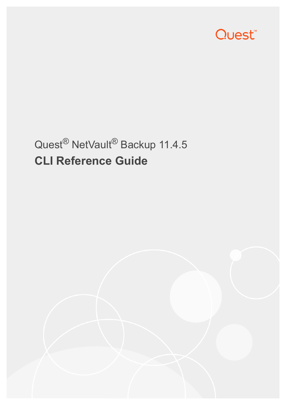

# Quest® NetVault® Backup 11.4.5 **CLI Reference Guide**

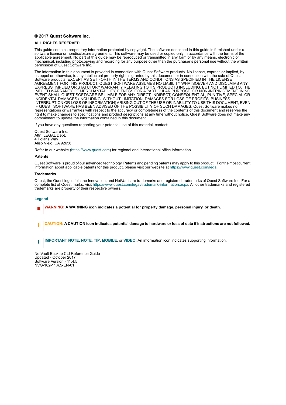#### **© 2017 Quest Software Inc.**

#### **ALL RIGHTS RESERVED.**

This guide contains proprietary information protected by copyright. The software described in this guide is furnished under a software license or nondisclosure agreement. This software may be used or copied only in accordance with the terms of the applicable agreement. No part of this guide may be reproduced or transmitted in any form or by any means, electronic or mechanical, including photocopying and recording for any purpose other than the purchaser's personal use without the written permission of Quest Software Inc.

The information in this document is provided in connection with Quest Software products. No license, express or implied, by estoppel or otherwise, to any intellectual property right is granted by this document or in connection with the sale of Quest<br>Software products. EXCEPT AS SET FORTH IN THE TERMS AND CONDITIONS AS SPECIFIED IN THE LICENSE<br>A EXPRESS, IMPLIED OR STATUTORY WARRANTY RELATING TO ITS PRODUCTS INCLUDING, BUT NOT LIMITED TO, THE IMPLIED WARRANTY OF MERCHANTABILITY, FITNESS FOR A PARTICULAR PURPOSE, OR NON-INFRINGEMENT. IN NO EVENT SHALL QUEST SOFTWARE BE LIABLE FOR ANY DIRECT, INDIRECT, CONSEQUENTIAL, PUNITIVE, SPECIAL OR INCIDENTAL DAMAGES (INCLUDING, WITHOUT LIMITATION, DAMAGES FOR LOSS OF PROFITS, BUSINESS<br>INTERRUPTION OR LOSS OF INFORMATION) ARISING OUT OF THE USE OR INABILITY TO USE THIS DOCUMENT, EVEN IF QUEST SOFTWARE HAS BEEN ADVISED OF THE POSSIBILITY OF SUCH DAMAGES. Quest Software makes no representations or warranties with respect to the accuracy or completeness of the contents of this document and reserves the right to make changes to specifications and product descriptions at any time without notice. Quest Software does not make any commitment to update the information contained in this document.

If you have any questions regarding your potential use of this material, contact:

Quest Software Inc. Attn: LEGAL Dept. 4 Polaris Way Aliso Viejo, CA 92656

Refer to our website [\(https://www.quest.com](https://www.quest.com)) for regional and international office information.

#### **Patents**

Quest Software is proud of our advanced technology. Patents and pending patents may apply to this product. For the most current information about applicable patents for this product, please visit our website at [https://www.quest.com/legal.](https://www.quest.com/legal)

#### **Trademarks**

Quest, the Quest logo, Join the Innovation, and NetVault are trademarks and registered trademarks of Quest Software Inc. For a complete list of Quest marks, visit [https://www.quest.com/legal/trademark-information.aspx.](https://www.quest.com/legal/trademark-information.aspx) All other trademarks and registered trademarks are property of their respective owners.

#### **Legend**

- **WARNING: A WARNING icon indicates a potential for property damage, personal injury, or death.**
- **CAUTION: A CAUTION icon indicates potential damage to hardware or loss of data if instructions are not followed.** Ţ

**IMPORTANT NOTE**, **NOTE**, **TIP**, **MOBILE**, or **VIDEO:** An information icon indicates supporting information.f.

NetVault Backup CLI Reference Guide Updated - October 2017 Software Version - 11.4.5 NVG-102-11.4.5-EN-01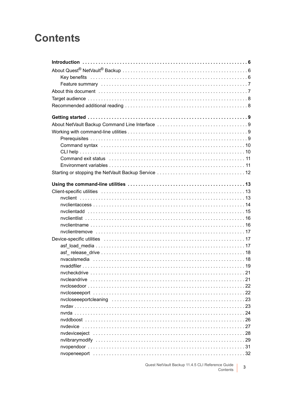## **Contents**

Quest NetVault Backup 11.4.5 CLI Reference Guide<br>Contents  $\overline{3}$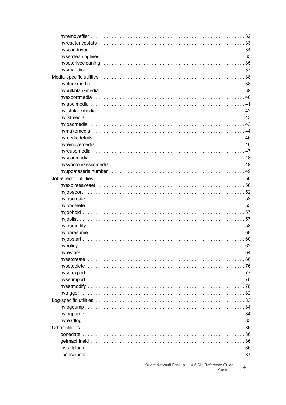Quest NetVault Backup 11.4.5 CLI Reference Guide<br>Contents  $\overline{4}$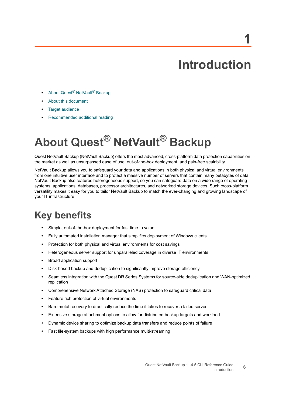# **Introduction**

**1**

- <span id="page-5-0"></span>**•** About Quest[® NetVault® Backup](#page-5-1)
- **•** [About this document](#page-6-1)
- **•** [Target audience](#page-7-0)
- **•** [Recommended additional reading](#page-7-1)

# <span id="page-5-1"></span>**About Quest® NetVault® Backup**

Quest NetVault Backup (NetVault Backup) offers the most advanced, cross-platform data protection capabilities on the market as well as unsurpassed ease of use, out-of-the-box deployment, and pain-free scalability.

NetVault Backup allows you to safeguard your data and applications in both physical and virtual environments from one intuitive user interface and to protect a massive number of servers that contain many petabytes of data. NetVault Backup also features heterogeneous support, so you can safeguard data on a wide range of operating systems, applications, databases, processor architectures, and networked storage devices. Such cross-platform versatility makes it easy for you to tailor NetVault Backup to match the ever-changing and growing landscape of your IT infrastructure.

### <span id="page-5-2"></span>**Key benefits**

- **•** Simple, out-of-the-box deployment for fast time to value
- **•** Fully automated installation manager that simplifies deployment of Windows clients
- **•** Protection for both physical and virtual environments for cost savings
- **•** Heterogeneous server support for unparalleled coverage in diverse IT environments
- **•** Broad application support
- **•** Disk-based backup and deduplication to significantly improve storage efficiency
- **•** Seamless integration with the Quest DR Series Systems for source-side deduplication and WAN-optimized replication
- **•** Comprehensive Network Attached Storage (NAS) protection to safeguard critical data
- **•** Feature rich protection of virtual environments
- **•** Bare metal recovery to drastically reduce the time it takes to recover a failed server
- **•** Extensive storage attachment options to allow for distributed backup targets and workload
- **•** Dynamic device sharing to optimize backup data transfers and reduce points of failure
- **•** Fast file-system backups with high performance multi-streaming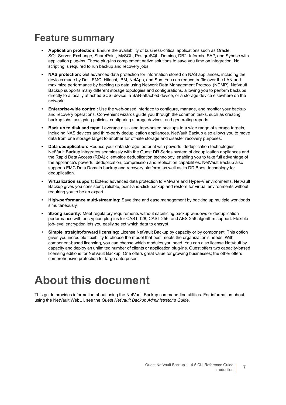### <span id="page-6-0"></span>**Feature summary**

- **Application protection:** Ensure the availability of business-critical applications such as Oracle, SQL Server, Exchange, SharePoint, MySQL, PostgreSQL, Domino, DB2, Informix, SAP, and Sybase with application plug-ins. These plug-ins complement native solutions to save you time on integration. No scripting is required to run backup and recovery jobs.
- **NAS protection:** Get advanced data protection for information stored on NAS appliances, including the devices made by Dell, EMC, Hitachi, IBM, NetApp, and Sun. You can reduce traffic over the LAN and maximize performance by backing up data using Network Data Management Protocol (NDMP). NetVault Backup supports many different storage topologies and configurations, allowing you to perform backups directly to a locally attached SCSI device, a SAN-attached device, or a storage device elsewhere on the network.
- **Enterprise-wide control:** Use the web-based interface to configure, manage, and monitor your backup and recovery operations. Convenient wizards guide you through the common tasks, such as creating backup jobs, assigning policies, configuring storage devices, and generating reports.
- **Back up to disk and tape:** Leverage disk- and tape-based backups to a wide range of storage targets, including NAS devices and third-party deduplication appliances. NetVault Backup also allows you to move data from one storage target to another for off-site storage and disaster recovery purposes.
- **Data deduplication:** Reduce your data storage footprint with powerful deduplication technologies. NetVault Backup integrates seamlessly with the Quest DR Series system of deduplication appliances and the Rapid Data Access (RDA) client-side deduplication technology, enabling you to take full advantage of the appliance's powerful deduplication, compression and replication capabilities. NetVault Backup also supports EMC Data Domain backup and recovery platform, as well as its DD Boost technology for deduplication.
- **Virtualization support:** Extend advanced data protection to VMware and Hyper-V environments. NetVault Backup gives you consistent, reliable, point-and-click backup and restore for virtual environments without requiring you to be an expert.
- **High-performance multi-streaming:** Save time and ease management by backing up multiple workloads simultaneously.
- **Strong security:** Meet regulatory requirements without sacrificing backup windows or deduplication performance with encryption plug-ins for CAST-128, CAST-256, and AES-256 algorithm support. Flexible job-level encryption lets you easily select which data to encrypt.
- **Simple, straight-forward licensing:** License NetVault Backup by capacity or by component. This option gives you incredible flexibility to choose the model that best meets the organization's needs. With component-based licensing, you can choose which modules you need. You can also license NetVault by capacity and deploy an unlimited number of clients or application plug-ins. Quest offers two capacity-based licensing editions for NetVault Backup. One offers great value for growing businesses; the other offers comprehensive protection for large enterprises.

# <span id="page-6-1"></span>**About this document**

This guide provides information about using the NetVault Backup command-line utilities. For information about using the NetVault WebUI, see the *Quest NetVault Backup Administrator's Guide*.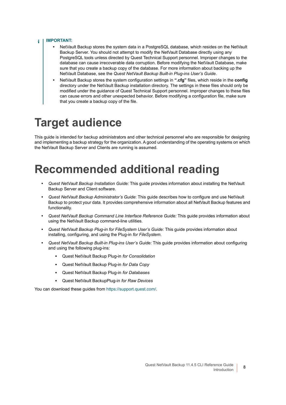#### **IMPORTANT:**  ÷

- **•** NetVault Backup stores the system data in a PostgreSQL database, which resides on the NetVault Backup Server. You should not attempt to modify the NetVault Database directly using any PostgreSQL tools unless directed by Quest Technical Support personnel. Improper changes to the database can cause irrecoverable data corruption. Before modifying the NetVault Database, make sure that you create a backup copy of the database. For more information about backing up the NetVault Database, see the *Quest NetVault Backup Built-in Plug-ins User's Guide*.
- **•** NetVault Backup stores the system configuration settings in **".cfg"** files, which reside in the **config** directory under the NetVault Backup installation directory. The settings in these files should only be modified under the guidance of Quest Technical Support personnel. Improper changes to these files can cause errors and other unexpected behavior. Before modifying a configuration file, make sure that you create a backup copy of the file.

## <span id="page-7-0"></span>**Target audience**

This guide is intended for backup administrators and other technical personnel who are responsible for designing and implementing a backup strategy for the organization. A good understanding of the operating systems on which the NetVault Backup Server and Clients are running is assumed.

# <span id="page-7-1"></span>**Recommended additional reading**

- **•** *Quest NetVault Backup Installation Guide:* This guide provides information about installing the NetVault Backup Server and Client software.
- **•** *Quest NetVault Backup Administrator's Guide*: This guide describes how to configure and use NetVault Backup to protect your data. It provides comprehensive information about all NetVault Backup features and functionality.
- **•** *Quest NetVault Backup Command Line Interface Reference Guide:* This guide provides information about using the NetVault Backup command-line utilities.
- **•** *Quest NetVault Backup Plug-in for FileSystem User's Guide:* This guide provides information about installing, configuring, and using the Plug-in *for FileSystem*.
- **•** *Quest NetVault Backup Built-in Plug-ins User's Guide:* This guide provides information about configuring and using the following plug-ins:
	- **▪** Quest NetVault Backup Plug-in *for Consolidation*
	- **▪** Quest NetVault Backup Plug-in *for Data Copy*
	- **▪** Quest NetVault Backup Plug-in *for Databases*
	- **▪** Quest NetVault BackupPlug-in *for Raw Devices*

You can download these guides from [https://support.quest.com/.](https://support.quest.com/)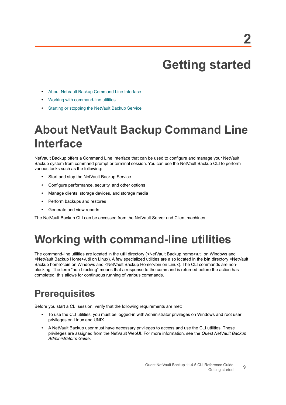# **Getting started**

- <span id="page-8-0"></span>**•** [About NetVault Backup Command Line Interface](#page-8-1)
- **•** [Working with command-line utilities](#page-8-2)
- **•** [Starting or stopping the NetVault Backup Service](#page-11-0)

# <span id="page-8-1"></span>**About NetVault Backup Command Line Interface**

NetVault Backup offers a Command Line Interface that can be used to configure and manage your NetVault Backup system from command prompt or terminal session. You can use the NetVault Backup CLI to perform various tasks such as the following:

- **•** Start and stop the NetVault Backup Service
- **•** Configure performance, security, and other options
- **•** Manage clients, storage devices, and storage media
- **•** Perform backups and restores
- **•** Generate and view reports

The NetVault Backup CLI can be accessed from the NetVault Server and Client machines.

## <span id="page-8-2"></span>**Working with command-line utilities**

The command-line utilities are located in the **util** directory (<NetVault Backup home>\util on Windows and <NetVault Backup Home>/util on Linux). A few specialized utilities are also located in the **bin** directory <NetVault Backup home>\bin on Windows and <NetVault Backup Home>/bin on Linux). The CLI commands are nonblocking. The term "non-blocking" means that a response to the command is returned before the action has completed; this allows for continuous running of various commands.

## <span id="page-8-3"></span>**Prerequisites**

Before you start a CLI session, verify that the following requirements are met:

- **•** To use the CLI utilities, you must be logged-in with Administrator privileges on Windows and root user privileges on Linux and UNIX.
- **•** A NetVault Backup user must have necessary privileges to access and use the CLI utilities. These privileges are assigned from the NetVault WebUI. For more information, see the *Quest NetVault Backup Administrator's Guide*.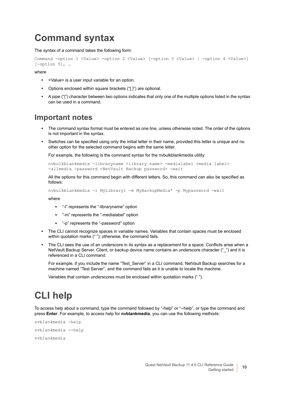### <span id="page-9-0"></span>**Command syntax**

The syntax of a command takes the following form:

```
Command -option 1 <Value> -option 2 <Value> [-option 3 <Value> | -option 4 <Value>] 
[-option 5], ...
```
where

- **•** <Value> is a user input variable for an option.
- **•** Options enclosed within square brackets ("[ ]") are optional.
- **•** A pipe ("|") character between two options indicates that only one of the multiple options listed in the syntax can be used in a command.

#### **Important notes**

- **•** The command syntax format must be entered as one line, unless otherwise noted. The order of the options is not important in the syntax.
- **•** Switches can be specified using only the initial letter in their name, provided this letter is unique and no other option for the selected command begins with the same letter.

For example, the following is the command syntax for the nvbulkblankmedia utility:

```
nvbulkblankmedia -libraryname <library name> -medialabel <media label> 
-allmedia -password <NetVault Backup password> -wait
```
All the options for this command begin with different letters. So, this command can also be specified as follows:

```
nvbulkblankmedia -l MyLibrary1 -m MyBackupMedia* -p Mypassword -wait
```
where

- **▪** "-l" represents the "-libraryname" option
- **▪** "-m" represents the "-medialabel" option
- **▪** "-p" represents the "-password" option
- **•** The CLI cannot recognize spaces in variable names. Variables that contain spaces must be enclosed within quotation marks (""); otherwise, the command fails.
- The CLI sees the use of an underscore in its syntax as a replacement for a space. Conflicts arise when a NetVault Backup Server, Client, or backup device name contains an underscore character ("\_") and it is referenced in a CLI command.

For example, if you include the name "Test Server" in a CLI command, NetVault Backup searches for a machine named "Test Server", and the command fails as it is unable to locate the machine.

Variables that contain underscores must be enclosed within quotation marks (" ").

## <span id="page-9-1"></span>**CLI help**

To access help about a command, type the command followed by "-help" or "--help", or type the command and press **Enter**. For example, to access help for **nvblankmedia**, you can use the following methods:

```
nvblankmedia -help
nvblankmedia --help
nvblankmedia
```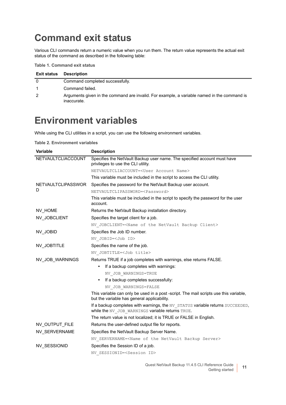### <span id="page-10-0"></span>**Command exit status**

Various CLI commands return a numeric value when you run them. The return value represents the actual exit status of the command as described in the following table:

**Table 1. Command exit status**

| <b>Exit status</b> | Description                                                                                                |
|--------------------|------------------------------------------------------------------------------------------------------------|
| 0                  | Command completed successfully.                                                                            |
|                    | Command failed.                                                                                            |
| 2                  | Arguments given in the command are invalid. For example, a variable named in the command is<br>inaccurate. |

### <span id="page-10-1"></span>**Environment variables**

While using the CLI utilities in a script, you can use the following environment variables.

**Table 2. Environment variables**

| <b>Variable</b>           | <b>Description</b>                                                                                                                   |
|---------------------------|--------------------------------------------------------------------------------------------------------------------------------------|
| NETVAULTCLIACCOUNT        | Specifies the NetVault Backup user name. The specified account must have<br>privileges to use the CLI utility.                       |
|                           | NETVAULTCLIACCOUNT= <user account="" name=""></user>                                                                                 |
|                           | This variable must be included in the script to access the CLI utility.                                                              |
| <b>NETVAULTCLIPASSWOR</b> | Specifies the password for the NetVault Backup user account.                                                                         |
| D                         | NETVAULTCLIPASSWORD= <password></password>                                                                                           |
|                           | This variable must be included in the script to specify the password for the user<br>account.                                        |
| NV HOME                   | Returns the NetVault Backup installation directory.                                                                                  |
| NV_JOBCLIENT              | Specifies the target client for a job.                                                                                               |
|                           | NV JOBCLIENT= <name backup="" client="" netvault="" of="" the=""></name>                                                             |
| NV_JOBID                  | Specifies the Job ID number.                                                                                                         |
|                           | NV JOBID= <job id=""></job>                                                                                                          |
| NV_JOBTITLE               | Specifies the name of the job.                                                                                                       |
|                           | NV JOBTITLE= <job title=""></job>                                                                                                    |
| NV_JOB_WARNINGS           | Returns TRUE if a job completes with warnings, else returns FALSE.                                                                   |
|                           | If a backup completes with warnings:                                                                                                 |
|                           | NV JOB WARNINGS=TRUE                                                                                                                 |
|                           | If a backup completes successfully:                                                                                                  |
|                           | NV JOB WARNINGS=FALSE                                                                                                                |
|                           | This variable can only be used in a post -script. The mail scripts use this variable,<br>but the variable has general applicability. |
|                           | If a backup completes with warnings, the NV STATUS variable returns SUCCEEDED,<br>while the NV_JOB_WARNINGS variable returns TRUE.   |
|                           | The return value is not localized; it is TRUE or FALSE in English.                                                                   |
| NV_OUTPUT_FILE            | Returns the user-defined output file for reports.                                                                                    |
| NV_SERVERNAME             | Specifies the NetVault Backup Server Name.                                                                                           |
|                           | NV SERVERNAME= <name backup="" netvault="" of="" server="" the=""></name>                                                            |
| NV_SESSIONID              | Specifies the Session ID of a job.                                                                                                   |
|                           | NV SESSIONID= <session id=""></session>                                                                                              |
|                           |                                                                                                                                      |

Quest NetVault Backup 11.4.5 CLI Reference Guide | eference Guide<br>
Getting started **11**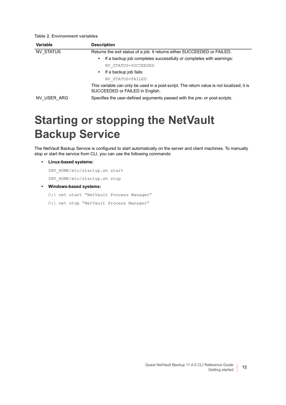| Variable    | <b>Description</b>                                                                                                           |
|-------------|------------------------------------------------------------------------------------------------------------------------------|
| NV STATUS   | Returns the exit status of a job. It returns either SUCCEEDED or FAILED.                                                     |
|             | If a backup job completes successfully or completes with warnings:<br>٠                                                      |
|             | NV STATUS=SUCCEEDED                                                                                                          |
|             | If a backup job fails:<br>$\bullet$                                                                                          |
|             | NV STATUS=FAILED                                                                                                             |
|             | This variable can only be used in a post-script. The return value is not localized; it is<br>SUCCEEDED or FAILED in English. |
| NV USER ARG | Specifies the user-defined arguments passed with the pre- or post-scripts.                                                   |

# <span id="page-11-0"></span>**Starting or stopping the NetVault Backup Service**

The NetVault Backup Service is configured to start automatically on the server and client machines. To manually stop or start the service from CLI, you can use the following commands:

**• Linux-based systems:**

**Table 2. Environment variables**

\$NV\_HOME/etc/startup.sh start

\$NV\_HOME/etc/startup.sh stop

- **Windows-based systems:**
	- C:\ net start "NetVault Process Manager"
	- C:\ net stop "NetVault Process Manager"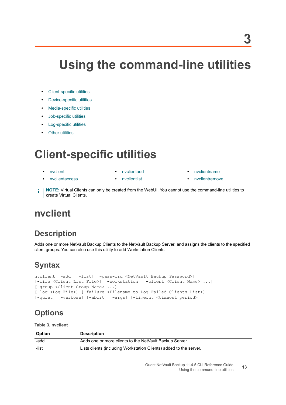# <span id="page-12-0"></span>**Using the command-line utilities**

- **•** [Client-specific utilities](#page-12-1)
- **•** [Device-specific utilities](#page-16-1)
- **•** [Media-specific utilities](#page-37-0)
- **•** [Job-specific utilities](#page-49-0)
- **•** [Log-specific utilities](#page-82-0)
- **•** [Other utilities](#page-85-0)

# <span id="page-12-1"></span>**Client-specific utilities**

- 
- **•** [nvclient](#page-12-2) **•** [nvclientadd](#page-14-0) **•** [nvclientname](#page-15-1)
- **•** [nvclientaccess](#page-13-0) **•** [nvclientlist](#page-15-0) **•** [nvclientremove](#page-16-0)
- **NOTE:** Virtual Clients can only be created from the WebUI. You cannot use the command-line utilities to f. create Virtual Clients.

### <span id="page-12-2"></span>**nvclient**

#### **Description**

Adds one or more NetVault Backup Clients to the NetVault Backup Server, and assigns the clients to the specified client groups. You can also use this utility to add Workstation Clients.

#### **Syntax**

```
nvclient [-add] [-list] [-password <NetVault Backup Password>] 
[-file <Client List File>] [-workstation | -client <Client Name> ...] 
[-group <Client Group Name> ...] 
[-log <Log File>] [-failure <Filename to Log Failed Clients List>] 
[-quiet] [-verbose] [-abort] [-args] [-timeout <timeout period>]
```
#### **Options**

**Table 3. nvclient**

| <b>Option</b> | <b>Description</b>                                                 |
|---------------|--------------------------------------------------------------------|
| -add          | Adds one or more clients to the NetVault Backup Server.            |
| -list         | Lists clients (including Workstation Clients) added to the server. |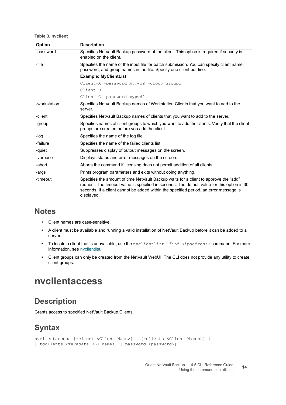**Table 3. nvclient**

| <b>Option</b> | <b>Description</b>                                                                                                                                                                                                                                                                         |
|---------------|--------------------------------------------------------------------------------------------------------------------------------------------------------------------------------------------------------------------------------------------------------------------------------------------|
| -password     | Specifies NetVault Backup password of the client. This option is required if security is<br>enabled on the client.                                                                                                                                                                         |
| -file         | Specifies the name of the input file for batch submission. You can specify client name,<br>password, and group names in the file. Specify one client per line.                                                                                                                             |
|               | <b>Example: MyClientList</b>                                                                                                                                                                                                                                                               |
|               | Client-A -password mypwd2 -group Group1                                                                                                                                                                                                                                                    |
|               | Client-B                                                                                                                                                                                                                                                                                   |
|               | Client-C -password mypwd2                                                                                                                                                                                                                                                                  |
| -workstation  | Specifies NetVault Backup names of Workstation Clients that you want to add to the<br>server.                                                                                                                                                                                              |
| -client       | Specifies NetVault Backup names of clients that you want to add to the server.                                                                                                                                                                                                             |
| -group        | Specifies names of client groups to which you want to add the clients. Verify that the client<br>groups are created before you add the client.                                                                                                                                             |
| -log          | Specifies the name of the log file.                                                                                                                                                                                                                                                        |
| -failure      | Specifies the name of the failed clients list.                                                                                                                                                                                                                                             |
| -quiet        | Suppresses display of output messages on the screen.                                                                                                                                                                                                                                       |
| -verbose      | Displays status and error messages on the screen.                                                                                                                                                                                                                                          |
| -abort        | Aborts the command if licensing does not permit addition of all clients.                                                                                                                                                                                                                   |
| -args         | Prints program parameters and exits without doing anything.                                                                                                                                                                                                                                |
| -timeout      | Specifies the amount of time NetVault Backup waits for a client to approve the "add"<br>request. The timeout value is specified in seconds. The default value for this option is 30<br>seconds. If a client cannot be added within the specified period, an error message is<br>displayed. |

#### **Notes**

- **•** Client names are case-sensitive.
- **•** A client must be available and running a valid installation of NetVault Backup before it can be added to a server.
- To locate a client that is unavailable, use the nvclientlist -find <ipaddress> command. For more information, see [nvclientlist.](#page-15-0)
- **•** Client groups can only be created from the NetVault WebUI. The CLI does not provide any utility to create client groups.

#### <span id="page-13-0"></span>**nvclientaccess**

#### **Description**

Grants access to specified NetVault Backup Clients.

#### **Syntax**

```
nvclientaccess [-client <Client Name>] | [-clients <Client Names>] | 
[-tdclients <Teradata DBS name>] [-password <password>]
```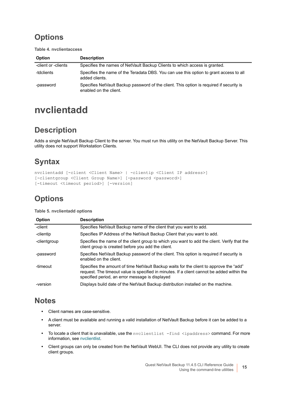**Table 4. nvclientaccess**

| <b>Option</b>       | <b>Description</b>                                                                                                 |
|---------------------|--------------------------------------------------------------------------------------------------------------------|
| -client or -clients | Specifies the names of NetVault Backup Clients to which access is granted.                                         |
| -tdclients          | Specifies the name of the Teradata DBS. You can use this option to grant access to all<br>added clients.           |
| -password           | Specifies NetVault Backup password of the client. This option is required if security is<br>enabled on the client. |

### <span id="page-14-0"></span>**nvclientadd**

#### **Description**

Adds a single NetVault Backup Client to the server. You must run this utility on the NetVault Backup Server. This utility does not support Workstation Clients.

### **Syntax**

```
nvclientadd [-client <Client Name> | -clientip <Client IP address>] 
[-clientgroup <Client Group Name>] [-password <password>]
[-timeout <timeout period>] [-version]
```
### **Options**

**Table 5. nvclientadd options**

| <b>Option</b> | <b>Description</b>                                                                                                                                                                                                                      |
|---------------|-----------------------------------------------------------------------------------------------------------------------------------------------------------------------------------------------------------------------------------------|
| -client       | Specifies NetVault Backup name of the client that you want to add.                                                                                                                                                                      |
| -clientip     | Specifies IP Address of the NetVault Backup Client that you want to add.                                                                                                                                                                |
| -clientgroup  | Specifies the name of the client group to which you want to add the client. Verify that the<br>client group is created before you add the client.                                                                                       |
| -password     | Specifies NetVault Backup password of the client. This option is required if security is<br>enabled on the client.                                                                                                                      |
| -timeout      | Specifies the amount of time NetVault Backup waits for the client to approve the "add"<br>request. The timeout value is specified in minutes. If a client cannot be added within the<br>specified period, an error message is displayed |
| -version      | Displays build date of the NetVault Backup distribution installed on the machine.                                                                                                                                                       |

#### **Notes**

- **•** Client names are case-sensitive.
- **•** A client must be available and running a valid installation of NetVault Backup before it can be added to a server.
- To locate a client that is unavailable, use the nvclientlist -find <ipaddress> command. For more information, see [nvclientlist.](#page-15-0)
- **•** Client groups can only be created from the NetVault WebUI. The CLI does not provide any utility to create client groups.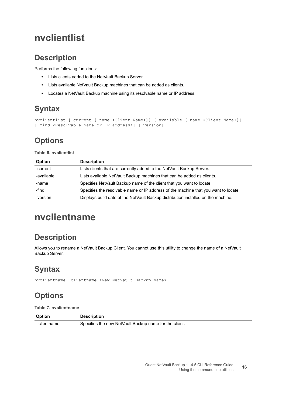### <span id="page-15-0"></span>**nvclientlist**

#### **Description**

Performs the following functions:

- **•** Lists clients added to the NetVault Backup Server.
- **•** Lists available NetVault Backup machines that can be added as clients.
- **•** Locates a NetVault Backup machine using its resolvable name or IP address.

#### **Syntax**

```
nvclientlist [-current [-name <Client Name>]] [-available [-name <Client Name>]] 
[-find <Resolvable Name or IP address>] [-version]
```
### **Options**

**Table 6. nvclientlist**

| <b>Option</b> | <b>Description</b>                                                                  |
|---------------|-------------------------------------------------------------------------------------|
| -current      | Lists clients that are currently added to the NetVault Backup Server.               |
| -available    | Lists available NetVault Backup machines that can be added as clients.              |
| -name         | Specifies Net Vault Backup name of the client that you want to locate.              |
| -find         | Specifies the resolvable name or IP address of the machine that you want to locate. |
| -version      | Displays build date of the NetVault Backup distribution installed on the machine.   |

## <span id="page-15-1"></span>**nvclientname**

#### **Description**

Allows you to rename a NetVault Backup Client. You cannot use this utility to change the name of a NetVault Backup Server.

### **Syntax**

nvclientname -clientname <New NetVault Backup name>

### **Options**

**Table 7. nvclientname**

| <b>Option</b> | <b>Description</b>                                     |
|---------------|--------------------------------------------------------|
| -clientname   | Specifies the new NetVault Backup name for the client. |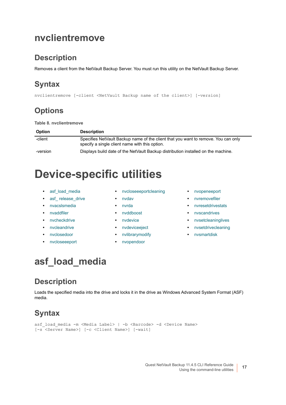### <span id="page-16-0"></span>**nvclientremove**

#### **Description**

Removes a client from the NetVault Backup Server. You must run this utility on the NetVault Backup Server.

### **Syntax**

nvclientremove [-client <NetVault Backup name of the client>] [-version]

#### **Options**

**Table 8. nvclientremove**

| <b>Option</b> | <b>Description</b>                                                                                                                   |
|---------------|--------------------------------------------------------------------------------------------------------------------------------------|
| -client       | Specifies NetVault Backup name of the client that you want to remove. You can only<br>specify a single client name with this option. |
| -version      | Displays build date of the NetVault Backup distribution installed on the machine.                                                    |

## <span id="page-16-1"></span>**Device-specific utilities**

- 
- asf release drive **•** [nvdav](#page-22-1) **•** [nvremovefiler](#page-31-1)
- 
- 
- 
- 
- 
- 
- asf load media **•** [nvcloseeeportcleaning](#page-22-0) [nvopeneeport](#page-31-0)
	-
	-
	-
	-
	-
- **•** [nvclosedoor](#page-21-0) **•** [nvlibrarymodify](#page-28-0) **•** [nvsmartdisk](#page-36-0)
- **•** [nvcloseeeport](#page-21-1) **•** [nvopendoor](#page-30-0)
- 
- 
- **•** [nvacslsmedia](#page-17-1) **•** [nvrda](#page-23-0) **•** [nvresetdrivestats](#page-32-0)
- [nvaddfiler](#page-18-0) **•** [nvddboost](#page-25-0) [nvscandrives](#page-33-0)
- [nvcheckdrive](#page-20-0) **•** [nvdevice](#page-26-0) **•** *•* nvdevice **•** *•* [nvsetcleaninglives](#page-34-0)
- **•** [nvcleandrive](#page-20-1) **•** [nvdeviceeject](#page-27-0) **•** [nvsetdrivecleaning](#page-34-1)
	-

### <span id="page-16-2"></span>**asf\_load\_media**

#### **Description**

Loads the specified media into the drive and locks it in the drive as Windows Advanced System Format (ASF) media.

#### **Syntax**

```
asf load media -m <Media Label> | -b <Barcode> -d <Device Name>
[-s <Server Name>] [-c <Client Name>] [-wait]
```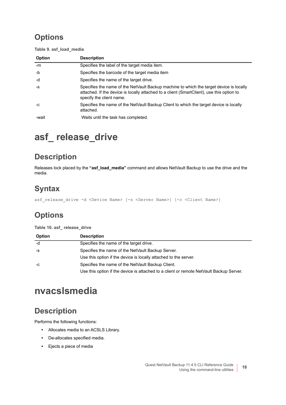**Table 9. asf\_load\_media**

| <b>Option</b> | <b>Description</b>                                                                                                                                                                                               |
|---------------|------------------------------------------------------------------------------------------------------------------------------------------------------------------------------------------------------------------|
| -m            | Specifies the label of the target media item.                                                                                                                                                                    |
| $-b$          | Specifies the barcode of the target media item                                                                                                                                                                   |
| -d            | Specifies the name of the target drive.                                                                                                                                                                          |
| $-S$          | Specifies the name of the NetVault Backup machine to which the target device is locally<br>attached. If the device is locally attached to a client (SmartClient), use this option to<br>specify the client name. |
| $-C$          | Specifies the name of the NetVault Backup Client to which the target device is locally<br>attached.                                                                                                              |
| -wait         | Waits until the task has completed.                                                                                                                                                                              |

## <span id="page-17-0"></span>**asf\_ release\_drive**

#### **Description**

Releases lock placed by the **"asf\_load\_media"** command and allows NetVault Backup to use the drive and the media.

#### **Syntax**

asf\_release\_drive -d <Device Name> [-s <Server Name>] [-c <Client Name>]

### **Options**

**Table 10. asf\_ release\_drive**

| <b>Option</b> | <b>Description</b>                                                                      |
|---------------|-----------------------------------------------------------------------------------------|
| -d            | Specifies the name of the target drive.                                                 |
| -S            | Specifies the name of the NetVault Backup Server.                                       |
|               | Use this option if the device is locally attached to the server.                        |
| -C            | Specifies the name of the NetVault Backup Client.                                       |
|               | Use this option if the device is attached to a client or remote NetVault Backup Server. |

### <span id="page-17-1"></span>**nvacslsmedia**

#### **Description**

Performs the following functions:

- **•** Allocates media to an ACSLS Library.
- **•** De-allocates specified media.
- **•** Ejects a piece of media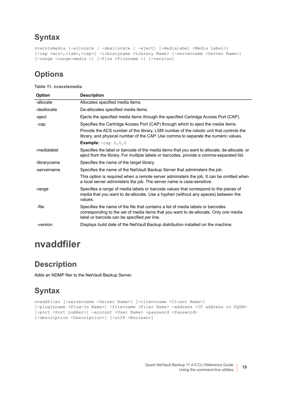#### **Syntax**

```
nvacslsmedia [-allocate | -deallocate | -eject] [-medialabel <Media Label>] 
[-cap <acs>,<lsm>,<cap>] -libraryname <Library Name> [-servername <Server Name>] 
[-range <range-media >] [-file <Filename >] [-version]
```
### **Options**

**Table 11. nvacslsmedia**

| <b>Option</b> | <b>Description</b>                                                                                                                                                                                                     |
|---------------|------------------------------------------------------------------------------------------------------------------------------------------------------------------------------------------------------------------------|
| -allocate     | Allocates specified media items.                                                                                                                                                                                       |
| -deallocate   | De-allocates specified media items.                                                                                                                                                                                    |
| -eject        | Ejects the specified media items through the specified Cartridge Access Port (CAP).                                                                                                                                    |
| -cap          | Specifies the Cartridge Access Port (CAP) through which to eject the media items.                                                                                                                                      |
|               | Provide the ACS number of the library, LSM number of the robotic unit that controls the<br>library, and physical number of the CAP. Use comma to separate the numeric values.                                          |
|               | <b>Example:</b> $-cap 0, 0, 0$                                                                                                                                                                                         |
| -medialabel   | Specifies the label or barcode of the media items that you want to allocate, de-allocate, or<br>eject from the library. For multiple labels or barcodes, provide a comma-separated list.                               |
| -libraryname  | Specifies the name of the target library.                                                                                                                                                                              |
| -servername   | Specifies the name of the NetVault Backup Server that administers the job.                                                                                                                                             |
|               | This option is required when a remote server administers the job. It can be omitted when<br>a local server administers the job. The server name is case-sensitive.                                                     |
| -range        | Specifies a range of media labels or barcode values that correspond to the pieces of<br>media that you want to de-allocate. Use a hyphen (without any spaces) between the<br>values.                                   |
| -file         | Specifies the name of the file that contains a list of media labels or barcodes<br>corresponding to the set of media items that you want to de-allocate. Only one media<br>label or barcode can be specified per line. |
| -version      | Displays build date of the NetVault Backup distribution installed on the machine.                                                                                                                                      |
|               |                                                                                                                                                                                                                        |

### <span id="page-18-0"></span>**nvaddfiler**

#### **Description**

Adds an NDMP filer to the NetVault Backup Server.

#### **Syntax**

```
nvaddfiler [-servername <Server Name>] [-clientname <Client Name>] 
[-pluginname <Plug-in Name>] -filername <Filer Name> -address <IP address or FQDN> 
[-port <Port number>] -account <User Name> -password <Password> 
[-description <Description>] [-utf8 <Boolean>]
```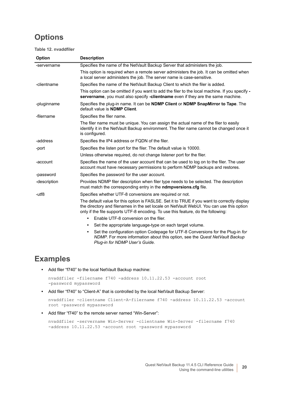**Table 12. nvaddfiler**

| Option       | <b>Description</b>                                                                                                                                                                                                                                                           |
|--------------|------------------------------------------------------------------------------------------------------------------------------------------------------------------------------------------------------------------------------------------------------------------------------|
| -servername  | Specifies the name of the NetVault Backup Server that administers the job.                                                                                                                                                                                                   |
|              | This option is required when a remote server administers the job. It can be omitted when<br>a local server administers the job. The server name is case-sensitive.                                                                                                           |
| -clientname  | Specifies the name of the NetVault Backup Client to which the filer is added.                                                                                                                                                                                                |
|              | This option can be omitted if you want to add the filer to the local machine. If you specify -<br>servername, you must also specify -clientname even if they are the same machine.                                                                                           |
| -pluginname  | Specifies the plug-in name. It can be <b>NDMP Client</b> or <b>NDMP SnapMirror to Tape</b> . The<br>default value is <b>NDMP Client</b> .                                                                                                                                    |
| -filername   | Specifies the filer name.                                                                                                                                                                                                                                                    |
|              | The filer name must be unique. You can assign the actual name of the filer to easily<br>identify it in the NetVault Backup environment. The filer name cannot be changed once it<br>is configured.                                                                           |
| -address     | Specifies the IP4 address or FQDN of the filer.                                                                                                                                                                                                                              |
| -port        | Specifies the listen port for the filer. The default value is 10000.                                                                                                                                                                                                         |
|              | Unless otherwise required, do not change listener port for the filer.                                                                                                                                                                                                        |
| -account     | Specifies the name of the user account that can be used to log on to the filer. The user<br>account must have necessary permissions to perform NDMP backups and restores.                                                                                                    |
| -password    | Specifies the password for the user account.                                                                                                                                                                                                                                 |
| -description | Provides NDMP filer description when filer type needs to be selected. The description<br>must match the corresponding entry in the <b>ndmpversions.cfg</b> file.                                                                                                             |
| -utf8        | Specifies whether UTF-8 conversions are required or not.                                                                                                                                                                                                                     |
|              | The default value for this option is FASLSE. Set it to TRUE if you want to correctly display<br>the directory and filenames in the set locale on NetVault WebUI. You can use this option<br>only if the file supports UTF-8 encoding. To use this feature, do the following: |
|              | Enable UTF-8 conversion on the filer.<br>$\bullet$                                                                                                                                                                                                                           |
|              | Set the appropriate language-type on each target volume.<br>٠                                                                                                                                                                                                                |
|              | Set the configuration option Codepage for UTF-8 Conversions for the Plug-in for<br>٠<br>NDMP. For more information about this option, see the Quest NetVault Backup<br>Plug-in for NDMP User's Guide.                                                                        |

#### **Examples**

**•** Add filer "f740" to the local NetVault Backup machine:

```
nvaddfiler -filername f740 -address 10.11.22.53 -account root 
-password mypassword
```
**•** Add filer "f740" to "Client-A" that is controlled by the local NetVault Backup Server:

```
nvaddfiler -clientname Client-A-filername f740 -address 10.11.22.53 -account 
root -password mypassword
```
**•** Add filter "f740" to the remote server named "Win-Server":

```
nvaddfiler -servername Win-Server -clientname Win-Server -filername f740 
-address 10.11.22.53 -account root -password mypassword
```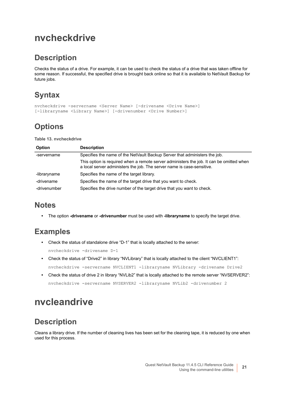### <span id="page-20-0"></span>**nvcheckdrive**

#### **Description**

Checks the status of a drive. For example, it can be used to check the status of a drive that was taken offline for some reason. If successful, the specified drive is brought back online so that it is available to NetVault Backup for future jobs.

### **Syntax**

```
nvcheckdrive -servername <Server Name> [-drivename <Drive Name>] 
[-libraryname <Library Name>] [-drivenumber <Drive Number>]
```
### **Options**

**Table 13. nvcheckdrive**

| <b>Option</b> | <b>Description</b>                                                                                                                                                 |
|---------------|--------------------------------------------------------------------------------------------------------------------------------------------------------------------|
| -servername   | Specifies the name of the NetVault Backup Server that administers the job.                                                                                         |
|               | This option is required when a remote server administers the job. It can be omitted when<br>a local server administers the job. The server name is case-sensitive. |
| -libraryname  | Specifies the name of the target library.                                                                                                                          |
| -drivename    | Specifies the name of the target drive that you want to check.                                                                                                     |
| -drivenumber  | Specifies the drive number of the target drive that you want to check.                                                                                             |

#### **Notes**

**•** The option **-drivename** or **-drivenumber** must be used with **-libraryname** to specify the target drive.

#### **Examples**

- **•** Check the status of standalone drive "D-1" that is locally attached to the server: nvcheckdrive -drivename D-1
- **•** Check the status of "Drive2" in library "NVLibrary" that is locally attached to the client "NVCLIENT1": nvcheckdrive -servername NVCLIENT1 -libraryname NVLibrary -drivename Drive2
- **•** Check the status of drive 2 in library "NVLib2" that is locally attached to the remote server "NVSERVER2": nvcheckdrive -servername NVSERVER2 -libraryname NVLib2 -drivenumber 2

## <span id="page-20-1"></span>**nvcleandrive**

#### **Description**

Cleans a library drive. If the number of cleaning lives has been set for the cleaning tape, it is reduced by one when used for this process.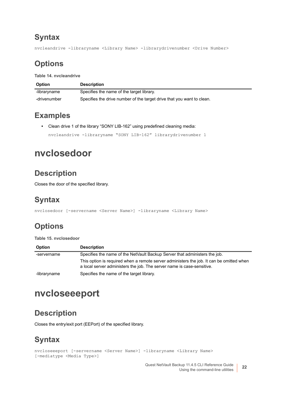#### **Syntax**

nvcleandrive -libraryname <Library Name> -librarydrivenumber <Drive Number>

#### **Options**

**Table 14. nvcleandrive**

| <b>Option</b> | <b>Description</b>                                                     |
|---------------|------------------------------------------------------------------------|
| -libraryname  | Specifies the name of the target library.                              |
| -drivenumber  | Specifies the drive number of the target drive that you want to clean. |

#### **Examples**

**•** Clean drive 1 of the library "SONY LIB-162" using predefined cleaning media:

nvcleandrive -libraryname "SONY LIB-162" librarydrivenumber 1

### <span id="page-21-0"></span>**nvclosedoor**

#### **Description**

Closes the door of the specified library.

#### **Syntax**

nvclosedoor [-servername <Server Name>] -libraryname <Library Name>

### **Options**

#### **Table 15. nvclosedoor**

| Option       | <b>Description</b>                                                                                                                                                 |
|--------------|--------------------------------------------------------------------------------------------------------------------------------------------------------------------|
| -servername  | Specifies the name of the NetVault Backup Server that administers the job.                                                                                         |
|              | This option is required when a remote server administers the job. It can be omitted when<br>a local server administers the job. The server name is case-sensitive. |
| -libraryname | Specifies the name of the target library.                                                                                                                          |

### <span id="page-21-1"></span>**nvcloseeeport**

#### **Description**

Closes the entry/exit port (EEPort) of the specified library.

#### **Syntax**

```
nvcloseeeport [-servername <Server Name>] -libraryname <Library Name> 
[-mediatype <Media Type>]
```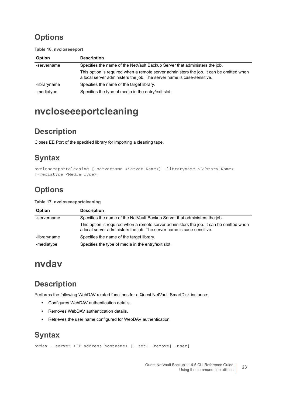**Table 16. nvcloseeeport**

| <b>Option</b> | <b>Description</b>                                                                                                                                                 |
|---------------|--------------------------------------------------------------------------------------------------------------------------------------------------------------------|
| -servername   | Specifies the name of the NetVault Backup Server that administers the job.                                                                                         |
|               | This option is required when a remote server administers the job. It can be omitted when<br>a local server administers the job. The server name is case-sensitive. |
| -libraryname  | Specifies the name of the target library.                                                                                                                          |
| -mediatype    | Specifies the type of media in the entry/exit slot.                                                                                                                |

### <span id="page-22-0"></span>**nvcloseeeportcleaning**

#### **Description**

Closes EE Port of the specified library for importing a cleaning tape.

#### **Syntax**

```
nvcloseeeportcleaning [-servername <Server Name>] -libraryname <Library Name> 
[-mediatype <Media Type>]
```
### **Options**

#### **Table 17. nvcloseeeportcleaning**

| <b>Option</b> | <b>Description</b>                                                                                                                                                 |
|---------------|--------------------------------------------------------------------------------------------------------------------------------------------------------------------|
| -servername   | Specifies the name of the NetVault Backup Server that administers the job.                                                                                         |
|               | This option is required when a remote server administers the job. It can be omitted when<br>a local server administers the job. The server name is case-sensitive. |
| -libraryname  | Specifies the name of the target library.                                                                                                                          |
| -mediatype    | Specifies the type of media in the entry/exit slot.                                                                                                                |

### <span id="page-22-1"></span>**nvdav**

#### **Description**

Performs the following WebDAV-related functions for a Quest NetVault SmartDisk instance:

- **•** Configures WebDAV authentication details.
- **•** Removes WebDAV authentication details.
- **•** Retrieves the user name configured for WebDAV authentication.

#### **Syntax**

```
nvdav --server <IP address|hostname> [--set|--remove|--user]
```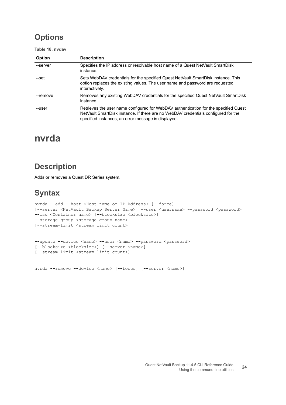**Table 18. nvdav**

| <b>Option</b> | <b>Description</b>                                                                                                                                                                                                                |
|---------------|-----------------------------------------------------------------------------------------------------------------------------------------------------------------------------------------------------------------------------------|
| --server      | Specifies the IP address or resolvable host name of a Quest NetVault SmartDisk<br>instance.                                                                                                                                       |
| --set         | Sets WebDAV credentials for the specified Quest NetVault SmartDisk instance. This<br>option replaces the existing values. The user name and password are requested<br>interactively.                                              |
| --remove      | Removes any existing WebDAV credentials for the specified Quest NetVault SmartDisk<br>instance.                                                                                                                                   |
| --user        | Retrieves the user name configured for WebDAV authentication for the specified Quest<br>NetVault SmartDisk instance. If there are no WebDAV credentials configured for the<br>specified instances, an error message is displayed. |

#### <span id="page-23-0"></span>**nvrda**

#### **Description**

Adds or removes a Quest DR Series system.

#### **Syntax**

```
nvrda --add --host <Host name or IP Address> [--force] 
[--server <NetVault Backup Server Name>] --user <username> --password <password> 
--lsu <Container name> [--blocksize <blocksize>] 
--storage-group <storage group name>
[--stream-limit <stream limit count>]
```

```
--update --device <name> --user <name> --password <password>
[--blocksize <blocksize>] [--server <name>] 
[--stream-limit <stream limit count>]
```
nvrda --remove --device <name> [--force] [--server <name>]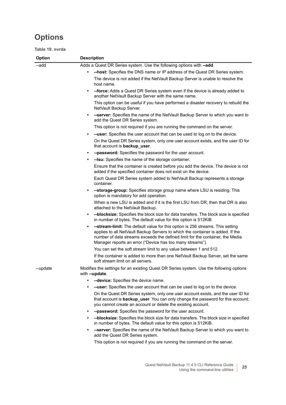**Table 19. nvrda**

| Option   | <b>Description</b>                                                                                                                                                                                                                                                                                              |
|----------|-----------------------------------------------------------------------------------------------------------------------------------------------------------------------------------------------------------------------------------------------------------------------------------------------------------------|
| --add    | Adds a Quest DR Series system. Use the following options with --add.                                                                                                                                                                                                                                            |
|          | -host: Specifies the DNS name or IP address of the Quest DR Series system.<br>$\bullet$                                                                                                                                                                                                                         |
|          | The device is not added if the NetVault Backup Server is unable to resolve the<br>host name.                                                                                                                                                                                                                    |
|          | <b>--force:</b> Adds a Quest DR Series system even if the device is already added to<br>another NetVault Backup Server with the same name.                                                                                                                                                                      |
|          | This option can be useful if you have performed a disaster recovery to rebuild the<br>NetVault Backup Server.                                                                                                                                                                                                   |
|          | --server: Specifies the name of the NetVault Backup Server to which you want to<br>$\bullet$<br>add the Quest DR Series system.                                                                                                                                                                                 |
|          | This option is not required if you are running the command on the server.                                                                                                                                                                                                                                       |
|          | --user: Specifies the user account that can be used to log on to the device.                                                                                                                                                                                                                                    |
|          | On the Quest DR Series system, only one user account exists, and the user ID for<br>that account is backup_user.                                                                                                                                                                                                |
|          | --password: Specifies the password for the user account.<br>$\bullet$                                                                                                                                                                                                                                           |
|          | -- Isu: Specifies the name of the storage container.                                                                                                                                                                                                                                                            |
|          | Ensure that the container is created before you add the device. The device is not<br>added if the specified container does not exist on the device.                                                                                                                                                             |
|          | Each Quest DR Series system added to NetVault Backup represents a storage<br>container.                                                                                                                                                                                                                         |
|          | --storage-group: Specifies storage group name where LSU is residing. This<br>$\bullet$<br>option is mandatory for add operation.                                                                                                                                                                                |
|          | When a new LSU is added and if it is the first LSU from DR, then that DR is also<br>attached to the NetVault Backup.                                                                                                                                                                                            |
|          | --blocksize: Specifies the block size for data transfers. The block size is specified<br>in number of bytes. The default value for this option is 512KiB.                                                                                                                                                       |
|          | -- stream-limit: The default value for this option is 256 streams. This setting<br>applies to all NetVault Backup Servers to which the container is added. If the<br>number of data streams exceeds the defined limit for the container, the Media<br>Manager reports an error ("Device has too many streams"). |
|          | You can set the soft stream limit to any value between 1 and 512.                                                                                                                                                                                                                                               |
|          | If the container is added to more than one NetVault Backup Server, set the same<br>soft stream limit on all servers.                                                                                                                                                                                            |
| --update | Modifies the settings for an existing Quest DR Series system. Use the following options<br>with --update.                                                                                                                                                                                                       |
|          | --device: Specifies the device name.                                                                                                                                                                                                                                                                            |
|          | <b>--user:</b> Specifies the user account that can be used to log on to the device.                                                                                                                                                                                                                             |
|          | On the Quest DR Series system, only one user account exists, and the user ID for<br>that account is <b>backup_user</b> . You can only change the password for this account;<br>you cannot create an account or delete the existing account.                                                                     |
|          | --password: Specifies the password for the user account.                                                                                                                                                                                                                                                        |
|          | --blocksize: Specifies the block size for data transfers. The block size in specified<br>in number of bytes. The default value for this option is 512KiB.                                                                                                                                                       |
|          | --server: Specifies the name of the NetVault Backup Server to which you want to<br>add the Quest DR Series system.                                                                                                                                                                                              |
|          | This option is not required if you are running the command on the server.                                                                                                                                                                                                                                       |
|          |                                                                                                                                                                                                                                                                                                                 |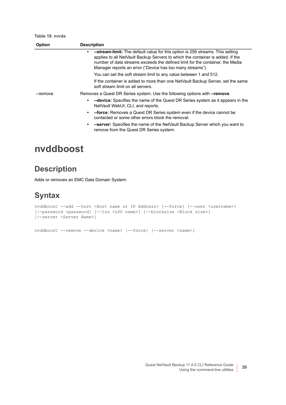**Table 19. nvrda**

| <b>Option</b> | <b>Description</b>                                                                                                                                                                                                                                                                                             |
|---------------|----------------------------------------------------------------------------------------------------------------------------------------------------------------------------------------------------------------------------------------------------------------------------------------------------------------|
|               | --stream-limit: The default value for this option is 256 streams. This setting<br>applies to all NetVault Backup Servers to which the container is added. If the<br>number of data streams exceeds the defined limit for the container, the Media<br>Manager reports an error ("Device has too many streams"). |
|               | You can set the soft stream limit to any value between 1 and 512.                                                                                                                                                                                                                                              |
|               | If the container is added to more than one NetVault Backup Server, set the same<br>soft stream limit on all servers.                                                                                                                                                                                           |
| --remove      | Removes a Quest DR Series system. Use the following options with --remove.                                                                                                                                                                                                                                     |
|               | --device: Specifies the name of the Quest DR Series system as it appears in the<br>NetVault WebUI, CLI, and reports.                                                                                                                                                                                           |
|               | --force: Removes a Quest DR Series system even if the device cannot be<br>$\bullet$<br>contacted or some other errors block the removal.                                                                                                                                                                       |
|               | --server: Specifies the name of the NetVault Backup Server which you want to<br>$\bullet$<br>remove from the Quest DR Series system.                                                                                                                                                                           |
|               |                                                                                                                                                                                                                                                                                                                |

### <span id="page-25-0"></span>**nvddboost**

#### **Description**

Adds or removes an EMC Data Domain System.

#### **Syntax**

```
nvddboost --add --host <Host name or IP Address> [--force] [--user <username>] 
[--password <password] [--lsu <LSU name>] [--blocksize <Block size>]
[--server <Server Name>]
```
nvddboost --remove --device <name> [--force] [--server <name>]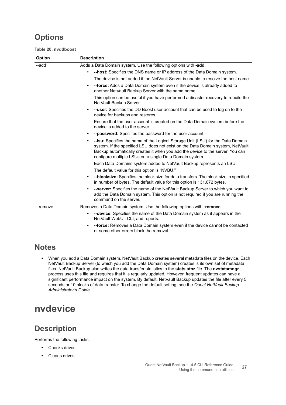**Table 20. nvddboost**

| Option   | <b>Description</b>                                                                                                                                                                                                                                                                                                            |
|----------|-------------------------------------------------------------------------------------------------------------------------------------------------------------------------------------------------------------------------------------------------------------------------------------------------------------------------------|
| --add    | Adds a Data Domain system. Use the following options with -add.                                                                                                                                                                                                                                                               |
|          | -host: Specifies the DNS name or IP address of the Data Domain system.<br>$\bullet$                                                                                                                                                                                                                                           |
|          | The device is not added if the NetVault Server is unable to resolve the host name.                                                                                                                                                                                                                                            |
|          | -force: Adds a Data Domain system even if the device is already added to<br>$\bullet$<br>another NetVault Backup Server with the same name.                                                                                                                                                                                   |
|          | This option can be useful if you have performed a disaster recovery to rebuild the<br>NetVault Backup Server.                                                                                                                                                                                                                 |
|          | --user: Specifies the DD Boost user account that can be used to log on to the<br>$\bullet$<br>device for backups and restores.                                                                                                                                                                                                |
|          | Ensure that the user account is created on the Data Domain system before the<br>device is added to the server.                                                                                                                                                                                                                |
|          | --password: Specifies the password for the user account.<br>٠                                                                                                                                                                                                                                                                 |
|          | -- Isu: Specifies the name of the Logical Storage Unit (LSU) for the Data Domain<br>$\bullet$<br>system. If the specified LSU does not exist on the Data Domain system, NetVault<br>Backup automatically creates it when you add the device to the server. You can<br>configure multiple LSUs on a single Data Domain system. |
|          | Each Data Domains system added to NetVault Backup represents an LSU.                                                                                                                                                                                                                                                          |
|          | The default value for this option is "NVBU."                                                                                                                                                                                                                                                                                  |
|          | --blocksize: Specifies the block size for data transfers. The block size in specified<br>$\bullet$<br>in number of bytes. The default value for this option is 131,072 bytes.                                                                                                                                                 |
|          | --server: Specifies the name of the NetVault Backup Server to which you want to<br>$\bullet$<br>add the Data Domain system. This option is not required if you are running the<br>command on the server.                                                                                                                      |
| --remove | Removes a Data Domain system. Use the following options with -remove.                                                                                                                                                                                                                                                         |
|          | --device: Specifies the name of the Data Domain system as it appears in the<br>٠<br>NetVault WebUI, CLI, and reports.                                                                                                                                                                                                         |
|          | --force: Removes a Data Domain system even if the device cannot be contacted<br>$\bullet$                                                                                                                                                                                                                                     |

#### **Notes**

**•** When you add a Data Domain system, NetVault Backup creates several metadata files on the device. Each NetVault Backup Server (to which you add the Data Domain system) creates is its own set of metadata files. NetVault Backup also writes the data transfer statistics to the **stats.stnz** file. The **nvstatsmngr** process uses this file and requires that it is regularly updated. However, frequent updates can have a significant performance impact on the system. By default, NetVault Backup updates the file after every 5 seconds or 10 blocks of data transfer. To change the default setting, see the *Quest NetVault Backup Administrator's Guide*.

or some other errors block the removal.

### <span id="page-26-0"></span>**nvdevice**

#### **Description**

Performs the following tasks:

- **•** Checks drives
- **•** Cleans drives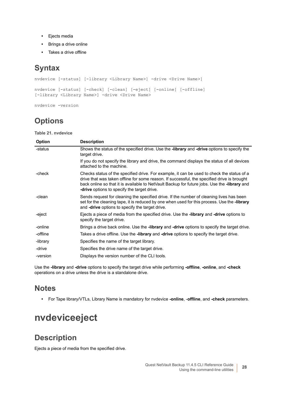- **•** Ejects media
- **•** Brings a drive online
- **•** Takes a drive offline

#### **Syntax**

```
nvdevice [-status] [-library <Library Name>] -drive <Drive Name>]
nvdevice [-status] [-check] [-clean] [-eject] [-online] [-offline] 
[-library <Library Name>] -drive <Drive Name>
```
nvdevice -version

### **Options**

**Table 21. nvdevice**

| Option   | <b>Description</b>                                                                                                                                                                                                                                                                                                                                     |
|----------|--------------------------------------------------------------------------------------------------------------------------------------------------------------------------------------------------------------------------------------------------------------------------------------------------------------------------------------------------------|
| -status  | Shows the status of the specified drive. Use the -library and -drive options to specify the<br>target drive.                                                                                                                                                                                                                                           |
|          | If you do not specify the library and drive, the command displays the status of all devices<br>attached to the machine.                                                                                                                                                                                                                                |
| -check   | Checks status of the specified drive. For example, it can be used to check the status of a<br>drive that was taken offline for some reason. If successful, the specified drive is brought<br>back online so that it is available to NetVault Backup for future jobs. Use the <b>-library</b> and<br><b>-drive</b> options to specify the target drive. |
| -clean   | Sends request for cleaning the specified drive. If the number of cleaning lives has been<br>set for the cleaning tape, it is reduced by one when used for this process. Use the -library<br>and <b>-drive</b> options to specify the target drive.                                                                                                     |
| -eject   | Ejects a piece of media from the specified drive. Use the <b>-library</b> and <b>-drive</b> options to<br>specify the target drive.                                                                                                                                                                                                                    |
| -online  | Brings a drive back online. Use the <b>-library</b> and <b>-drive</b> options to specify the target drive.                                                                                                                                                                                                                                             |
| -offline | Takes a drive offline. Use the <b>-library</b> and <b>-drive</b> options to specify the target drive.                                                                                                                                                                                                                                                  |
| -library | Specifies the name of the target library.                                                                                                                                                                                                                                                                                                              |
| -drive   | Specifies the drive name of the target drive.                                                                                                                                                                                                                                                                                                          |
| -version | Displays the version number of the CLI tools.                                                                                                                                                                                                                                                                                                          |

Use the **-library** and **-drive** options to specify the target drive while performing **-offline**, **-online**, and **-check** operations on a drive unless the drive is a standalone drive.

#### **Notes**

**•** For Tape library/VTLs, Library Name is mandatory for nvdevice **-online**, -**offline**, and **-check** parameters.

## <span id="page-27-0"></span>**nvdeviceeject**

#### **Description**

Ejects a piece of media from the specified drive.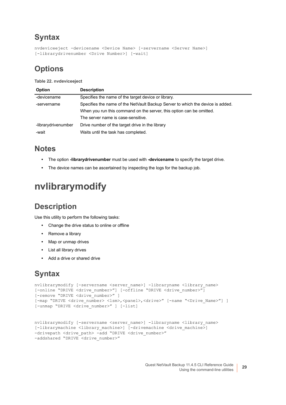#### **Syntax**

```
nvdeviceeject -devicename <Device Name> [-servername <Server Name>] 
[-librarydrivenumber <Drive Number>] [-wait]
```
#### **Options**

**Table 22. nvdeviceeject**

| Option              | <b>Description</b>                                                             |
|---------------------|--------------------------------------------------------------------------------|
| -devicename         | Specifies the name of the target device or library.                            |
| -servername         | Specifies the name of the NetVault Backup Server to which the device is added. |
|                     | When you run this command on the server, this option can be omitted.           |
|                     | The server name is case-sensitive.                                             |
| -librarydrivenumber | Drive number of the target drive in the library                                |
| -wait               | Waits until the task has completed.                                            |

#### **Notes**

- **•** The option **-librarydrivenumber** must be used with **-devicename** to specify the target drive.
- **•** The device names can be ascertained by inspecting the logs for the backup job.

## <span id="page-28-0"></span>**nvlibrarymodify**

#### **Description**

Use this utility to perform the following tasks:

- **•** Change the drive status to online or offline
- **•** Remove a library
- **•** Map or unmap drives
- **•** List all library drives
- **•** Add a drive or shared drive

#### **Syntax**

```
nvlibrarymodify [-servername <server name>] -libraryname <library name>
[-online "DRIVE <drive number>"] [-offline "DRIVE <drive number>"]
[-remove "DRIVE <drive number>" ]
[-map "DRIVE <drive number> <lsm>,<panel>,<drive>" [-name "<Drive Name>"] ]
[-unmap "DRIVE <drive number>" ] [-list]
```

```
nvlibrarymodify [-servername <server name>] -libraryname <library name>
[-librarymachine <library machine>] [-drivemachine <drive machine>]
-drivepath <drive_path> -add "DRIVE <drive_number>"
-addshared "DRIVE <drive_number>"
```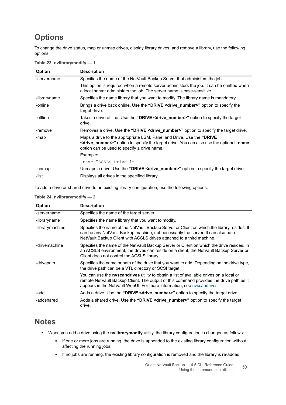To change the drive status, map or unmap drives, display library drives, and remove a library, use the following options.

|  |  |  | Table 23. nvlibrarymodify - 1 |  |
|--|--|--|-------------------------------|--|
|--|--|--|-------------------------------|--|

| Option       | <b>Description</b>                                                                                                                                                                                                                     |
|--------------|----------------------------------------------------------------------------------------------------------------------------------------------------------------------------------------------------------------------------------------|
| -servername  | Specifies the name of the NetVault Backup Server that administers the job.                                                                                                                                                             |
|              | This option is required when a remote server administers the job. It can be omitted when<br>a local server administers the job. The server name is case-sensitive.                                                                     |
| -libraryname | Specifies the name library that you want to modify. The library name is mandatory.                                                                                                                                                     |
| -online      | Brings a drive back online. Use the "DRIVE <drive_number>" option to specify the<br/>target drive.</drive_number>                                                                                                                      |
| -offline     | Takes a drive offline. Use the "DRIVE <drive_number>" option to specify the target<br/>drive.</drive_number>                                                                                                                           |
| -remove      | Removes a drive. Use the "DRIVE <drive number="">" option to specify the target drive.</drive>                                                                                                                                         |
| -map         | Maps a drive to the appropriate LSM, Panel and Drive. Use the "DRIVE"<br><b><drive_number></drive_number></b> " option to specify the target drive. You can also use the optional -name<br>option can be used to specify a drive name. |
|              | Example:                                                                                                                                                                                                                               |
|              | -name "ACSLS Drive-1"                                                                                                                                                                                                                  |
| -unmap       | Unmaps a drive. Use the "DRIVE <drive_number>" option to specify the target drive.</drive_number>                                                                                                                                      |
| -list        | Displays all drives in the specified library.                                                                                                                                                                                          |
|              |                                                                                                                                                                                                                                        |

To add a drive or shared drive to an existing library configuration, use the following options.

#### **Table 24. nvlibrarymodify — 2**

| <b>Option</b>   | <b>Description</b>                                                                                                                                                                                                                                           |
|-----------------|--------------------------------------------------------------------------------------------------------------------------------------------------------------------------------------------------------------------------------------------------------------|
| -servername     | Specifies the name of the target server.                                                                                                                                                                                                                     |
| -libraryname    | Specifies the name library that you want to modify.                                                                                                                                                                                                          |
| -librarymachine | Specifies the name of the NetVault Backup Server or Client on which the library resides. It<br>can be any NetVault Backup machine, not necessarily the server. It can also be a<br>NetVault Backup Client with ACSLS drives attached to a third machine.     |
| -drivemachine   | Specifies the name of the NetVault Backup Server or Client on which the drive resides. In<br>an ACSLS environment, the drives can reside on a client; the NetVault Backup Server or<br>Client does not control the ACSLS library.                            |
| -drivepath      | Specifies the name or path of the drive that you want to add. Depending on the drive type,<br>the drive path can be a VTL directory or SCSI target.                                                                                                          |
|                 | You can use the nvscandrives utility to obtain a list of available drives on a local or<br>remote NetVault Backup Client. The output of this command provides the drive path as it<br>appears in the NetVault WebUI. For more information, see nvscandrives. |
| -add            | Adds a drive. Use the "DRIVE <drive number="">" option to specify the target drive.</drive>                                                                                                                                                                  |
| -addshared      | Adds a shared drive. Use the "DRIVE <drive_number>" option to specify the target<br/>drive.</drive_number>                                                                                                                                                   |

#### **Notes**

- **•** When you add a drive using the **nvlibrarymodify** utility, the library configuration is changed as follows:
	- **▪** If one or more jobs are running, the drive is appended to the existing library configuration without affecting the running jobs.
	- **▪** If no jobs are running, the existing library configuration is removed and the library is re-added.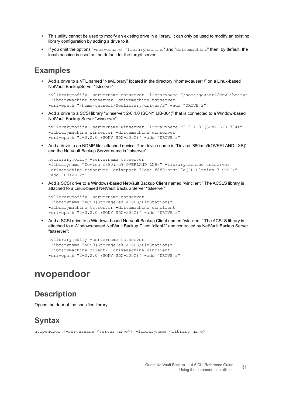- **•** This utility cannot be used to modify an existing drive in a library. It can only be used to modify an existing library configuration by adding a drive to it.
- **•** If you omit the options "-servername", "librarymachine" and "drivemachine" then, by default, the local machine is used as the default for the target server.

#### **Examples**

**•** Add a drive to a VTL named "NewLibrary" located in the directory "/home/qauser1/" on a Linux-based NetVault BackupServer "tstserver":

```
nvlibrarymodify -servername tstserver -libraryname "/home/qauser1/NewLibrary" 
-librarymachine tstserver -drivemachine tstserver 
-drivepath "/home/qauser1/NewLibrary/drives/2" -add "DRIVE 2"
```
**•** Add a drive to a SCSI library "winserver: 2-0.4.0 (SONY LIB-304)" that is connected to a Window-based NetVault Backup Server "winserver":

```
nvlibrarymodify -servername winserver -libraryname "2-0.4.0 (SONY LIB-304)" 
-librarymachine winserver -drivemachine winserver 
-drivepath "2-0.2.0 (SONY SDX-500C)" -add "DRIVE 2"
```
**•** Add a drive to an NDMP filer-attached device. The device name is "Device f880:mc9(OVERLAND LXB)" and the NetVault Backup Server name is "tstserver":

```
nvlibrarymodify -servername tstserver 
-libraryname "Device f880:mc9(OVERLAND LXB)" -librarymachine tstserver 
-drivemachine tstserver -drivepath "Tape f880:nrst17a(HP Ultrium 3-SCSI)" 
-add "DRIVE 2"
```
**•** Add a SCSI drive to a Windows-based NetVault Backup Client named "winclient." The ACSLS library is attached to a Linux-based NetVault Backup Server "tstserver":

```
nvlibrarymodify -servername tstserver 
-libraryname "ACS0(StorageTek ACSLS/LibStation)" 
-librarymachine tstserver -drivemachine winclient 
-drivepath "2-0.2.0 (SONY SDX-500C)" -add "DRIVE 2"
```
**•** Add a SCSI drive to a Windows-based NetVault Backup Client named "winclient." The ACSLS library is attached to a Windows-based NetVault Backup Client "client2" and controlled by NetVault Backup Server "tstserver":

```
nvlibrarymodify -servername tstserver 
-libraryname "ACS0(StorageTek ACSLS/LibStation)" 
-librarymachine client2 -drivemachine winclient 
-drivepath "2-0.2.0 (SONY SDX-500C)" -add "DRIVE 2"
```
#### <span id="page-30-0"></span>**nvopendoor**

#### **Description**

Opens the door of the specified library.

#### **Syntax**

nvopendoor [-servername <server name>] -libraryname <library name>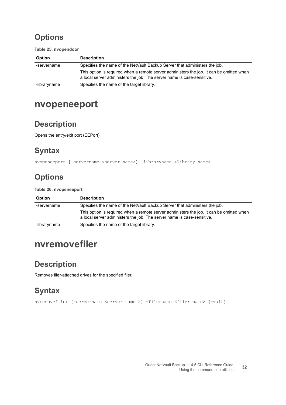**Table 25. nvopendoor**

| <b>Option</b> | <b>Description</b>                                                                                                                                                 |
|---------------|--------------------------------------------------------------------------------------------------------------------------------------------------------------------|
| -servername   | Specifies the name of the NetVault Backup Server that administers the job.                                                                                         |
|               | This option is required when a remote server administers the job. It can be omitted when<br>a local server administers the job. The server name is case-sensitive. |
| -libraryname  | Specifies the name of the target library.                                                                                                                          |

### <span id="page-31-0"></span>**nvopeneeport**

#### **Description**

Opens the entry/exit port (EEPort).

#### **Syntax**

nvopeneeport [-servername <server name>] -libraryname <library name>

### **Options**

**Table 26. nvopeneeport**

| <b>Option</b> | <b>Description</b>                                                                                                                                                 |
|---------------|--------------------------------------------------------------------------------------------------------------------------------------------------------------------|
| -servername   | Specifies the name of the NetVault Backup Server that administers the job.                                                                                         |
|               | This option is required when a remote server administers the job. It can be omitted when<br>a local server administers the job. The server name is case-sensitive. |
| -libraryname  | Specifies the name of the target library.                                                                                                                          |

### <span id="page-31-1"></span>**nvremovefiler**

#### **Description**

Removes filer-attached drives for the specified filer.

### **Syntax**

nvremovefiler [-servername <server name >] -filername <filer name> [-wait]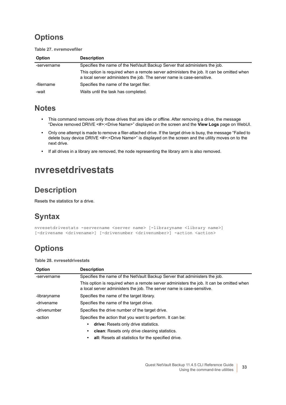**Table 27. nvremovefiler**

| <b>Option</b> | <b>Description</b>                                                                                                                                                 |
|---------------|--------------------------------------------------------------------------------------------------------------------------------------------------------------------|
| -servername   | Specifies the name of the NetVault Backup Server that administers the job.                                                                                         |
|               | This option is required when a remote server administers the job. It can be omitted when<br>a local server administers the job. The server name is case-sensitive. |
| -filername    | Specifies the name of the target filer.                                                                                                                            |
| -wait         | Waits until the task has completed.                                                                                                                                |

#### **Notes**

- **•** This command removes only those drives that are idle or offline. After removing a drive, the message "Device removed DRIVE <#>:<Drive Name>" displayed on the screen and the **View Logs** page on WebUI.
- **•** Only one attempt is made to remove a filer-attached drive. If the target drive is busy, the message "Failed to delete busy device DRIVE <#>:<Drive Name>" is displayed on the screen and the utility moves on to the next drive.
- **•** If all drives in a library are removed, the node representing the library arm is also removed.

### <span id="page-32-0"></span>**nvresetdrivestats**

#### **Description**

Resets the statistics for a drive.

#### **Syntax**

```
nvresetdrivestats -servername <server name> [-libraryname <library name>]
[-drivename <drivename>] [-drivenumber <drivenumber>] -action <action>
```
#### **Options**

**Table 28. nvresetdrivestats**

| <b>Option</b> | <b>Description</b>                                                                                                                                                 |
|---------------|--------------------------------------------------------------------------------------------------------------------------------------------------------------------|
| -servername   | Specifies the name of the NetVault Backup Server that administers the job.                                                                                         |
|               | This option is required when a remote server administers the job. It can be omitted when<br>a local server administers the job. The server name is case-sensitive. |
| -libraryname  | Specifies the name of the target library.                                                                                                                          |
| -drivename    | Specifies the name of the target drive.                                                                                                                            |
| -drivenumber  | Specifies the drive number of the target drive.                                                                                                                    |
| -action       | Specifies the action that you want to perform. It can be:                                                                                                          |
|               | drive: Resets only drive statistics.<br>٠                                                                                                                          |
|               | clean: Resets only drive cleaning statistics.<br>٠                                                                                                                 |
|               | <b>all:</b> Resets all statistics for the specified drive.<br>٠                                                                                                    |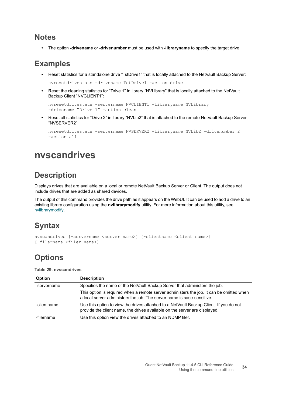#### **Notes**

**•** The option **-drivename** or **-drivenumber** must be used with **-libraryname** to specify the target drive.

#### **Examples**

**•** Reset statistics for a standalone drive "TstDrive1" that is locally attached to the NetVault Backup Server:

nvresetdrivestats -drivename TstDrive1 -action drive

**•** Reset the cleaning statistics for "Drive 1" in library "NVLibrary" that is locally attached to the NetVault Backup Client "NVCLIENT1":

```
nvresetdrivestats -servername NVCLIENT1 -libraryname NVLibrary 
-drivename "Drive 1" -action clean
```
**•** Reset all statistics for "Drive 2" in library "NVLib2" that is attached to the remote NetVault Backup Server "NVSERVER2":

```
nvresetdrivestats -servername NVSERVER2 -libraryname NVLib2 -drivenumber 2 
-action all
```
### <span id="page-33-0"></span>**nvscandrives**

#### **Description**

Displays drives that are available on a local or remote NetVault Backup Server or Client. The output does not include drives that are added as shared devices.

The output of this command provides the drive path as it appears on the WebUI. It can be used to add a drive to an existing library configuration using the **nvlibrarymodify** utility. For more information about this utility, see [nvlibrarymodify](#page-28-0).

#### **Syntax**

```
nvscandrives [-servername <server name>] [-clientname <client name>] 
[-filername <filer name>]
```
#### **Options**

**Table 29. nvscandrives**

| Option      | <b>Description</b>                                                                                                                                                   |
|-------------|----------------------------------------------------------------------------------------------------------------------------------------------------------------------|
| -servername | Specifies the name of the NetVault Backup Server that administers the job.                                                                                           |
|             | This option is required when a remote server administers the job. It can be omitted when<br>a local server administers the job. The server name is case-sensitive.   |
| -clientname | Use this option to view the drives attached to a NetVault Backup Client. If you do not<br>provide the client name, the drives available on the server are displayed. |
| -filername  | Use this option view the drives attached to an NDMP filer.                                                                                                           |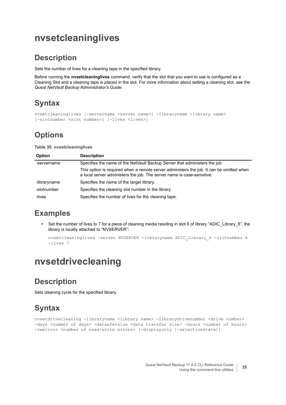### <span id="page-34-0"></span>**nvsetcleaninglives**

#### **Description**

Sets the number of lives for a cleaning tape in the specified library.

Before running the **nvsetcleaninglives** command, verify that the slot that you want to use is configured as a Cleaning Slot and a cleaning tape is placed in the slot. For more information about setting a cleaning slot, see the *Quest NetVault Backup Administrator's Guide*.

### **Syntax**

```
nvsetcleaninglives [-servername <server name>] -libraryname <library name> 
[-slotnumber <slot number>] [-lives <lives>]
```
#### **Options**

**Table 30. nvsetcleaninglives**

| Option       | <b>Description</b>                                                                                                                                                 |
|--------------|--------------------------------------------------------------------------------------------------------------------------------------------------------------------|
| -servername  | Specifies the name of the NetVault Backup Server that administers the job.                                                                                         |
|              | This option is required when a remote server administers the job. It can be omitted when<br>a local server administers the job. The server name is case-sensitive. |
| -libraryname | Specifies the name of the target library.                                                                                                                          |
| -slotnumber  | Specifies the cleaning slot number in the library.                                                                                                                 |
| -lives       | Specifies the number of lives for the cleaning tape.                                                                                                               |

### **Examples**

**•** Set the number of lives to 7 for a piece of cleaning media residing in slot 6 of library "ADIC\_Library\_6"; the library is locally attached to "NVSERVER":

```
nvsetcleaninglives -server NVSERVER -libraryname ADIC_Library_6 -slotnumber 6 
-lives 7
```
## <span id="page-34-1"></span>**nvsetdrivecleaning**

#### **Description**

Sets cleaning cycle for the specified library.

### **Syntax**

nvsetdrivecleaning -libraryname <library name> -librarydrivenumber <drive number> -days <number of days> -dataxfersize <data transfer size> -hours <number of hours> -rwerrors <number of read/write errors> [-displayonly [-selectionstate]]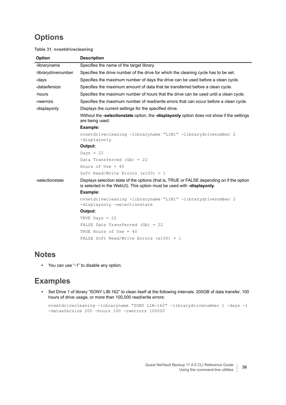#### **Table 31. nvsetdrivecleaning**

| <b>Option</b>       | <b>Description</b>                                                                                                                                                   |
|---------------------|----------------------------------------------------------------------------------------------------------------------------------------------------------------------|
| -libraryname        | Specifies the name of the target library.                                                                                                                            |
| -librarydrivenumber | Specifies the drive number of the drive for which the cleaning cycle has to be set.                                                                                  |
| -days               | Specifies the maximum number of days the drive can be used before a clean cycle.                                                                                     |
| -dataxfersize       | Specifies the maximum amount of data that be transferred before a clean cycle.                                                                                       |
| -hours              | Specifies the maximum number of hours that the drive can be used until a clean cycle.                                                                                |
| -rwerrors           | Specifies the maximum number of read/write errors that can occur before a clean cycle.                                                                               |
| -displayonly        | Displays the current settings for the specified drive.                                                                                                               |
|                     | Without the -selectionstate option, the -displayonly option does not show if the settings<br>are being used.                                                         |
|                     | Example:                                                                                                                                                             |
|                     | nvsetdrivecleaning -libraryname "LIB1" -librarydrivenumber 2<br>-displayonly                                                                                         |
|                     | Output:                                                                                                                                                              |
|                     | Days = $22$                                                                                                                                                          |
|                     | Data Transferred (Gb) = $22$                                                                                                                                         |
|                     | Hours of Use = $40$                                                                                                                                                  |
|                     | Soft Read/Write Errors $(x100) = 1$                                                                                                                                  |
| -selectionstate     | Displays selection state of the options (that is, TRUE or FALSE depending on if the option<br>is selected in the WebUI). This option must be used with -displayonly. |
|                     | Example:                                                                                                                                                             |
|                     | nvsetdrivecleaning -libraryname "LIB1" -librarydrivenumber 2<br>-displayonly -selectionstate                                                                         |
|                     | Output:                                                                                                                                                              |
|                     | TRUE Days $= 22$                                                                                                                                                     |
|                     | FALSE Data Transferred $(Gb) = 22$                                                                                                                                   |
|                     | TRUE Hours of Use = 40                                                                                                                                               |
|                     | FALSE Soft Read/Write Errors $(x100) = 1$                                                                                                                            |

#### **Notes**

**•** You can use "-1" to disable any option.

#### **Examples**

**•** Set Drive 1 of library "SONY LIB-162" to clean itself at the following intervals: 200GB of data transfer, 100 hours of drive usage, or more than 100,000 read/write errors:

```
nvsetdrivecleaning -libraryname "SONY LIB-162" -librarydrivenumber 1 -days -1 
-dataxfersize 200 -hours 100 -rwerrors 100000
```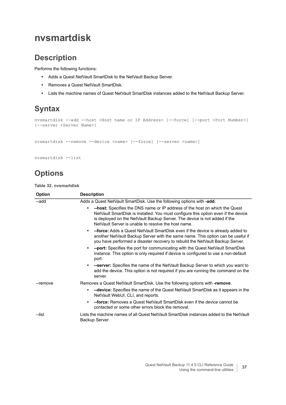## **nvsmartdisk**

#### **Description**

Performs the following functions:

- **•** Adds a Quest NetVault SmartDisk to the NetVault Backup Server.
- **•** Removes a Quest NetVault SmartDisk.
- **•** Lists the machine names of Quest NetVault SmartDisk instances added to the NetVault Backup Server.

## **Syntax**

```
nvsmartdisk --add --host <Host name or IP Address> [--force] [--port <Port Number>] 
[--server <Server Name>]
```
nvsmartdisk --remove --device <name> [--force] [--server <name>]

```
nvsmartdisk --list
```
### **Options**

**Table 32. nvsmartdisk**

| Option   | <b>Description</b>                                                                                                                                                                                                                                                                                   |
|----------|------------------------------------------------------------------------------------------------------------------------------------------------------------------------------------------------------------------------------------------------------------------------------------------------------|
| --add    | Adds a Quest NetVault SmartDisk. Use the following options with -add.                                                                                                                                                                                                                                |
|          | -host: Specifies the DNS name or IP address of the host on which the Quest<br>NetVault SmartDisk is installed. You must configure this option even if the device<br>is deployed on the NetVault Backup Server. The device is not added if the<br>NetVault Server is unable to resolve the host name. |
|          | --force: Adds a Quest NetVault SmartDisk even if the device is already added to<br>another NetVault Backup Server with the same name. This option can be useful if<br>you have performed a disaster recovery to rebuild the NetVault Backup Server.                                                  |
|          | --port: Specifies the port for communicating with the Quest NetVault SmartDisk<br>٠<br>instance. This option is only required if device is configured to use a non-default<br>port.                                                                                                                  |
|          | -server: Specifies the name of the NetVault Backup Server to which you want to<br>add the device. This option is not required if you are running the command on the<br>server.                                                                                                                       |
| --remove | Removes a Quest NetVault SmartDisk. Use the following options with -remove.                                                                                                                                                                                                                          |
|          | --device: Specifies the name of the Quest NetVault SmartDisk as it appears in the<br>NetVault WebUI, CLI, and reports.                                                                                                                                                                               |
|          | <b>--force:</b> Removes a Quest NetVault SmartDisk even if the device cannot be<br>٠<br>contacted or some other errors block the removal.                                                                                                                                                            |
| --list   | Lists the machine names of all Quest NetVault SmartDisk instances added to the NetVault<br>Backup Server.                                                                                                                                                                                            |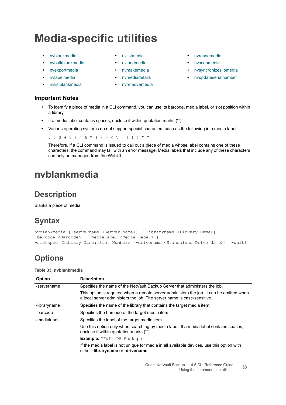# **Media-specific utilities**

- 
- **•** [nvbulkblankmedia](#page-38-0) **•** [nvloadmedia](#page-42-1) **•** [nvscanmedia](#page-47-0)
- 
- 
- **•** [nvlistblankmedia](#page-41-0) **•** [nvremovemedia](#page-45-1)

#### **Important Notes**

- 
- 
- 
- 
- 
- **•** [nvblankmedia](#page-37-0) **•** [nvlistmedia](#page-42-0) **•** [nvreusemedia](#page-46-0)
	-
- **•** [nvexportmedia](#page-39-0) **•** [nvmakemedia](#page-43-0) **•** [nvsyncronizesilomedia](#page-48-0)
- **•** [nvlabelmedia](#page-40-0) **•** [nvmediadetails](#page-45-0) **•** [nvupdateserialnumber](#page-48-1)
- **•** To identify a piece of media in a CLI command, you can use its barcode, media label, or slot position within a library.
- **•** If a media label contains spaces, enclose it within quotation marks ("").
- **•** Various operating systems do not support special characters such as the following in a media label:

: ! @ # \$ % ^ & \* ( ) > < \ [ ] { } " "

Therefore, if a CLI command is issued to call out a piece of media whose label contains one of these characters, the command may fail with an error message. Media labels that include any of these characters can only be managed from the WebUI.

# <span id="page-37-0"></span>**nvblankmedia**

#### **Description**

Blanks a piece of media.

## **Syntax**

```
nvblankmedia [-servername <Server Name>] [-libraryname <Library Name>] 
-barcode <Barcode> | -medialabel <Media Label> | 
-slotspec <Library Name::Slot Number> [-drivename <Standalone Drive Name>] [-wait]
```
#### **Options**

**Table 33. nvblankmedia**

| <b>Option</b> | <b>Description</b>                                                                                                                                                 |  |  |
|---------------|--------------------------------------------------------------------------------------------------------------------------------------------------------------------|--|--|
| -servername   | Specifies the name of the NetVault Backup Server that administers the job.                                                                                         |  |  |
|               | This option is required when a remote server administers the job. It can be omitted when<br>a local server administers the job. The server name is case-sensitive. |  |  |
| -libraryname  | Specifies the name of the library that contains the target media item.                                                                                             |  |  |
| -barcode      | Specifies the barcode of the target media item.                                                                                                                    |  |  |
| -medialabel   | Specifies the label of the target media item.                                                                                                                      |  |  |
|               | Use this option only when searching by media label. If a media label contains spaces,<br>enclose it within quotation marks ("").                                   |  |  |
|               | Example: "Full DB Backups"                                                                                                                                         |  |  |
|               | If the media label is not unique for media in all available devices, use this option with<br>either -libraryname or -drivename.                                    |  |  |
|               |                                                                                                                                                                    |  |  |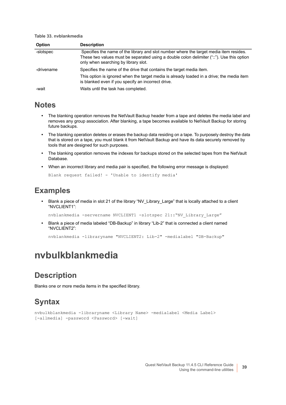**Table 33. nvblankmedia**

| Option                                                                             | <b>Description</b>                                                                                                                                                                                                          |  |
|------------------------------------------------------------------------------------|-----------------------------------------------------------------------------------------------------------------------------------------------------------------------------------------------------------------------------|--|
| -slotspec                                                                          | Specifies the name of the library and slot number where the target media item resides.<br>These two values must be separated using a double colon delimiter ("::"). Use this option<br>only when searching by library slot. |  |
| Specifies the name of the drive that contains the target media item.<br>-drivename |                                                                                                                                                                                                                             |  |
|                                                                                    | This option is ignored when the target media is already loaded in a drive; the media item<br>is blanked even if you specify an incorrect drive.                                                                             |  |
| -wait                                                                              | Waits until the task has completed.                                                                                                                                                                                         |  |

#### **Notes**

- **•** The blanking operation removes the NetVault Backup header from a tape and deletes the media label and removes any group association. After blanking, a tape becomes available to NetVault Backup for storing future backups.
- **•** The blanking operation deletes or erases the backup data residing on a tape. To purposely destroy the data that is stored on a tape, you must blank it from NetVault Backup and have its data securely removed by tools that are designed for such purposes.
- **•** The blanking operation removes the indexes for backups stored on the selected tapes from the NetVault Database.
- **•** When an incorrect library and media pair is specified, the following error message is displayed:

Blank request failed! - 'Unable to identify media'

#### **Examples**

**•** Blank a piece of media in slot 21 of the library "NV\_Library\_Large" that is locally attached to a client "NVCLIENT1":

nvblankmedia -servername NVCLIENT1 -slotspec 21::"NV\_Library\_Large"

**•** Blank a piece of media labeled "DB-Backup" in library "Lib-2" that is connected a client named "NVCLIENT2":

nvblankmedia -libraryname "NVCLIENT2: Lib-2" -medialabel "DB-Backup"

# <span id="page-38-0"></span>**nvbulkblankmedia**

#### **Description**

Blanks one or more media items in the specified library.

## **Syntax**

```
nvbulkblankmedia -libraryname <Library Name> -medialabel <Media Label> 
[-allmedia] -password <Password> [-wait]
```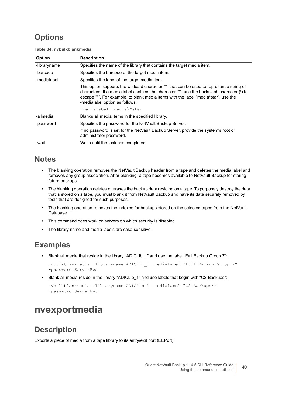## **Options**

**Table 34. nvbulkblankmedia**

| Option                                                       | <b>Description</b>                                                                                                                                                                                                                                                                                               |  |
|--------------------------------------------------------------|------------------------------------------------------------------------------------------------------------------------------------------------------------------------------------------------------------------------------------------------------------------------------------------------------------------|--|
| -libraryname                                                 | Specifies the name of the library that contains the target media item.                                                                                                                                                                                                                                           |  |
| -barcode                                                     | Specifies the barcode of the target media item.                                                                                                                                                                                                                                                                  |  |
| Specifies the label of the target media item.<br>-medialabel |                                                                                                                                                                                                                                                                                                                  |  |
|                                                              | This option supports the wildcard character "*" that can be used to represent a string of<br>characters. If a media label contains the character "*", use the backslash character (\) to<br>escape "*". For example, to blank media items with the label "media*star", use the<br>-medialabel option as follows: |  |
|                                                              | -medialabel "media\*star                                                                                                                                                                                                                                                                                         |  |
| -allmedia                                                    | Blanks all media items in the specified library.                                                                                                                                                                                                                                                                 |  |
| -password                                                    | Specifies the password for the NetVault Backup Server.                                                                                                                                                                                                                                                           |  |
|                                                              | If no password is set for the NetVault Backup Server, provide the system's root or<br>administrator password.                                                                                                                                                                                                    |  |
| -wait                                                        | Waits until the task has completed.                                                                                                                                                                                                                                                                              |  |

#### **Notes**

- **•** The blanking operation removes the NetVault Backup header from a tape and deletes the media label and removes any group association. After blanking, a tape becomes available to NetVault Backup for storing future backups.
- **•** The blanking operation deletes or erases the backup data residing on a tape. To purposely destroy the data that is stored on a tape, you must blank it from NetVault Backup and have its data securely removed by tools that are designed for such purposes.
- **•** The blanking operation removes the indexes for backups stored on the selected tapes from the NetVault Database.
- **•** This command does work on servers on which security is disabled.
- **•** The library name and media labels are case-sensitive.

#### **Examples**

**•** Blank all media that reside in the library "ADICLib\_1" and use the label "Full Backup Group 7":

nvbulkblankmedia -libraryname ADICLib\_1 -medialabel "Full Backup Group 7" -password ServerPwd

**•** Blank all media reside in the library "ADICLib\_1" and use labels that begin with "C2-Backups":

```
nvbulkblankmedia -libraryname ADICLib_1 -medialabel "C2-Backups*" 
-password ServerPwd
```
# <span id="page-39-0"></span>**nvexportmedia**

#### **Description**

Exports a piece of media from a tape library to its entry/exit port (EEPort).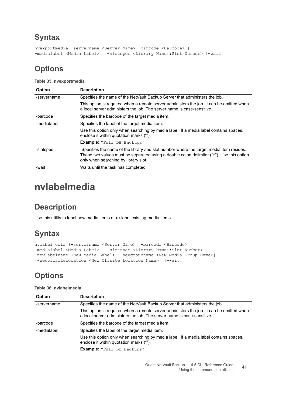```
nvexportmedia -servername <Server Name> -barcode <Barcode> | 
-medialabel <Media Label> | -slotspec <Library Name::Slot Number> [-wait]
```
### **Options**

**Table 35. nvexportmedia**

| <b>Option</b> | <b>Description</b>                                                                                                                                                                                                          |  |
|---------------|-----------------------------------------------------------------------------------------------------------------------------------------------------------------------------------------------------------------------------|--|
| -servername   | Specifies the name of the NetVault Backup Server that administers the job.                                                                                                                                                  |  |
|               | This option is required when a remote server administers the job. It can be omitted when<br>a local server administers the job. The server name is case-sensitive.                                                          |  |
| -barcode      | Specifies the barcode of the target media item.                                                                                                                                                                             |  |
| -medialabel   | Specifies the label of the target media item.                                                                                                                                                                               |  |
|               | Use this option only when searching by media label. If a media label contains spaces,<br>enclose it within quotation marks ("").                                                                                            |  |
|               | <b>Example:</b> "Full DB Backups"                                                                                                                                                                                           |  |
| -slotspec     | Specifies the name of the library and slot number where the target media item resides.<br>These two values must be separated using a double colon delimiter ("::"). Use this option<br>only when searching by library slot. |  |
| -wait         | Waits until the task has completed.                                                                                                                                                                                         |  |

# <span id="page-40-0"></span>**nvlabelmedia**

## **Description**

Use this utility to label new media items or re-label existing media items.

## **Syntax**

```
nvlabelmedia [-servername <Server Name>] -barcode <Barcode> | 
-medialabel <Media Label> | -slotspec <Library Name::Slot Number>
-newlabelname <New Media Label> [-newgroupname <New Media Group Name>] 
[-newoffsitelocation <New Offsite Location Name>] [-wait]
```
## **Options**

**Table 36. nvlabelmedia**

| <b>Option</b> | <b>Description</b>                                                                                                                                                 |
|---------------|--------------------------------------------------------------------------------------------------------------------------------------------------------------------|
| -servername   | Specifies the name of the NetVault Backup Server that administers the job.                                                                                         |
|               | This option is required when a remote server administers the job. It can be omitted when<br>a local server administers the job. The server name is case-sensitive. |
| -barcode      | Specifies the barcode of the target media item.                                                                                                                    |
| -medialabel   | Specifies the label of the target media item.                                                                                                                      |
|               | Use this option only when searching by media label. If a media label contains spaces,<br>enclose it within quotation marks ("").                                   |
|               | <b>Example:</b> "Full DB Backups"                                                                                                                                  |
|               |                                                                                                                                                                    |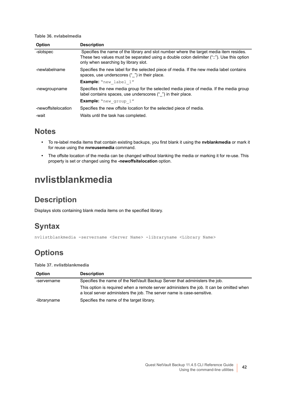#### **Table 36. nvlabelmedia**

| <b>Option</b>       | <b>Description</b>                                                                                                                                                                                                          |
|---------------------|-----------------------------------------------------------------------------------------------------------------------------------------------------------------------------------------------------------------------------|
| -slotspec           | Specifies the name of the library and slot number where the target media item resides.<br>These two values must be separated using a double colon delimiter ("::"). Use this option<br>only when searching by library slot. |
| -newlabelname       | Specifies the new label for the selected piece of media. If the new media label contains<br>spaces, use underscores ("") in their place.                                                                                    |
|                     | <b>Example:</b> "new label 1"                                                                                                                                                                                               |
| -newgroupname       | Specifies the new media group for the selected media piece of media. If the media group<br>label contains spaces, use underscores ("") in their place.                                                                      |
|                     | <b>Example:</b> "new group 1"                                                                                                                                                                                               |
| -newoffsitelocation | Specifies the new offsite location for the selected piece of media.                                                                                                                                                         |
| -wait               | Waits until the task has completed.                                                                                                                                                                                         |

#### **Notes**

- **•** To re-label media items that contain existing backups, you first blank it using the **nvblankmedia** or mark it for reuse using the **nvreusemedia** command.
- **•** The offsite location of the media can be changed without blanking the media or marking it for re-use. This property is set or changed using the **-newoffsitelocation** option.

# <span id="page-41-0"></span>**nvlistblankmedia**

#### **Description**

Displays slots containing blank media items on the specified library.

#### **Syntax**

nvlistblankmedia -servername <Server Name> -libraryname <Library Name>

#### **Options**

**Table 37. nvlistblankmedia**

| <b>Option</b> | <b>Description</b>                                                                                                                                                 |
|---------------|--------------------------------------------------------------------------------------------------------------------------------------------------------------------|
| -servername   | Specifies the name of the NetVault Backup Server that administers the job.                                                                                         |
|               | This option is required when a remote server administers the job. It can be omitted when<br>a local server administers the job. The server name is case-sensitive. |
| -libraryname  | Specifies the name of the target library.                                                                                                                          |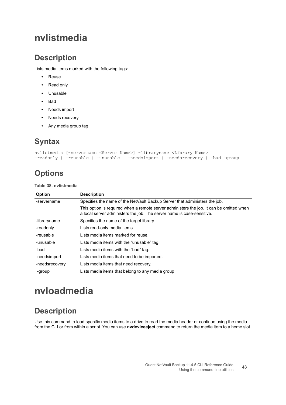# <span id="page-42-0"></span>**nvlistmedia**

#### **Description**

Lists media items marked with the following tags:

- **•** Reuse
- **•** Read only
- **•** Unusable
- **•** Bad
- **•** Needs import
- **•** Needs recovery
- **•** Any media group tag

## **Syntax**

```
nvlistmedia [-servername <Server Name>] -libraryname <Library Name> 
-readonly | -reusable | -unusable | -needsimport | -needsrecovery | -bad -group
```
## **Options**

**Table 38. nvlistmedia**

| <b>Option</b>  | <b>Description</b>                                                                                                                                                 |  |
|----------------|--------------------------------------------------------------------------------------------------------------------------------------------------------------------|--|
| -servername    | Specifies the name of the NetVault Backup Server that administers the job.                                                                                         |  |
|                | This option is required when a remote server administers the job. It can be omitted when<br>a local server administers the job. The server name is case-sensitive. |  |
| -libraryname   | Specifies the name of the target library.                                                                                                                          |  |
| -readonly      | Lists read-only media items.                                                                                                                                       |  |
| -reusable      | Lists media items marked for reuse.                                                                                                                                |  |
| -unusable      | Lists media items with the "unusable" tag.                                                                                                                         |  |
| -bad           | Lists media items with the "bad" tag.                                                                                                                              |  |
| -needsimport   | Lists media items that need to be imported.                                                                                                                        |  |
| -needsrecovery | Lists media items that need recovery.                                                                                                                              |  |
| -group         | Lists media items that belong to any media group                                                                                                                   |  |

# <span id="page-42-1"></span>**nvloadmedia**

#### **Description**

Use this command to load specific media items to a drive to read the media header or continue using the media from the CLI or from within a script. You can use **nvdeviceeject** command to return the media item to a home slot.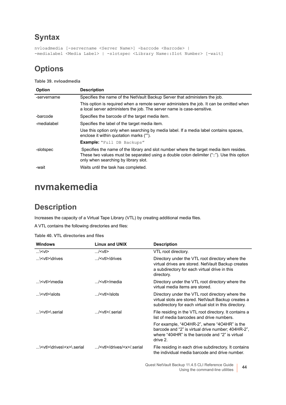```
nvloadmedia [-servername <Server Name>] -barcode <Barcode> | 
-medialabel <Media Label> | -slotspec <Library Name::Slot Number> [-wait]
```
#### **Options**

**Table 39. nvloadmedia**

| <b>Option</b> | <b>Description</b>                                                                                                                                                                                                          |  |
|---------------|-----------------------------------------------------------------------------------------------------------------------------------------------------------------------------------------------------------------------------|--|
| -servername   | Specifies the name of the NetVault Backup Server that administers the job.                                                                                                                                                  |  |
|               | This option is required when a remote server administers the job. It can be omitted when<br>a local server administers the job. The server name is case-sensitive.                                                          |  |
| -barcode      | Specifies the barcode of the target media item.                                                                                                                                                                             |  |
| -medialabel   | Specifies the label of the target media item.                                                                                                                                                                               |  |
|               | Use this option only when searching by media label. If a media label contains spaces,<br>enclose it within quotation marks ("").                                                                                            |  |
|               | <b>Example:</b> "Full DB Backups"                                                                                                                                                                                           |  |
| -slotspec     | Specifies the name of the library and slot number where the target media item resides.<br>These two values must be separated using a double colon delimiter ("::"). Use this option<br>only when searching by library slot. |  |
| -wait         | Waits until the task has completed.                                                                                                                                                                                         |  |

# <span id="page-43-0"></span>**nvmakemedia**

#### **Description**

Increases the capacity of a Virtual Tape Library (VTL) by creating additional media files.

A VTL contains the following directories and files:

| Table 40. VTL directories and lites                           |                                      |                                                                                                                                                                       |  |
|---------------------------------------------------------------|--------------------------------------|-----------------------------------------------------------------------------------------------------------------------------------------------------------------------|--|
| <b>Windows</b>                                                | Linux and UNIX                       | <b>Description</b>                                                                                                                                                    |  |
| $\ldots$ \ $lt$ vt $\ge$                                      | $M > < v$ tl                         | VTL root directory.                                                                                                                                                   |  |
| \ <vtl>\drives</vtl>                                          | $M$ $\leq$ vtl $>$ /drives           | Directory under the VTL root directory where the<br>virtual drives are stored. NetVault Backup creates<br>a subdirectory for each virtual drive in this<br>directory. |  |
| \ <vtl>\media</vtl>                                           | $$ / <vtl>/media</vtl>               | Directory under the VTL root directory where the<br>virtual media items are stored.                                                                                   |  |
| $\ldots$ \ <vtl>\slots</vtl>                                  | $M$ $\lt$ vt $\lt$ i $\lt$ lslots    | Directory under the VTL root directory where the<br>virtual slots are stored. NetVault Backup creates a<br>subdirectory for each virtual slot in this directory.      |  |
| $\left\langle \mathsf{y} \right\rangle$ \ <vtl>\ serial</vtl> | / <vtl>/.serial</vtl>                | File residing in the VTL root directory. It contains a<br>list of media barcodes and drive numbers.                                                                   |  |
|                                                               |                                      | For example, "404HR-2", where "404HR" is the<br>barcode and "2" is virtual drive number; 404HR-2",<br>where "404HR" is the barcode and "2" is virtual<br>drive 2.     |  |
| \ <vtl>\drives\<x>\.serial</x></vtl>                          | / <vtl>/drives/<x>/.serial</x></vtl> | File residing in each drive subdirectory. It contains<br>the individual media barcode and drive number.                                                               |  |
|                                                               |                                      | Ouest NetVault Backup 11 4 5 CLI Reference Guide                                                                                                                      |  |

| Table 40. VTL directories and files |  |  |
|-------------------------------------|--|--|
|-------------------------------------|--|--|

Quest NetVault Backup 11.4.5 CLI Reference Guide Xup 11.4.5 CLI Reference Guide<br>Using the command-line utilities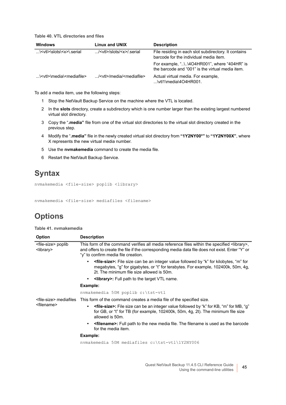**Table 40. VTL directories and files**

| <b>Windows</b>                              | Linux and UNIX                              | <b>Description</b>                                                                             |
|---------------------------------------------|---------------------------------------------|------------------------------------------------------------------------------------------------|
| \ <vtl>\slots\<x>\.serial</x></vtl>         | / <vtl>/slots/<x>/.serial</x></vtl>         | File residing in each slot subdirectory. It contains<br>barcode for the individual media item. |
|                                             |                                             | the barcode and "001" is the virtual media item.                                               |
| \ <vtl>\media\<mediafile></mediafile></vtl> | / <vtl>/media/<mediafile></mediafile></vtl> | Actual virtual media. For example,<br>$$ \vtl1\media\4O4HR001.                                 |

To add a media item, use the following steps:

- 1 Stop the NetVault Backup Service on the machine where the VTL is located.
- 2 In the **slots** directory, create a subdirectory which is one number larger than the existing largest numbered virtual slot directory.
- 3 Copy the "**.media"** file from one of the virtual slot directories to the virtual slot directory created in the previous step.
- 4 Modify the "**.media"** file in the newly created virtual slot directory from **"1Y2NY00\*"** to **"1Y2NY00X"**, where X represents the new virtual media number.
- 5 Use the **nvmakemedia** command to create the media file.
- 6 Restart the NetVault Backup Service.

#### **Syntax**

nvmakemedia <file-size> poplib <library>

nvmakemedia <file-size> mediafiles <filename>

#### **Options**

**Table 41. nvmakemedia**

| <b>Option</b>                                          | <b>Description</b>                                                                                                                                                                                                                                |
|--------------------------------------------------------|---------------------------------------------------------------------------------------------------------------------------------------------------------------------------------------------------------------------------------------------------|
| <file-size> poplib<br/><library></library></file-size> | This form of the command verifies all media reference files within the specified <library>,<br/>and offers to create the file if the corresponding media data file does not exist. Enter "Y" or<br/>"y" to confirm media file creation.</library> |
|                                                        | <b><file-size>:</file-size></b> File size can be an integer value followed by "k" for kilobytes, "m" for<br>٠<br>megabytes, "g" for gigabytes, or "t" for terabytes. For example, 102400k, 50m, 4g,<br>2t. The minimum file size allowed is 50m.  |
|                                                        | <b><library>:</library></b> Full path to the target VTL name.<br>$\bullet$                                                                                                                                                                        |
|                                                        | Example:                                                                                                                                                                                                                                          |
|                                                        | nvmakemedia 50M poplib c:\tst-vtl                                                                                                                                                                                                                 |
| <file-size> mediafiles</file-size>                     | This form of the command creates a media file of the specified size.                                                                                                                                                                              |
| <filename></filename>                                  | <b>stile-size&gt;:</b> File size can be an integer value followed by "k" for KB, "m" for MB, "g"<br>$\bullet$<br>for GB, or "t" for TB (for example, 102400k, 50m, 4g, 2t). The minimum file size<br>allowed is 50m.                              |
|                                                        | <filename>: Full path to the new media file. The filename is used as the barcode<br/><math display="inline">\bullet</math><br/>for the media item.</filename>                                                                                     |
|                                                        | Example:                                                                                                                                                                                                                                          |
|                                                        | nymakemedia 50M mediafiles c:\tst-vtl\1Y2NY006                                                                                                                                                                                                    |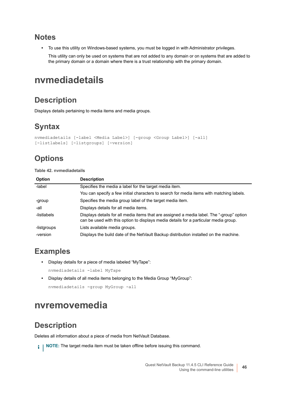#### **Notes**

**•** To use this utility on Windows-based systems, you must be logged in with Administrator privileges.

This utility can only be used on systems that are not added to any domain or on systems that are added to the primary domain or a domain where there is a trust relationship with the primary domain.

# <span id="page-45-0"></span>**nvmediadetails**

### **Description**

Displays details pertaining to media items and media groups.

## **Syntax**

```
nvmediadetails [-label <Media Label>] [-group <Group Label>] [-all] 
[-listlabels] [-listgroups] [-version]
```
# **Options**

#### **Table 42. nvmediadetails**

| <b>Option</b> | <b>Description</b>                                                                                                                                                                |
|---------------|-----------------------------------------------------------------------------------------------------------------------------------------------------------------------------------|
| -label        | Specifies the media a label for the target media item.                                                                                                                            |
|               | You can specify a few initial characters to search for media items with matching labels.                                                                                          |
| -group        | Specifies the media group label of the target media item.                                                                                                                         |
| -all          | Displays details for all media items.                                                                                                                                             |
| -listlabels   | Displays details for all media items that are assigned a media label. The "-group" option<br>can be used with this option to displays media details for a particular media group. |
| -listgroups   | Lists available media groups.                                                                                                                                                     |
| -version      | Displays the build date of the NetVault Backup distribution installed on the machine.                                                                                             |

#### **Examples**

- **•** Display details for a piece of media labeled "MyTape":
	- nvmediadetails -label MyTape
- **•** Display details of all media items belonging to the Media Group "MyGroup":

```
nvmediadetails -group MyGroup -all
```
## <span id="page-45-1"></span>**nvremovemedia**

#### **Description**

Deletes all information about a piece of media from NetVault Database.

**i** | NOTE: The target media item must be taken offline before issuing this command.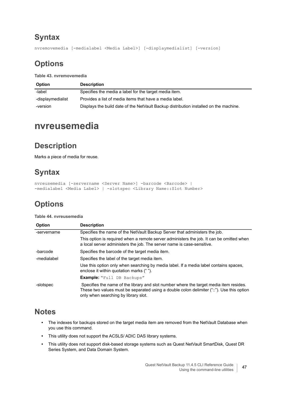nvremovemedia [-medialabel <Media Label>] [-displaymedialist] [-version]

### **Options**

**Table 43. nvremovemedia**

| <b>Option</b>     | <b>Description</b>                                                                    |
|-------------------|---------------------------------------------------------------------------------------|
| -label            | Specifies the media a label for the target media item.                                |
| -displaymedialist | Provides a list of media items that have a media label.                               |
| -version          | Displays the build date of the NetVault Backup distribution installed on the machine. |

## <span id="page-46-0"></span>**nvreusemedia**

## **Description**

Marks a piece of media for reuse.

## **Syntax**

```
nvreusemedia [-servername <Server Name>] -barcode <Barcode> | 
-medialabel <Media Label> | -slotspec <Library Name::Slot Number>
```
## **Options**

#### **Table 44. nvreusemedia**

| <b>Option</b> | <b>Description</b>                                                                                                                                                                                                          |
|---------------|-----------------------------------------------------------------------------------------------------------------------------------------------------------------------------------------------------------------------------|
| -servername   | Specifies the name of the NetVault Backup Server that administers the job.                                                                                                                                                  |
|               | This option is required when a remote server administers the job. It can be omitted when<br>a local server administers the job. The server name is case-sensitive.                                                          |
| -barcode      | Specifies the barcode of the target media item.                                                                                                                                                                             |
| -medialabel   | Specifies the label of the target media item.                                                                                                                                                                               |
|               | Use this option only when searching by media label. If a media label contains spaces,<br>enclose it within quotation marks ("").                                                                                            |
|               | <b>Example:</b> "Full DB Backups"                                                                                                                                                                                           |
| -slotspec     | Specifies the name of the library and slot number where the target media item resides.<br>These two values must be separated using a double colon delimiter ("::"). Use this option<br>only when searching by library slot. |

#### **Notes**

- **•** The indexes for backups stored on the target media item are removed from the NetVault Database when you use this command.
- **•** This utility does not support the ACSLS/ ADIC DAS library systems.
- **•** This utility does not support disk-based storage systems such as Quest NetVault SmartDisk, Quest DR Series System, and Data Domain System.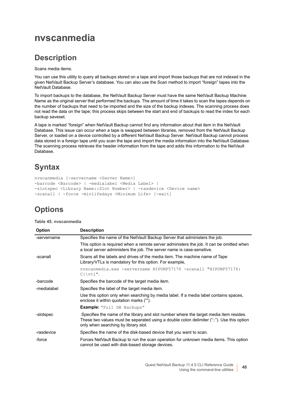## <span id="page-47-0"></span>**nvscanmedia**

#### **Description**

Scans media items.

You can use this utility to query all backups stored on a tape and import those backups that are not indexed in the given NetVault Backup Server's database. You can also use the Scan method to import "foreign" tapes into the NetVault Database.

To import backups to the database, the NetVault Backup Server must have the same NetVault Backup Machine Name as the original server that performed the backups. The amount of time it takes to scan the tapes depends on the number of backups that need to be imported and the size of the backup indexes. The scanning process does not read the data on the tape; this process skips between the start and end of backups to read the index for each backup saveset.

A tape is marked "foreign" when NetVault Backup cannot find any information about that item in the NetVault Database. This issue can occur when a tape is swapped between libraries, removed from the NetVault Backup Server, or loaded on a device controlled by a different NetVault Backup Server. NetVault Backup cannot process data stored in a foreign tape until you scan the tape and import the media information into the NetVault Database. The scanning process retrieves the header information from the tape and adds this information to the NetVault Database.

# **Syntax**

```
nvscanmedia [-servername <Server Name>] 
-barcode <Barcode> | -medialabel <Media Label> | 
-slotspec <Library Name::Slot Number> | -rasdevice <Device name>
-scanall | -force -minlifedays <Minimum Life> [-wait]
```
## **Options**

| Table 45, nyscanmedia |  |  |
|-----------------------|--|--|
|-----------------------|--|--|

| <b>Option</b> | <b>Description</b>                                                                                                                                                                                                          |
|---------------|-----------------------------------------------------------------------------------------------------------------------------------------------------------------------------------------------------------------------------|
| -servername   | Specifies the name of the NetVault Backup Server that administers the job.                                                                                                                                                  |
|               | This option is required when a remote server administers the job. It can be omitted when<br>a local server administers the job. The server name is case-sensitive.                                                          |
| -scanall      | Scans all the labels and drives of the media item. The machine name of Tape<br>Library/VTLs is mandatory for this option. For example,                                                                                      |
|               | nvscanmedia.exe -servername HIPUNP57176 -scanall "HIPUNP57176:<br>$C:\forall t1".$                                                                                                                                          |
| -barcode      | Specifies the barcode of the target media item.                                                                                                                                                                             |
| -medialabel   | Specifies the label of the target media item.                                                                                                                                                                               |
|               | Use this option only when searching by media label. If a media label contains spaces,<br>enclose it within quotation marks ("").                                                                                            |
|               | <b>Example:</b> "Full DB Backups"                                                                                                                                                                                           |
| -slotspec     | Specifies the name of the library and slot number where the target media item resides.<br>These two values must be separated using a double colon delimiter ("::"). Use this option<br>only when searching by library slot. |
| -rasdevice    | Specifies the name of the disk-based device that you want to scan.                                                                                                                                                          |
| -force        | Forces NetVault Backup to run the scan operation for unknown media items. This option<br>cannot be used with disk-based storage devices.                                                                                    |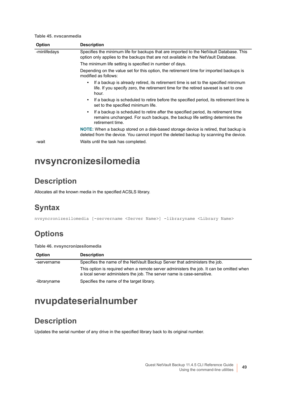**Table 45. nvscanmedia**

| <b>Option</b> | <b>Description</b>                                                                                                                                                                         |
|---------------|--------------------------------------------------------------------------------------------------------------------------------------------------------------------------------------------|
| -minlifedays  | Specifies the minimum life for backups that are imported to the NetVault Database. This<br>option only applies to the backups that are not available in the NetVault Database.             |
|               | The minimum life setting is specified in number of days.                                                                                                                                   |
|               | Depending on the value set for this option, the retirement time for imported backups is<br>modified as follows:                                                                            |
|               | If a backup is already retired, its retirement time is set to the specified minimum<br>٠<br>life. If you specify zero, the retirement time for the retired saveset is set to one<br>hour.  |
|               | If a backup is scheduled to retire before the specified period, its retirement time is<br>٠<br>set to the specified minimum life.                                                          |
|               | If a backup is scheduled to retire after the specified period, its retirement time<br>٠<br>remains unchanged. For such backups, the backup life setting determines the<br>retirement time. |
|               | NOTE: When a backup stored on a disk-based storage device is retired, that backup is<br>deleted from the device. You cannot import the deleted backup by scanning the device.              |
| -wait         | Waits until the task has completed.                                                                                                                                                        |

# <span id="page-48-0"></span>**nvsyncronizesilomedia**

#### **Description**

Allocates all the known media in the specified ACSLS library.

## **Syntax**

nvsyncronizesilomedia [-servername <Server Name>] -libraryname <Library Name>

# **Options**

**Table 46. nvsyncronizesilomedia**

| <b>Option</b> | <b>Description</b>                                                                                                                                                 |
|---------------|--------------------------------------------------------------------------------------------------------------------------------------------------------------------|
| -servername   | Specifies the name of the NetVault Backup Server that administers the job.                                                                                         |
|               | This option is required when a remote server administers the job. It can be omitted when<br>a local server administers the job. The server name is case-sensitive. |
| -libraryname  | Specifies the name of the target library.                                                                                                                          |

# <span id="page-48-1"></span>**nvupdateserialnumber**

### **Description**

Updates the serial number of any drive in the specified library back to its original number.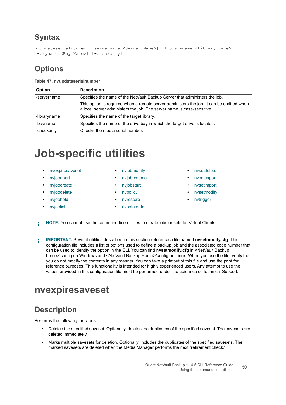```
nvupdateserialnumber [-servername <Server Name>] -libraryname <Library Name> 
[-bayname <Bay Name>] [-checkonly]
```
## **Options**

| <b>Option</b> | <b>Description</b>                                                                                                                                                 |
|---------------|--------------------------------------------------------------------------------------------------------------------------------------------------------------------|
| -servername   | Specifies the name of the NetVault Backup Server that administers the job.                                                                                         |
|               | This option is required when a remote server administers the job. It can be omitted when<br>a local server administers the job. The server name is case-sensitive. |
| -libraryname  | Specifies the name of the target library.                                                                                                                          |
| -bayname      | Specifies the name of the drive bay in which the target drive is located.                                                                                          |
| -checkonly    | Checks the media serial number.                                                                                                                                    |

# **Job-specific utilities**

- **•** [nvexpiresaveset](#page-49-0) **•** [nvjobmodify](#page-57-0) **•** [nvsetdelete](#page-75-0)
- 
- 
- [nvjobdelete](#page-54-0) **•** [nvpolicy](#page-61-0) **•** nvestmodify
- 
- 
- 
- **•** [nvjobabort](#page-51-0) **•** [nvjobresume](#page-59-0) **•** [nvsetexport](#page-76-0)
	-
	-
- **•** [nvjobhold](#page-56-0) **•** [nvrestore](#page-63-0) **•** [nvtrigger](#page-81-0)
- **•** [nvjoblist](#page-56-1) **•** [nvsetcreate](#page-65-0)
- 
- 
- **•** [nvjobcreate](#page-52-0) **•** [nvjobstart](#page-59-1) **•** [nvsetimport](#page-77-0)
	-
	-
- **i** | NOTE: You cannot use the command-line utilities to create jobs or sets for Virtual Clients.
- **IMPORTANT:** Several utilities described in this section reference a file named **nvsetmodify.cfg**. This ÷ configuration file includes a list of options used to define a backup job and the associated code number that can be used to identify the option in the CLI. You can find **nvsetmodify.cfg** in <NetVault Backup home>\config on Windows and <NetVault Backup Home>/config on Linux. When you use the file, verify that you do not modify the contents in any manner. You can take a printout of this file and use the print for reference purposes. This functionality is intended for highly experienced users. Any attempt to use the values provided in this configuration file must be performed under the guidance of Technical Support.

# <span id="page-49-0"></span>**nvexpiresaveset**

## **Description**

Performs the following functions:

- **•** Deletes the specified saveset. Optionally, deletes the duplicates of the specified saveset. The savesets are deleted immediately.
- **•** Marks multiple savesets for deletion. Optionally, includes the duplicates of the specified savesets. The marked savesets are deleted when the Media Manager performs the next "retirement check."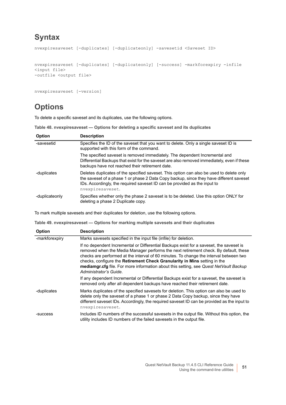```
nvexpiresaveset [-duplicates] [-duplicateonly] -savesetid <Saveset ID>
nvexpiresaveset [-duplicates] [-duplicateonly] [-success] -markforexpiry -infile 
<input file> 
-outfile <output file>
```

```
nvexpiresaveset [-version]
```
## **Options**

To delete a specific saveset and its duplicates, use the following options.

**Table 48. nvexpiresaveset — Options for deleting a specific saveset and its duplicates**

| <b>Option</b>  | <b>Description</b>                                                                                                                                                                                                                                                                   |
|----------------|--------------------------------------------------------------------------------------------------------------------------------------------------------------------------------------------------------------------------------------------------------------------------------------|
| -savesetid     | Specifies the ID of the saveset that you want to delete. Only a single saveset ID is<br>supported with this form of the command.                                                                                                                                                     |
|                | The specified saveset is removed immediately. The dependent Incremental and<br>Differential Backups that exist for the saveset are also removed immediately, even if these<br>backups have not reached their retirement date.                                                        |
| -duplicates    | Deletes duplicates of the specified saveset. This option can also be used to delete only<br>the saveset of a phase 1 or phase 2 Data Copy backup, since they have different saveset<br>IDs. Accordingly, the required saveset ID can be provided as the input to<br>nvexpiresaveset. |
| -duplicateonly | Specifies whether only the phase 2 saveset is to be deleted. Use this option ONLY for<br>deleting a phase 2 Duplicate copy.                                                                                                                                                          |

To mark multiple savesets and their duplicates for deletion, use the following options.

**Table 49. nvexpiresaveset — Options for marking multiple savesets and their duplicates**

| <b>Option</b>  | <b>Description</b>                                                                                                                                                                                                                                                                                                                                                                                                                                                        |
|----------------|---------------------------------------------------------------------------------------------------------------------------------------------------------------------------------------------------------------------------------------------------------------------------------------------------------------------------------------------------------------------------------------------------------------------------------------------------------------------------|
| -markforexpiry | Marks savesets specified in the input file (infile) for deletion.                                                                                                                                                                                                                                                                                                                                                                                                         |
|                | If no dependent Incremental or Differential Backups exist for a saveset, the saveset is<br>removed when the Media Manager performs the next retirement check. By default, these<br>checks are performed at the interval of 60 minutes. To change the interval between two<br>checks, configure the Retirement Check Granularity in Mins setting in the<br>mediamgr.cfg file. For more information about this setting, see Quest NetVault Backup<br>Administrator's Guide. |
|                | If any dependent Incremental or Differential Backups exist for a saveset, the saveset is<br>removed only after all dependent backups have reached their retirement date.                                                                                                                                                                                                                                                                                                  |
| -duplicates    | Marks duplicates of the specified savesets for deletion. This option can also be used to<br>delete only the saveset of a phase 1 or phase 2 Data Copy backup, since they have<br>different saveset IDs. Accordingly, the required saveset ID can be provided as the input to<br>nvexpiresaveset.                                                                                                                                                                          |
| -success       | Includes ID numbers of the successful savesets in the output file. Without this option, the<br>utility includes ID numbers of the failed savesets in the output file.                                                                                                                                                                                                                                                                                                     |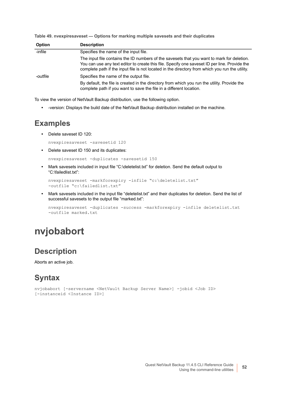| Table 49. nvexpiresaveset - Options for marking multiple savesets and their duplicates |  |  |  |
|----------------------------------------------------------------------------------------|--|--|--|
|                                                                                        |  |  |  |

| <b>Option</b> | <b>Description</b>                                                                                                                                                                                                                                                                             |
|---------------|------------------------------------------------------------------------------------------------------------------------------------------------------------------------------------------------------------------------------------------------------------------------------------------------|
| -infile       | Specifies the name of the input file.                                                                                                                                                                                                                                                          |
|               | The input file contains the ID numbers of the savesets that you want to mark for deletion.<br>You can use any text editor to create this file. Specify one saveset ID per line. Provide the<br>complete path if the input file is not located in the directory from which you run the utility. |
| -outfile      | Specifies the name of the output file.                                                                                                                                                                                                                                                         |
|               | By default, the file is created in the directory from which you run the utility. Provide the<br>complete path if you want to save the file in a different location.                                                                                                                            |

To view the version of NetVault Backup distribution, use the following option.

**•** -version: Displays the build date of the NetVault Backup distribution installed on the machine.

#### **Examples**

**•** Delete saveset ID 120:

nvexpiresaveset -savesetid 120

**•** Delete saveset ID 150 and its duplicates:

```
nvexpiresaveset -duplicates -savesetid 150
```
**•** Mark savesets included in input file "C:\deletelist.txt" for deletion. Send the default output to "C:\failedlist.txt":

```
nvexpiresaveset -markforexpiry -infile "c:\deletelist.txt" 
-outfile "c:\failedlist.txt"
```
**•** Mark savesets included in the input file "deletelist.txt" and their duplicates for deletion. Send the list of successful savesets to the output file "marked.txt":

```
nvexpiresaveset -duplicates -success -markforexpiry -infile deletelist.txt 
-outfile marked.txt
```
# <span id="page-51-0"></span>**nvjobabort**

#### **Description**

Aborts an active job.

#### **Syntax**

```
nvjobabort [-servername <NetVault Backup Server Name>] -jobid <Job ID> 
[-instanceid <Instance ID>]
```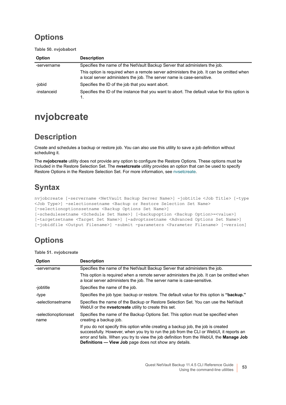## **Options**

**Table 50. nvjobabort**

| <b>Option</b> | <b>Description</b>                                                                                                                                                 |
|---------------|--------------------------------------------------------------------------------------------------------------------------------------------------------------------|
| -servername   | Specifies the name of the NetVault Backup Server that administers the job.                                                                                         |
|               | This option is required when a remote server administers the job. It can be omitted when<br>a local server administers the job. The server name is case-sensitive. |
| -jobid        | Specifies the ID of the job that you want abort.                                                                                                                   |
| -instanceid   | Specifies the ID of the instance that you want to abort. The default value for this option is                                                                      |

# <span id="page-52-0"></span>**nvjobcreate**

## **Description**

Create and schedules a backup or restore job. You can also use this utility to save a job definition without scheduling it.

The **nvjobcreate** utility does not provide any option to configure the Restore Options. These options must be included in the Restore Selection Set. The **nvsetcreate** utility provides an option that can be used to specify Restore Options in the Restore Selection Set. For more information, see [nvsetcreate.](#page-65-0)

# **Syntax**

nvjobcreate [-servername <NetVault Backup Server Name>] -jobtitle <Job Title> [-type <Job Type>] -selectionsetname <Backup or Restore Selection Set Name> [-selectionoptionssetname <Backup Options Set Name>] [-schedulesetname <Schedule Set Name>] [-backupoption <Backup Option>=<value>]

```
[-targetsetname <Target Set Name>] [-advoptssetname <Advanced Options Set Name>] 
[-jobidfile <Output Filename>] -submit -parameters <Parameter Filename> [-version]
```
## **Options**

**Table 51. nvjobcreate**

| Option                       | <b>Description</b>                                                                                                                                                                                                                                                                                                                              |
|------------------------------|-------------------------------------------------------------------------------------------------------------------------------------------------------------------------------------------------------------------------------------------------------------------------------------------------------------------------------------------------|
| -servername                  | Specifies the name of the NetVault Backup Server that administers the job.                                                                                                                                                                                                                                                                      |
|                              | This option is required when a remote server administers the job. It can be omitted when<br>a local server administers the job. The server name is case-sensitive.                                                                                                                                                                              |
| -jobtitle                    | Specifies the name of the job.                                                                                                                                                                                                                                                                                                                  |
| -type                        | Specifies the job type: backup or restore. The default value for this option is "backup."                                                                                                                                                                                                                                                       |
| -selectionsetname            | Specifies the name of the Backup or Restore Selection Set. You can use the NetVault<br>WebUI or the <b>nysetcreate</b> utility to create this set.                                                                                                                                                                                              |
| -selectionoptionsset<br>name | Specifies the name of the Backup Options Set. This option must be specified when<br>creating a backup job.                                                                                                                                                                                                                                      |
|                              | If you do not specify this option while creating a backup job, the job is created<br>successfully. However, when you try to run the job from the CLI or WebUI, it reports an<br>error and fails. When you try to view the job definition from the WebUI, the <b>Manage Job</b><br><b>Definitions - View Job</b> page does not show any details. |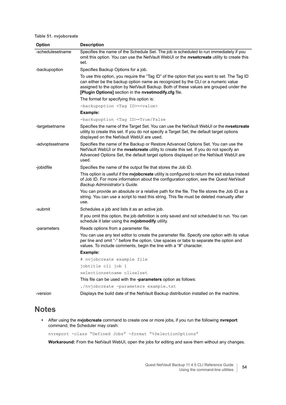#### **Table 51. nvjobcreate**

| Option           | <b>Description</b>                                                                                                                                                                                                                                                                                                                |
|------------------|-----------------------------------------------------------------------------------------------------------------------------------------------------------------------------------------------------------------------------------------------------------------------------------------------------------------------------------|
| -schedulesetname | Specifies the name of the Schedule Set. The job is scheduled to run immediately if you<br>omit this option. You can use the NetVault WebUI or the nvsetcreate utility to create this<br>set.                                                                                                                                      |
| -backupoption    | Specifies Backup Options for a job.                                                                                                                                                                                                                                                                                               |
|                  | To use this option, you require the "Tag ID" of the option that you want to set. The Tag ID<br>can either be the backup option name as recognized by the CLI or a numeric value<br>assigned to the option by NetVault Backup. Both of these values are grouped under the<br>[Plugin Options] section in the nvsetmodify.cfg file. |
|                  | The format for specifying this option is:                                                                                                                                                                                                                                                                                         |
|                  | -backupoption <tag id=""> =&lt; value&gt;</tag>                                                                                                                                                                                                                                                                                   |
|                  | Example:                                                                                                                                                                                                                                                                                                                          |
|                  | -backupoption <taq id="">=True/False</taq>                                                                                                                                                                                                                                                                                        |
| -targetsetname   | Specifies the name of the Target Set. You can use the NetVault WebUI or the nvsetcreate<br>utility to create this set. If you do not specify a Target Set, the default target options<br>displayed on the NetVault WebUI are used.                                                                                                |
| -advoptssetname  | Specifies the name of the Backup or Restore Advanced Options Set. You can use the<br>NetVault WebUI or the nvsetcreate utility to create this set. If you do not specify an<br>Advanced Options Set, the default target options displayed on the NetVault WebUI are<br>used.                                                      |
| -jobidfile       | Specifies the name of the output file that stores the Job ID.                                                                                                                                                                                                                                                                     |
|                  | This option is useful if the nvjobcreate utility is configured to return the exit status instead<br>of Job ID. For more information about the configuration option, see the Quest NetVault<br>Backup Administrator's Guide.                                                                                                       |
|                  | You can provide an absolute or a relative path for the file. The file stores the Job ID as a<br>string. You can use a script to read this string. This file must be deleted manually after<br>use.                                                                                                                                |
| -submit          | Schedules a job and lists it as an active job.                                                                                                                                                                                                                                                                                    |
|                  | If you omit this option, the job definition is only saved and not scheduled to run. You can<br>schedule it later using the nvjobmodify utility.                                                                                                                                                                                   |
| -parameters      | Reads options from a parameter file.                                                                                                                                                                                                                                                                                              |
|                  | You can use any text editor to create the parameter file. Specify one option with its value<br>per line and omit "-" before the option. Use spaces or tabs to separate the option and<br>values. To include comments, begin the line with a "#" character.                                                                        |
|                  | Example:                                                                                                                                                                                                                                                                                                                          |
|                  | # nvjobcreate example file                                                                                                                                                                                                                                                                                                        |
|                  | jobtitle cli job 1                                                                                                                                                                                                                                                                                                                |
|                  | selectionsetname cliselset                                                                                                                                                                                                                                                                                                        |
|                  | This file can be used with the -parameters option as follows:                                                                                                                                                                                                                                                                     |
|                  | ./nvjobcreate -parameters example.txt                                                                                                                                                                                                                                                                                             |
| -version         | Displays the build date of the NetVault Backup distribution installed on the machine.                                                                                                                                                                                                                                             |

#### **Notes**

**•** After using the **nvjobcreate** command to create one or more jobs, if you run the following **nvreport** command, the Scheduler may crash:

nvreport -class "Defined Jobs" -format "%SelectionOptions"

**Workaround:** From the NetVault WebUI, open the jobs for editing and save them without any changes.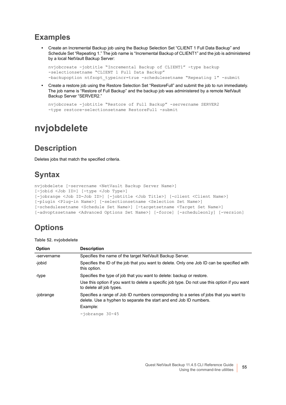#### **Examples**

**•** Create an Incremental Backup job using the Backup Selection Set "CLIENT 1 Full Data Backup" and Schedule Set "Repeating 1." The job name is "Incremental Backup of CLIENT1" and the job is administered by a local NetVault Backup Server:

nvjobcreate -jobtitle "Incremental Backup of CLIENT1" -type backup -selectionsetname "CLIENT 1 Full Data Backup" -backupoption ntfsopt typeincr=true -schedulesetname "Repeating 1" -submit

**•** Create a restore job using the Restore Selection Set "RestoreFull" and submit the job to run immediately. The job name is "Restore of Full Backup" and the backup job was administered by a remote NetVault Backup Server "SERVER2."

```
nvjobcreate -jobtitle "Restore of Full Backup" -servername SERVER2 
-type restore-selectionsetname RestoreFull -submit
```
# <span id="page-54-0"></span>**nvjobdelete**

#### **Description**

Deletes jobs that match the specified criteria.

## **Syntax**

```
nvjobdelete [-servername <NetVault Backup Server Name>] 
[-jobid <Job ID>] [-type <Job Type>] 
[-jobrange <Job ID-Job ID>] [-jobtitle <Job Title>] [-client <Client Name>] 
[-plugin <Plug-in Name>] [-selectionsetname <Selection Set Name>] 
[-schedulesetname <Schedule Set Name>] [-targetsetname <Target Set Name>] 
[-advoptssetname <Advanced Options Set Name>] [-force] [-scheduleonly] [-version]
```
## **Options**

|  |  | Table 52. nvjobdelete |
|--|--|-----------------------|
|--|--|-----------------------|

| <b>Option</b> | <b>Description</b>                                                                                                                                           |
|---------------|--------------------------------------------------------------------------------------------------------------------------------------------------------------|
| -servername   | Specifies the name of the target NetVault Backup Server.                                                                                                     |
| -jobid        | Specifies the ID of the job that you want to delete. Only one Job ID can be specified with<br>this option.                                                   |
| -type         | Specifies the type of job that you want to delete: backup or restore.                                                                                        |
|               | Use this option if you want to delete a specific job type. Do not use this option if you want<br>to delete all job types.                                    |
| -jobrange     | Specifies a range of Job ID numbers corresponding to a series of jobs that you want to<br>delete. Use a hyphen to separate the start and end Job ID numbers. |
|               | Example:                                                                                                                                                     |
|               | $-iobrange$ 30-45                                                                                                                                            |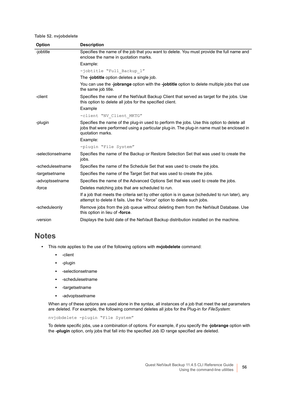#### **Table 52. nvjobdelete**

| Option            | <b>Description</b>                                                                                                                                                                                         |
|-------------------|------------------------------------------------------------------------------------------------------------------------------------------------------------------------------------------------------------|
| -jobtitle         | Specifies the name of the job that you want to delete. You must provide the full name and<br>enclose the name in quotation marks.                                                                          |
|                   | Example:                                                                                                                                                                                                   |
|                   | -jobtitle "Full Backup 1"                                                                                                                                                                                  |
|                   | The -jobtitle option deletes a single job.                                                                                                                                                                 |
|                   | You can use the -jobrange option with the -jobtitle option to delete multiple jobs that use<br>the same job title.                                                                                         |
| -client           | Specifies the name of the NetVault Backup Client that served as target for the jobs. Use<br>this option to delete all jobs for the specified client.                                                       |
|                   | Example                                                                                                                                                                                                    |
|                   | -client "NV Client MKTG"                                                                                                                                                                                   |
| -plugin           | Specifies the name of the plug-in used to perform the jobs. Use this option to delete all<br>jobs that were performed using a particular plug-in. The plug-in name must be enclosed in<br>quotation marks. |
|                   | Example:                                                                                                                                                                                                   |
|                   | -plugin "File System"                                                                                                                                                                                      |
| -selectionsetname | Specifies the name of the Backup or Restore Selection Set that was used to create the<br>jobs.                                                                                                             |
| -schedulesetname  | Specifies the name of the Schedule Set that was used to create the jobs.                                                                                                                                   |
| -targetsetname    | Specifies the name of the Target Set that was used to create the jobs.                                                                                                                                     |
| -advoptssetname   | Specifies the name of the Advanced Options Set that was used to create the jobs.                                                                                                                           |
| -force            | Deletes matching jobs that are scheduled to run.                                                                                                                                                           |
|                   | If a job that meets the criteria set by other option is in queue (scheduled to run later), any<br>attempt to delete it fails. Use the "-force" option to delete such jobs.                                 |
| -scheduleonly     | Remove jobs from the job queue without deleting them from the NetVault Database. Use<br>this option in lieu of -force.                                                                                     |
| -version          | Displays the build date of the NetVault Backup distribution installed on the machine.                                                                                                                      |

#### **Notes**

- **•** This note applies to the use of the following options with **nvjobdelete** command:
	- **▪** -client
	- **▪** -plugin
	- **▪** -selectionsetname
	- **▪** -schedulesetname
	- **▪** -targetsetname
	- **▪** -advoptssetname

When any of these options are used alone in the syntax, all instances of a job that meet the set parameters are deleted. For example, the following command deletes all jobs for the Plug-in *for FileSystem*:

nvjobdelete -plugin "File System"

To delete specific jobs, use a combination of options. For example, if you specify the **-jobrange** option with the **-plugin** option, only jobs that fall into the specified Job ID range specified are deleted.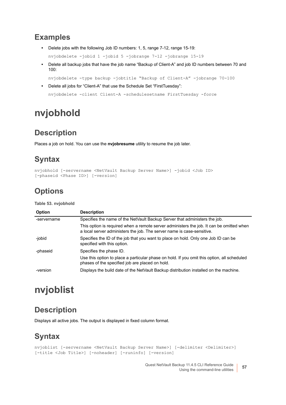#### **Examples**

**•** Delete jobs with the following Job ID numbers: 1, 5, range 7-12, range 15-19:

```
nvjobdelete -jobid 1 -jobid 5 -jobrange 7-12 -jobrange 15-19
```
**•** Delete all backup jobs that have the job name "Backup of Client-A" and job ID numbers between 70 and 100:

nvjobdelete -type backup -jobtitle "Backup of Client-A" -jobrange 70-100

**•** Delete all jobs for "Client-A" that use the Schedule Set "FirstTuesday":

```
nvjobdelete -client Client-A -schedulesetname FirstTuesday -force
```
# <span id="page-56-0"></span>**nvjobhold**

### **Description**

Places a job on hold. You can use the **nvjobresume** utility to resume the job later.

#### **Syntax**

```
nvjobhold [-servername <NetVault Backup Server Name>] -jobid <Job ID> 
[-phaseid <Phase ID>] [-version]
```
## **Options**

#### **Table 53. nvjobhold**

| <b>Option</b> | <b>Description</b>                                                                                                                                                 |
|---------------|--------------------------------------------------------------------------------------------------------------------------------------------------------------------|
| -servername   | Specifies the name of the NetVault Backup Server that administers the job.                                                                                         |
|               | This option is required when a remote server administers the job. It can be omitted when<br>a local server administers the job. The server name is case-sensitive. |
| -jobid        | Specifies the ID of the job that you want to place on hold. Only one Job ID can be<br>specified with this option.                                                  |
| -phaseid      | Specifies the phase ID.                                                                                                                                            |
|               | Use this option to place a particular phase on hold. If you omit this option, all scheduled<br>phases of the specified job are placed on hold.                     |
| -version      | Displays the build date of the NetVault Backup distribution installed on the machine.                                                                              |

# <span id="page-56-1"></span>**nvjoblist**

#### **Description**

Displays all active jobs. The output is displayed in fixed column format.

#### **Syntax**

```
nvjoblist [-servername <NetVault Backup Server Name>] [-delimiter <Delimiter>] 
[-title <Job Title>] [-noheader] [-runinfo] [-version]
```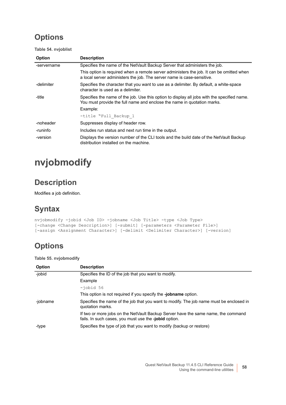## **Options**

**Table 54. nvjoblist**

| <b>Option</b> | <b>Description</b>                                                                                                                                                     |
|---------------|------------------------------------------------------------------------------------------------------------------------------------------------------------------------|
| -servername   | Specifies the name of the NetVault Backup Server that administers the job.                                                                                             |
|               | This option is required when a remote server administers the job. It can be omitted when<br>a local server administers the job. The server name is case-sensitive.     |
| -delimiter    | Specifies the character that you want to use as a delimiter. By default, a white-space<br>character is used as a delimiter.                                            |
| -title        | Specifies the name of the job. Use this option to display all jobs with the specified name.<br>You must provide the full name and enclose the name in quotation marks. |
|               | Example:                                                                                                                                                               |
|               | -title "Full Backup 1                                                                                                                                                  |
| -noheader     | Suppresses display of header row.                                                                                                                                      |
| -runinfo      | Includes run status and next run time in the output.                                                                                                                   |
| -version      | Displays the version number of the CLI tools and the build date of the NetVault Backup<br>distribution installed on the machine.                                       |

# <span id="page-57-0"></span>**nvjobmodify**

### **Description**

Modifies a job definition.

## **Syntax**

```
nvjobmodify -jobid <Job ID> -jobname <Job Title> -type <Job Type> 
[-change <Change Description>] [-submit] [-parameters <Parameter File>] 
[-assign <Assignment Character>] [-delimit <Delimiter Character>] [-version]
```
## **Options**

**Table 55. nvjobmodify**

| <b>Option</b> | <b>Description</b>                                                                                                                         |
|---------------|--------------------------------------------------------------------------------------------------------------------------------------------|
| -jobid        | Specifies the ID of the job that you want to modify.                                                                                       |
|               | Example                                                                                                                                    |
|               | $-i$ obid 56                                                                                                                               |
|               | This option is not required if you specify the <b>-jobname</b> option.                                                                     |
| -jobname      | Specifies the name of the job that you want to modify. The job name must be enclosed in<br>quotation marks.                                |
|               | If two or more jobs on the NetVault Backup Server have the same name, the command<br>fails. In such cases, you must use the -jobid option. |
| -type         | Specifies the type of job that you want to modify (backup or restore)                                                                      |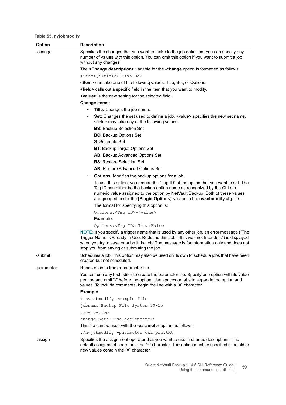#### **Table 55. nvjobmodify**

| <b>Option</b> | <b>Description</b>                                                                                                                                                                                                                                                                                                                                                             |
|---------------|--------------------------------------------------------------------------------------------------------------------------------------------------------------------------------------------------------------------------------------------------------------------------------------------------------------------------------------------------------------------------------|
| -change       | Specifies the changes that you want to make to the job definition. You can specify any<br>number of values with this option. You can omit this option if you want to submit a job<br>without any changes.                                                                                                                                                                      |
|               | The <change description=""> variable for the -change option is formatted as follows:</change>                                                                                                                                                                                                                                                                                  |
|               | <item>[:<field>] =<value></value></field></item>                                                                                                                                                                                                                                                                                                                               |
|               | <b><item></item></b> can take one of the following values: Title, Set, or Options.                                                                                                                                                                                                                                                                                             |
|               | <field> calls out a specific field in the item that you want to modify.</field>                                                                                                                                                                                                                                                                                                |
|               | <value> is the new setting for the selected field.</value>                                                                                                                                                                                                                                                                                                                     |
|               | <b>Change items:</b>                                                                                                                                                                                                                                                                                                                                                           |
|               | <b>Title:</b> Changes the job name.                                                                                                                                                                                                                                                                                                                                            |
|               | Set: Changes the set used to define a job. <value> specifies the new set name.<br/><math display="inline">\bullet</math><br/><field> may take any of the following values:</field></value>                                                                                                                                                                                     |
|               | <b>BS:</b> Backup Selection Set                                                                                                                                                                                                                                                                                                                                                |
|               | <b>BO: Backup Options Set</b>                                                                                                                                                                                                                                                                                                                                                  |
|               | <b>S</b> : Schedule Set                                                                                                                                                                                                                                                                                                                                                        |
|               | <b>BT:</b> Backup Target Options Set                                                                                                                                                                                                                                                                                                                                           |
|               | <b>AB:</b> Backup Advanced Options Set                                                                                                                                                                                                                                                                                                                                         |
|               | <b>RS: Restore Selection Set</b>                                                                                                                                                                                                                                                                                                                                               |
|               | <b>AR: Restore Advanced Options Set</b>                                                                                                                                                                                                                                                                                                                                        |
|               | <b>Options:</b> Modifies the backup options for a job.<br>$\bullet$                                                                                                                                                                                                                                                                                                            |
|               | To use this option, you require the "Tag ID" of the option that you want to set. The<br>Tag ID can either be the backup option name as recognized by the CLI or a<br>numeric value assigned to the option by NetVault Backup. Both of these values<br>are grouped under the [Plugin Options] section in the nvsetmodify.cfg file.<br>The format for specifying this option is: |
|               |                                                                                                                                                                                                                                                                                                                                                                                |
|               | Options: <tag id="">=<value></value></tag>                                                                                                                                                                                                                                                                                                                                     |
|               | Example:<br>Options: <tag id="">=True/False</tag>                                                                                                                                                                                                                                                                                                                              |
|               | NOTE: If you specify a trigger name that is used by any other job, an error message ("The<br>Trigger Name is Already in Use. Redefine this Job if this was not Intended.") is displayed<br>when you try to save or submit the job. The message is for information only and does not<br>stop you from saving or submitting the job.                                             |
| -submit       | Schedules a job. This option may also be used on its own to schedule jobs that have been<br>created but not scheduled.                                                                                                                                                                                                                                                         |
| -parameter    | Reads options from a parameter file.                                                                                                                                                                                                                                                                                                                                           |
|               | You can use any text editor to create the parameter file. Specify one option with its value<br>per line and omit "-" before the option. Use spaces or tabs to separate the option and<br>values. To include comments, begin the line with a "#" character.                                                                                                                     |
|               | <b>Example</b>                                                                                                                                                                                                                                                                                                                                                                 |
|               | # nvjobmodify example file                                                                                                                                                                                                                                                                                                                                                     |
|               | jobname Backup File System 10-15                                                                                                                                                                                                                                                                                                                                               |
|               | type backup                                                                                                                                                                                                                                                                                                                                                                    |
|               | change Set: BS=selectionsetcli                                                                                                                                                                                                                                                                                                                                                 |
|               | This file can be used with the <b>-parameter</b> option as follows:                                                                                                                                                                                                                                                                                                            |
|               | ./nvjobmodify -parameter example.txt                                                                                                                                                                                                                                                                                                                                           |
| -assign       | Specifies the assignment operator that you want to use in change descriptions. The<br>default assignment operator is the "=" character. This option must be specified if the old or<br>new values contain the "=" character.                                                                                                                                                   |
|               |                                                                                                                                                                                                                                                                                                                                                                                |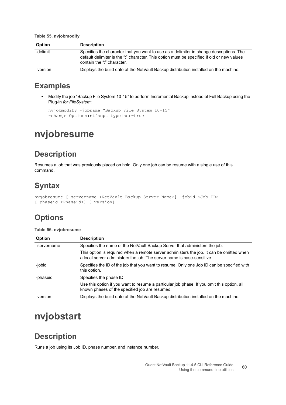**Table 55. nvjobmodify**

| <b>Option</b> | <b>Description</b>                                                                                                                                                                                                  |
|---------------|---------------------------------------------------------------------------------------------------------------------------------------------------------------------------------------------------------------------|
| -delimit      | Specifies the character that you want to use as a delimiter in change descriptions. The<br>default delimiter is the ":" character. This option must be specified if old or new values<br>contain the ":" character. |
| -version      | Displays the build date of the NetVault Backup distribution installed on the machine.                                                                                                                               |

#### **Examples**

**•** Modify the job "Backup File System 10-15" to perform Incremental Backup instead of Full Backup using the Plug-in *for FileSystem*:

```
nvjobmodify -jobname "Backup File System 10-15" 
-change Options: ntfsopt typeincr=true
```
# <span id="page-59-0"></span>**nvjobresume**

### **Description**

Resumes a job that was previously placed on hold. Only one job can be resume with a single use of this command.

## **Syntax**

```
nvjobresume [-servername <NetVault Backup Server Name>] -jobid <Job ID> 
[-phaseid <Phaseid>] [-version]
```
## **Options**

#### **Table 56. nvjobresume**

| <b>Option</b> | <b>Description</b>                                                                                                                                                 |
|---------------|--------------------------------------------------------------------------------------------------------------------------------------------------------------------|
| -servername   | Specifies the name of the NetVault Backup Server that administers the job.                                                                                         |
|               | This option is required when a remote server administers the job. It can be omitted when<br>a local server administers the job. The server name is case-sensitive. |
| -jobid        | Specifies the ID of the job that you want to resume. Only one Job ID can be specified with<br>this option.                                                         |
| -phaseid      | Specifies the phase ID.                                                                                                                                            |
|               | Use this option if you want to resume a particular job phase. If you omit this option, all<br>known phases of the specified job are resumed.                       |
| -version      | Displays the build date of the NetVault Backup distribution installed on the machine.                                                                              |

# <span id="page-59-1"></span>**nvjobstart**

#### **Description**

Runs a job using its Job ID, phase number, and instance number.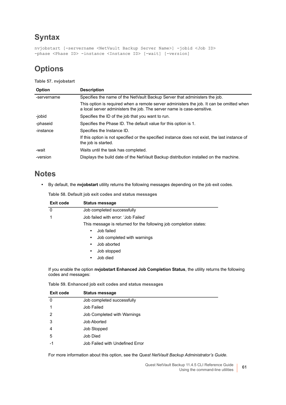```
nvjobstart [-servername <NetVault Backup Server Name>] -jobid <Job ID> 
-phase <Phase ID> -instance <Instance ID> [-wait] [-version]
```
## **Options**

**Table 57. nvjobstart**

| <b>Option</b> | <b>Description</b>                                                                                                                                                 |
|---------------|--------------------------------------------------------------------------------------------------------------------------------------------------------------------|
| -servername   | Specifies the name of the NetVault Backup Server that administers the job.                                                                                         |
|               | This option is required when a remote server administers the job. It can be omitted when<br>a local server administers the job. The server name is case-sensitive. |
| -jobid        | Specifies the ID of the job that you want to run.                                                                                                                  |
| -phaseid      | Specifies the Phase ID. The default value for this option is 1.                                                                                                    |
| -instance     | Specifies the Instance ID.                                                                                                                                         |
|               | If this option is not specified or the specified instance does not exist, the last instance of<br>the job is started.                                              |
| -wait         | Waits until the task has completed.                                                                                                                                |
| -version      | Displays the build date of the NetVault Backup distribution installed on the machine.                                                                              |

#### **Notes**

**•** By default, the **nvjobstart** utility returns the following messages depending on the job exit codes.

**Table 58. Default job exit codes and status messages**

| Exit code | <b>Status message</b>                                             |  |  |  |
|-----------|-------------------------------------------------------------------|--|--|--|
| 0         | Job completed successfully                                        |  |  |  |
|           | Job failed with error: 'Job Failed'                               |  |  |  |
|           | This message is returned for the following job completion states: |  |  |  |
|           | Job failed<br>$\bullet$                                           |  |  |  |
|           | Job completed with warnings<br>$\bullet$                          |  |  |  |
|           | Job aborted<br>$\bullet$                                          |  |  |  |
|           | Job stopped<br>$\bullet$                                          |  |  |  |
|           | Job died<br>٠                                                     |  |  |  |
|           |                                                                   |  |  |  |

If you enable the option **nvjobstart Enhanced Job Completion Status**, the utility returns the following codes and messages:

**Table 59. Enhanced job exit codes and status messages**

| Exit code      | <b>Status message</b>           |
|----------------|---------------------------------|
| 0              | Job completed successfully      |
| 1              | Job Failed                      |
| $\overline{2}$ | Job Completed with Warnings     |
| 3              | Job Aborted                     |
| 4              | <b>Job Stopped</b>              |
| 5              | Job Died                        |
| -1             | Job Failed with Undefined Error |

For more information about this option, see the *Quest NetVault Backup Administrator's Guide*.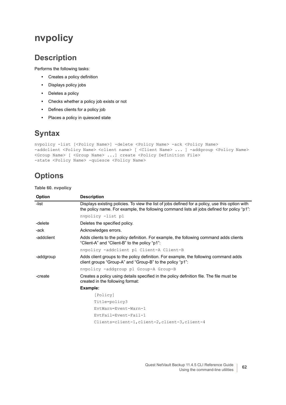# <span id="page-61-0"></span>**nvpolicy**

#### **Description**

Performs the following tasks:

- **•** Creates a policy definition
- **•** Displays policy jobs
- **•** Deletes a policy
- **•** Checks whether a policy job exists or not
- **•** Defines clients for a policy job
- **•** Places a policy in quiesced state

#### **Syntax**

```
nvpolicy -list [<Policy Name>] -delete <Policy Name> -ack <Policy Name> 
-addclient <Policy Name> <client name> [ <Client Name> ... ] -addgroup <Policy Name>
<Group Name> [ <Group Name> ...] create <Policy Definition File> 
-state <Policy Name> -quiesce <Policy Name>
```
### **Options**

**Table 60. nvpolicy**

| <b>Option</b> | <b>Description</b>                                                                                                                                                                             |
|---------------|------------------------------------------------------------------------------------------------------------------------------------------------------------------------------------------------|
| -list         | Displays existing policies. To view the list of jobs defined for a policy, use this option with<br>the policy name. For example, the following command lists all jobs defined for policy "p1": |
|               | nvpolicy -list pl                                                                                                                                                                              |
| -delete       | Deletes the specified policy.                                                                                                                                                                  |
| -ack          | Acknowledges errors.                                                                                                                                                                           |
| -addclient    | Adds clients to the policy definition. For example, the following command adds clients<br>"Client-A" and "Client-B" to the policy "p1":                                                        |
|               | nvpolicy -addclient p1 Client-A Client-B                                                                                                                                                       |
| -addgroup     | Adds client groups to the policy definition. For example, the following command adds<br>client groups "Group-A" and "Group-B" to the policy "p1":                                              |
|               | nvpolicy -addgroup p1 Group-A Group-B                                                                                                                                                          |
| -create       | Creates a policy using details specified in the policy definition file. The file must be<br>created in the following format:                                                                   |
|               | Example:                                                                                                                                                                                       |
|               | [Policy]                                                                                                                                                                                       |
|               | Title=policy3                                                                                                                                                                                  |
|               | EvtWarn=Event-Warn-1                                                                                                                                                                           |
|               | EvtFail=Event-Fail-1                                                                                                                                                                           |
|               | Clients=client-1, client-2, client-3, client-4                                                                                                                                                 |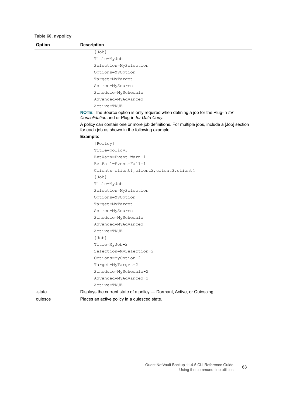**Table 60. nvpolicy**

| <b>Option</b> | <b>Description</b>                                                                                                                                                                                                                     |
|---------------|----------------------------------------------------------------------------------------------------------------------------------------------------------------------------------------------------------------------------------------|
|               | [Job]                                                                                                                                                                                                                                  |
|               | Title=MyJob                                                                                                                                                                                                                            |
|               | Selection=MySelection                                                                                                                                                                                                                  |
|               | Options=MyOption                                                                                                                                                                                                                       |
|               | Target=MyTarget                                                                                                                                                                                                                        |
|               | Source=MySource                                                                                                                                                                                                                        |
|               | Schedule=MySchedule                                                                                                                                                                                                                    |
|               | Advanced=MyAdvanced                                                                                                                                                                                                                    |
|               | Active=TRUE                                                                                                                                                                                                                            |
|               | <b>NOTE:</b> The Source option is only required when defining a job for the Plug-in for<br>Consolidation and or Plug-in for Data Copy.<br>A policy can contain one or more job definitions. For multiple jobs, include a [Job] section |
|               | for each job as shown in the following example.                                                                                                                                                                                        |
|               | Example:                                                                                                                                                                                                                               |
|               | [Policy]                                                                                                                                                                                                                               |
|               | Title=policy3                                                                                                                                                                                                                          |
|               | EvtWarn=Event-Warn-1                                                                                                                                                                                                                   |
|               | EvtFail=Event-Fail-1                                                                                                                                                                                                                   |
|               | Clients=client1, client2, client3, client4                                                                                                                                                                                             |
|               | [Job]                                                                                                                                                                                                                                  |
|               | Title=MyJob                                                                                                                                                                                                                            |
|               | Selection=MySelection                                                                                                                                                                                                                  |
|               | Options=MyOption                                                                                                                                                                                                                       |
|               | Target=MyTarget                                                                                                                                                                                                                        |
|               | Source=MySource                                                                                                                                                                                                                        |
|               | Schedule=MySchedule                                                                                                                                                                                                                    |
|               | Advanced=MyAdvanced                                                                                                                                                                                                                    |
|               | Active=TRUE                                                                                                                                                                                                                            |
|               | [Job]                                                                                                                                                                                                                                  |
|               | Title=MyJob-2                                                                                                                                                                                                                          |
|               | Selection=MySelection-2                                                                                                                                                                                                                |
|               | Options=MyOption-2                                                                                                                                                                                                                     |
|               | Target=MyTarget-2                                                                                                                                                                                                                      |
|               | Schedule=MySchedule-2                                                                                                                                                                                                                  |
|               | Advanced=MyAdvanced-2                                                                                                                                                                                                                  |
|               | Active=TRUE                                                                                                                                                                                                                            |
| -state        | Displays the current state of a policy - Dormant, Active, or Quiescing.                                                                                                                                                                |
| quiesce       | Places an active policy in a quiesced state.                                                                                                                                                                                           |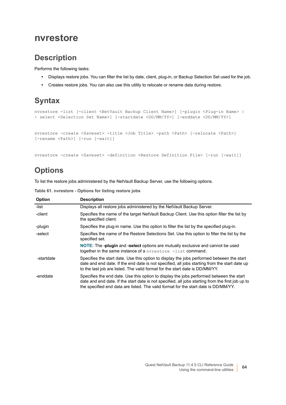#### <span id="page-63-0"></span>**nvrestore**

#### **Description**

Performs the following tasks:

- **•** Displays restore jobs. You can filter the list by date, client, plug-in, or Backup Selection Set used for the job.
- **•** Creates restore jobs. You can also use this utility to relocate or rename data during restore.

# **Syntax**

```
nvrestore -list [-client <NetVault Backup Client Name>] [-plugin <Plug-in Name> | 
- select <Selection Set Name>] [-startdate <DD/MM/YY>] [-enddate <DD/MM/YY>]
nvrestore -create <Saveset> -title <Job Title> -path <Path> [-relocate <Path>] 
[-rename <Path>] [-run [-wait]]
```
nvrestore -create <Saveset> -definition <Restore Definition File> [-run [-wait]]

## **Options**

To list the restore jobs administered by the NetVault Backup Server, use the following options.

| <b>Option</b> | <b>Description</b>                                                                                                                                                                                                                                                                  |
|---------------|-------------------------------------------------------------------------------------------------------------------------------------------------------------------------------------------------------------------------------------------------------------------------------------|
| -list         | Displays all restore jobs administered by the NetVault Backup Server.                                                                                                                                                                                                               |
| -client       | Specifies the name of the target NetVault Backup Client. Use this option filter the list by<br>the specified client.                                                                                                                                                                |
| -plugin       | Specifies the plug-in name. Use this option to filter the list by the specified plug-in.                                                                                                                                                                                            |
| -select       | Specifies the name of the Restore Selections Set. Use this option to filter the list by the<br>specified set.                                                                                                                                                                       |
|               | NOTE: The -plugin and -select options are mutually exclusive and cannot be used<br>together in the same instance of a nyrestore -list command.                                                                                                                                      |
| -startdate    | Specifies the start date. Use this option to display the jobs performed between the start<br>date and end date. If the end date is not specified, all jobs starting from the start date up<br>to the last job are listed. The valid format for the start date is DD/MM/YY.          |
| -enddate      | Specifies the end date. Use this option to display the jobs performed between the start<br>date and end date. If the start date is not specified, all jobs starting from the first job up to<br>the specified end data are listed. The valid format for the start date is DD/MM/YY. |

**Table 61. nvrestore - Options for listing restore jobs**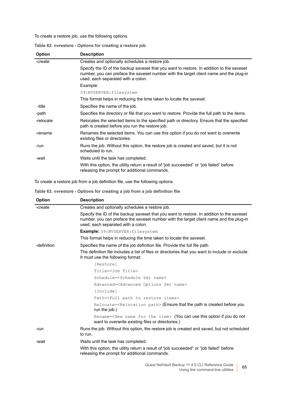To create a restore job, use the following options.

| Table 62. nvrestore - Options for creating a restore job |  |  |  |  |
|----------------------------------------------------------|--|--|--|--|
|                                                          |  |  |  |  |

| <b>Option</b> | <b>Description</b>                                                                                                                                                                                                        |
|---------------|---------------------------------------------------------------------------------------------------------------------------------------------------------------------------------------------------------------------------|
| -create       | Creates and optionally schedules a restore job.                                                                                                                                                                           |
|               | Specify the ID of the backup saveset that you want to restore. In addition to the saveset<br>number, you can preface the saveset number with the target client name and the plug-in<br>used, each separated with a colon. |
|               | Example:                                                                                                                                                                                                                  |
|               | 59:NVSERVER: filesystem                                                                                                                                                                                                   |
|               | This format helps in reducing the time taken to locate the saveset.                                                                                                                                                       |
| -title        | Specifies the name of the job.                                                                                                                                                                                            |
| -path         | Specifies the directory or file that you want to restore. Provide the full path to the items.                                                                                                                             |
| -relocate     | Relocates the selected items to the specified path or directory. Ensure that the specified<br>path is created before you run the restore job.                                                                             |
| -rename       | Renames the selected items. You can use this option if you do not want to overwrite<br>existing files or directories.                                                                                                     |
| -run          | Runs the job. Without this option, the restore job is created and saved, but it is not<br>scheduled to run.                                                                                                               |
| -wait         | Waits until the task has completed.                                                                                                                                                                                       |
|               | With this option, the utility return a result of "job succeeded" or "job failed" before<br>releasing the prompt for additional commands.                                                                                  |

To create a restore job from a job definition file, use the following options.

**Table 63. nvrestore - Options for creating a job from a job definition file**

| Option      | <b>Description</b>                                                                                                                                                                                                        |
|-------------|---------------------------------------------------------------------------------------------------------------------------------------------------------------------------------------------------------------------------|
| -create     | Creates and optionally schedules a restore job.                                                                                                                                                                           |
|             | Specify the ID of the backup saveset that you want to restore. In addition to the saveset<br>number, you can preface the saveset number with the target client name and the plug-in<br>used, each separated with a colon. |
|             | <b>Example:</b> 59:NVSERVER: filesystem                                                                                                                                                                                   |
|             | This format helps in reducing the time taken to locate the saveset.                                                                                                                                                       |
| -definition | Specifies the name of the job definition file. Provide the full file path.                                                                                                                                                |
|             | The definition file includes a list of files or directories that you want to include or exclude.<br>It must use the following format:                                                                                     |
|             | [Restore]                                                                                                                                                                                                                 |
|             | Title= <job title=""></job>                                                                                                                                                                                               |
|             | Schedule= <schedule name="" set=""></schedule>                                                                                                                                                                            |
|             | Advanced= <advanced name="" options="" set=""></advanced>                                                                                                                                                                 |
|             | [Include]                                                                                                                                                                                                                 |
|             | Path= <full items="" path="" restore="" to=""></full>                                                                                                                                                                     |
|             | Relocate= <relocation path=""> (Ensure that the path is created before you<br/>run the job.)</relocation>                                                                                                                 |
|             | Rename= <new for="" item="" name="" the=""> (You can use this option if you do not<br/>want to overwrite existing files or directories.)</new>                                                                            |
| -run        | Runs the job. Without this option, the restore job is created and saved, but not scheduled<br>to run.                                                                                                                     |
| -wait       | Waits until the task has completed.                                                                                                                                                                                       |
|             | With this option, the utility return a result of "job succeeded" or "job failed" before<br>releasing the prompt for additional commands.                                                                                  |
|             | Quest NetVault Backup 11.4.5 CLI Reference Guide<br>65<br>Using the command-line utilities                                                                                                                                |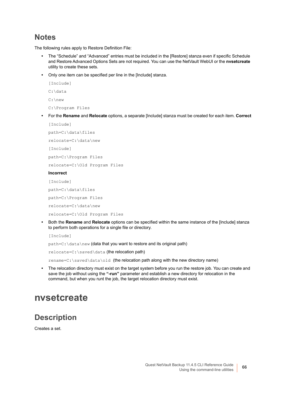#### **Notes**

The following rules apply to Restore Definition File:

- **•** The "Schedule" and "Advanced" entries must be included in the [Restore] stanza even if specific Schedule and Restore Advanced Options Sets are not required. You can use the NetVault WebUI or the **nvsetcreate** utility to create these sets.
- **•** Only one item can be specified per line in the [Include] stanza.

```
[Include]
C:\data
C:\new
C:\Program Files
• For the Rename and Relocate options, a separate [Include] stanza must be created for each item. Correct
```

```
[Include]
path=C:\data\files
relocate=C:\data\new
```
[Include]

```
path=C:\Program Files
```
relocate=C:\Old Program Files

#### **Incorrect**

[Include]

path=C:\data\files

path=C:\Program Files

relocate=C:\data\new

relocate=C:\Old Program Files

**•** Both the **Rename** and **Relocate** options can be specified within the same instance of the [Include] stanza to perform both operations for a single file or directory.

[Include]

path=C: \data\new (data that you want to restore and its original path)

relocate=C:\saved\data (the relocation path)

rename=C:\saved\data\old (the relocation path along with the new directory name)

**•** The relocation directory must exist on the target system before you run the restore job. You can create and save the job without using the **"-run"** parameter and establish a new directory for relocation in the command, but when you runt the job, the target relocation directory must exist.

## <span id="page-65-0"></span>**nvsetcreate**

#### **Description**

Creates a set.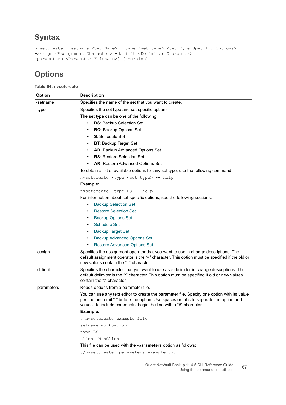```
nvsetcreate [-setname <Set Name>] -type <set type> <Set Type Specific Options> 
-assign <Assignment Character> -delimit <Delimiter Character>
-parameters <Parameter Filename>] [-version]
```
#### **Options**

#### **Table 64. nvsetcreate**

| <b>Option</b> | <b>Description</b>                                                                                                                                                                                                                                         |
|---------------|------------------------------------------------------------------------------------------------------------------------------------------------------------------------------------------------------------------------------------------------------------|
| -setname      | Specifies the name of the set that you want to create.                                                                                                                                                                                                     |
| -type         | Specifies the set type and set-specific options.                                                                                                                                                                                                           |
|               | The set type can be one of the following:                                                                                                                                                                                                                  |
|               | <b>BS: Backup Selection Set</b><br>٠                                                                                                                                                                                                                       |
|               | <b>BO:</b> Backup Options Set<br>$\bullet$                                                                                                                                                                                                                 |
|               | S: Schedule Set<br>$\bullet$                                                                                                                                                                                                                               |
|               | <b>BT: Backup Target Set</b><br>$\bullet$                                                                                                                                                                                                                  |
|               | AB: Backup Advanced Options Set<br>$\bullet$                                                                                                                                                                                                               |
|               | <b>RS:</b> Restore Selection Set                                                                                                                                                                                                                           |
|               | AR: Restore Advanced Options Set<br>$\bullet$                                                                                                                                                                                                              |
|               | To obtain a list of available options for any set type, use the following command:                                                                                                                                                                         |
|               | nvsetcreate -type <set type=""> -- help</set>                                                                                                                                                                                                              |
|               | Example:                                                                                                                                                                                                                                                   |
|               | nvsetcreate -type BS -- help                                                                                                                                                                                                                               |
|               | For information about set-specific options, see the following sections:                                                                                                                                                                                    |
|               | <b>Backup Selection Set</b><br>$\bullet$                                                                                                                                                                                                                   |
|               | <b>Restore Selection Set</b><br>$\bullet$                                                                                                                                                                                                                  |
|               | <b>Backup Options Set</b>                                                                                                                                                                                                                                  |
|               | <b>Schedule Set</b><br>$\bullet$                                                                                                                                                                                                                           |
|               | <b>Backup Target Set</b><br>٠                                                                                                                                                                                                                              |
|               | <b>Backup Advanced Options Set</b><br>٠                                                                                                                                                                                                                    |
|               | <b>Restore Advanced Options Set</b><br>٠                                                                                                                                                                                                                   |
| -assign       | Specifies the assignment operator that you want to use in change descriptions. The<br>default assignment operator is the "=" character. This option must be specified if the old or<br>new values contain the "=" character.                               |
| -delimit      | Specifies the character that you want to use as a delimiter in change descriptions. The<br>default delimiter is the ":" character. This option must be specified if old or new values<br>contain the ":" character.                                        |
| -parameters   | Reads options from a parameter file.                                                                                                                                                                                                                       |
|               | You can use any text editor to create the parameter file. Specify one option with its value<br>per line and omit "-" before the option. Use spaces or tabs to separate the option and<br>values. To include comments, begin the line with a "#" character. |
|               | Example:                                                                                                                                                                                                                                                   |
|               | # nvsetcreate example file                                                                                                                                                                                                                                 |
|               | setname workbackup                                                                                                                                                                                                                                         |
|               | type BS                                                                                                                                                                                                                                                    |
|               | client WinClient                                                                                                                                                                                                                                           |
|               | This file can be used with the -parameters option as follows:                                                                                                                                                                                              |
|               | ./nvsetcreate -parameters example.txt                                                                                                                                                                                                                      |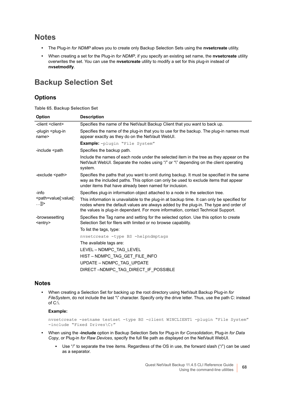#### **Notes**

- **•** The Plug-in *for NDMP* allows you to create only Backup Selection Sets using the **nvsetcreate** utility.
- **•** When creating a set for the Plug-in *for NDMP*, if you specify an existing set name, the **nvsetcreate** utility overwrites the set. You can use the **nvsetcreate** utility to modify a set for this plug-in instead of **nvsetmodify**.

#### <span id="page-67-0"></span>**Backup Selection Set**

#### **Options**

**Table 65. Backup Selection Set**

| Option                                                               | <b>Description</b>                                                                                                                                                                                                                                                        |
|----------------------------------------------------------------------|---------------------------------------------------------------------------------------------------------------------------------------------------------------------------------------------------------------------------------------------------------------------------|
| -client <client></client>                                            | Specifies the name of the NetVault Backup Client that you want to back up.                                                                                                                                                                                                |
| -plugin <plug-in<br>name&gt;</plug-in<br>                            | Specifies the name of the plug-in that you to use for the backup. The plug-in names must<br>appear exactly as they do on the NetVault WebUI.                                                                                                                              |
|                                                                      | <b>Example:</b> -plugin "File System"                                                                                                                                                                                                                                     |
| -include <path< td=""><td>Specifies the backup path.</td></path<>    | Specifies the backup path.                                                                                                                                                                                                                                                |
|                                                                      | Include the names of each node under the selected item in the tree as they appear on the<br>NetVault WebUI. Separate the nodes using "/" or "\" depending on the client operating<br>system.                                                                              |
| -exclude <path></path>                                               | Specifies the paths that you want to omit during backup. It must be specified in the same<br>way as the included paths. This option can only be used to exclude items that appear<br>under items that have already been named for inclusion.                              |
| -info                                                                | Specifies plug-in information object attached to a node in the selection tree.                                                                                                                                                                                            |
| <path=value[:value[:<br><math></math>]]&gt;</path=value[:value[:<br> | This information is unavailable to the plug-in at backup time. It can only be specified for<br>nodes where the default values are always added by the plug-in. The type and order of<br>the values is plug-in dependant. For more information, contact Technical Support. |
| -browsesetting<br>$<$ entry $>$                                      | Specifies the Tag name and setting for the selected option. Use this option to create<br>Selection Set for filers with limited or no browse capability.                                                                                                                   |
|                                                                      | To list the tags, type:                                                                                                                                                                                                                                                   |
|                                                                      | nvsetcreate -type BS -helpndmptags                                                                                                                                                                                                                                        |
|                                                                      | The available tags are:                                                                                                                                                                                                                                                   |
|                                                                      | LEVEL - NDMPC_TAG_LEVEL                                                                                                                                                                                                                                                   |
|                                                                      | HIST-NDMPC_TAG_GET_FILE_INFO                                                                                                                                                                                                                                              |
|                                                                      | UPDATE - NDMPC TAG UPDATE                                                                                                                                                                                                                                                 |
|                                                                      | DIRECT-NDMPC TAG DIRECT IF POSSIBLE                                                                                                                                                                                                                                       |

#### **Notes**

**•** When creating a Selection Set for backing up the root directory using NetVault Backup Plug-in *for FileSystem*, do not include the last "\" character. Specify only the drive letter. Thus, use the path C: instead of  $C:\dot\wedge$ 

#### **Example:**

nvsetcreate -setname testset -type BS -client WINCLIENT1 -plugin "File System" -include "Fixed Drives\C:"

- **•** When using the **-include** option in Backup Selection Sets for Plug-in *for Consolidation*, Plug-in *for Data Copy*, or Plug-in *for Raw Devices*, specify the full file path as displayed on the NetVault WebUI.
	- **■** Use "/" to separate the tree items. Regardless of the OS in use, the forward slash ("/") can be used as a separator.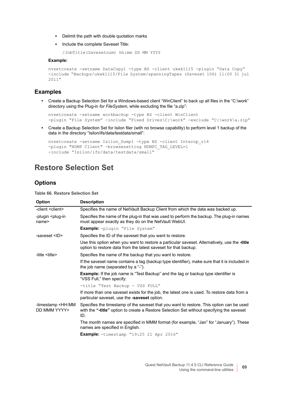- **▪** Delimit the path with double quotation marks
- **▪** Include the complete Saveset Title:

```
/JobTitle(Savesetnum) hh:mm DD MM YYYY
```
#### **Example:**

```
nvsetcreate -setname DataCopy1 -type BS -client ukwk1115 -plugin "Data Copy" 
-include "Backups/ukwk1115/File System/spanningTapes (Saveset 106) 11:00 31 jul 
2011"
```
#### **Examples**

**•** Create a Backup Selection Set for a Windows-based client "WinClient" to back up all files in the "C:\work" directory using the Plug-in *for FileSystem*, while excluding the file "a.zip":

```
nvsetcreate -setname workbackup -type BS -client WinClient 
-plugin "File System" -include "Fixed Drives\C:\work" -exclude "C:\work\a.zip"
```
**•** Create a Backup Selection Set for Isilon filer (with no browse capability) to perform level 1 backup of the data in the directory "Isilon/ifs/data/testdata/small":

```
nvsetcreate -setname Isilon_Dump1 -type BS -client Interop_r14 
-plugin "NDMP Client" -browsesetting NDMPC TAG LEVEL=1
-include "Isilon/ifs/data/testdata/small"
```
#### <span id="page-68-0"></span>**Restore Selection Set**

#### **Options**

**Table 66. Restore Selection Set**

| <b>Option</b>                                     | <b>Description</b>                                                                                                                                                                           |
|---------------------------------------------------|----------------------------------------------------------------------------------------------------------------------------------------------------------------------------------------------|
| -client <client></client>                         | Specifies the name of NetVault Backup Client from which the data was backed up.                                                                                                              |
| -plugin <plug-in<br>name<sub>2</sub></plug-in<br> | Specifies the name of the plug-in that was used to perform the backup. The plug-in names<br>must appear exactly as they do on the NetVault WebUI.                                            |
|                                                   | <b>Example:</b> -plugin "File System"                                                                                                                                                        |
| -saveset <id></id>                                | Specifies the ID of the saveset that you want to restore.                                                                                                                                    |
|                                                   | Use this option when you want to restore a particular saveset. Alternatively, use the -title<br>option to restore data from the latest saveset for that backup.                              |
| -title <title></title>                            | Specifies the name of the backup that you want to restore.                                                                                                                                   |
|                                                   | If the saveset name contains a tag (backup type identifier), make sure that it is included in<br>the job name (separated by a "-").                                                          |
|                                                   | <b>Example:</b> If the job name is "Test Backup" and the tag or backup type identifier is<br>"VSS Full," then specify:                                                                       |
|                                                   | -title "Test Backup - VSS FULL"                                                                                                                                                              |
|                                                   | If more than one saveset exists for the job, the latest one is used. To restore data from a<br>particular saveset, use the -saveset option.                                                  |
| -timestamp <hh:mm<br>DD MMM YYYY&gt;</hh:mm<br>   | Specifies the timestamp of the saveset that you want to restore. This option can be used<br>with the "-title" option to create a Restore Selection Set without specifying the saveset<br>ID. |
|                                                   | The month names are specified in MMM format (for example, "Jan" for "January"). These<br>names are specified in English.                                                                     |
|                                                   | <b>Example:</b> -timestamp "19:25 21 Apr 2016"                                                                                                                                               |
|                                                   |                                                                                                                                                                                              |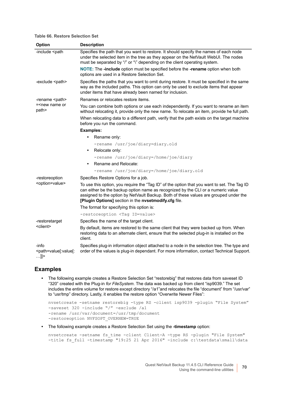#### **Table 66. Restore Selection Set**

| Option                                                                                                                                                                                                                                                                                             | <b>Description</b>                                                                                                                                                                                                                                                                                                                |
|----------------------------------------------------------------------------------------------------------------------------------------------------------------------------------------------------------------------------------------------------------------------------------------------------|-----------------------------------------------------------------------------------------------------------------------------------------------------------------------------------------------------------------------------------------------------------------------------------------------------------------------------------|
| -include <path< td=""><td>Specifies the path that you want to restore. It should specify the names of each node<br/>under the selected item in the tree as they appear on the NetVault WebUI. The nodes<br/>must be separated by "/" or "\" depending on the client operating system.</td></path<> | Specifies the path that you want to restore. It should specify the names of each node<br>under the selected item in the tree as they appear on the NetVault WebUI. The nodes<br>must be separated by "/" or "\" depending on the client operating system.                                                                         |
|                                                                                                                                                                                                                                                                                                    | NOTE: The -include option must be specified before the -rename option when both<br>options are used in a Restore Selection Set.                                                                                                                                                                                                   |
| -exclude <path></path>                                                                                                                                                                                                                                                                             | Specifies the paths that you want to omit during restore. It must be specified in the same<br>way as the included paths. This option can only be used to exclude items that appear<br>under items that have already been named for inclusion.                                                                                     |
| -rename <path></path>                                                                                                                                                                                                                                                                              | Renames or relocates restore items.                                                                                                                                                                                                                                                                                               |
| = <new name="" or<br="">path&gt;</new>                                                                                                                                                                                                                                                             | You can combine both options or use each independently. If you want to rename an item<br>without relocating it, provide only the new name. To relocate an item, provide he full path.                                                                                                                                             |
|                                                                                                                                                                                                                                                                                                    | When relocating data to a different path, verify that the path exists on the target machine<br>before you run the command.                                                                                                                                                                                                        |
|                                                                                                                                                                                                                                                                                                    | Examples:                                                                                                                                                                                                                                                                                                                         |
|                                                                                                                                                                                                                                                                                                    | Rename only:<br>$\bullet$                                                                                                                                                                                                                                                                                                         |
|                                                                                                                                                                                                                                                                                                    | -rename /usr/joe/diary=diary.old                                                                                                                                                                                                                                                                                                  |
|                                                                                                                                                                                                                                                                                                    | Relocate only:<br>$\bullet$                                                                                                                                                                                                                                                                                                       |
|                                                                                                                                                                                                                                                                                                    | -rename /usr/joe/diary=/home/joe/diary                                                                                                                                                                                                                                                                                            |
|                                                                                                                                                                                                                                                                                                    | Rename and Relocate:<br>$\bullet$                                                                                                                                                                                                                                                                                                 |
|                                                                                                                                                                                                                                                                                                    | -rename /usr/joe/diary=/home/joe/diary.old                                                                                                                                                                                                                                                                                        |
| -restoreoption                                                                                                                                                                                                                                                                                     | Specifies Restore Options for a job.                                                                                                                                                                                                                                                                                              |
| <option=value></option=value>                                                                                                                                                                                                                                                                      | To use this option, you require the "Tag ID" of the option that you want to set. The Tag ID<br>can either be the backup option name as recognized by the CLI or a numeric value<br>assigned to the option by NetVault Backup. Both of these values are grouped under the<br>[Plugin Options] section in the nvsetmodify.cfg file. |
|                                                                                                                                                                                                                                                                                                    | The format for specifying this option is:                                                                                                                                                                                                                                                                                         |
|                                                                                                                                                                                                                                                                                                    | -restoreoption <tag id="value"></tag>                                                                                                                                                                                                                                                                                             |
| -restoretarget                                                                                                                                                                                                                                                                                     | Specifies the name of the target client.                                                                                                                                                                                                                                                                                          |
| <client></client>                                                                                                                                                                                                                                                                                  | By default, items are restored to the same client that they were backed up from. When<br>restoring data to an alternate client, ensure that the selected plug-in is installed on the<br>client.                                                                                                                                   |
| -info<br><path=value[:value[:<br>…]]&gt;</path=value[:value[:<br>                                                                                                                                                                                                                                  | Specifies plug-in information object attached to a node in the selection tree. The type and<br>order of the values is plug-in dependant. For more information, contact Technical Support.                                                                                                                                         |

#### **Examples**

**•** The following example creates a Restore Selection Set "restorebig" that restores data from saveset ID "320" created with the Plug-in *for FileSystem*. The data was backed up from client "isp9039." The set includes the entire volume for restore except directory "/a1"and relocates the file "document" from "/usr/var" to "usr/tmp" directory. Lastly, it enables the restore option "Overwrite Newer Files":

```
nvsetcreate -setname restorebig -type RS -client isp9039 -plugin "File System" 
-saveset 320 -include "/" -exclude /a1 
-rename /usr/var/document=/usr/tmp/document 
-restoreoption NVFSOPT_OVERNEW=TRUE
```
**•** The following example creates a Restore Selection Set using the **-timestamp** option:

```
nvsetcreate -setname fs_time -client Client-A -type RS -plugin "File System" 
-title fs full -timestamp "19:25 21 Apr 2016" -include c:\testdata\small\data
```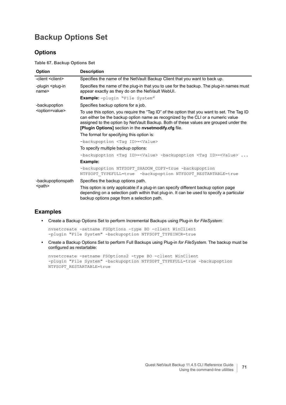### <span id="page-70-0"></span>**Backup Options Set**

#### **Options**

**Table 67. Backup Options Set**

| Option                                            | <b>Description</b>                                                                                                                                                                                                                                                                                                                |
|---------------------------------------------------|-----------------------------------------------------------------------------------------------------------------------------------------------------------------------------------------------------------------------------------------------------------------------------------------------------------------------------------|
| -client <client></client>                         | Specifies the name of the NetVault Backup Client that you want to back up.                                                                                                                                                                                                                                                        |
| -plugin <plug-in<br>name<sub>2</sub></plug-in<br> | Specifies the name of the plug-in that you to use for the backup. The plug-in names must<br>appear exactly as they do on the NetVault WebUI.                                                                                                                                                                                      |
|                                                   | <b>Example:</b> -plugin "File System"                                                                                                                                                                                                                                                                                             |
| -backupoption                                     | Specifies backup options for a job.                                                                                                                                                                                                                                                                                               |
| <option=value></option=value>                     | To use this option, you require the "Tag ID" of the option that you want to set. The Tag ID<br>can either be the backup option name as recognized by the CLI or a numeric value<br>assigned to the option by NetVault Backup. Both of these values are grouped under the<br>[Plugin Options] section in the nysetmodify.cfg file. |
|                                                   | The format for specifying this option is:                                                                                                                                                                                                                                                                                         |
|                                                   | -backupoption <taq id=""> =<value></value></taq>                                                                                                                                                                                                                                                                                  |
|                                                   | To specify multiple backup options:                                                                                                                                                                                                                                                                                               |
|                                                   | -backupoption <tag id="">=<value> -backupoption <tag id="">=<value> </value></tag></value></tag>                                                                                                                                                                                                                                  |
|                                                   | Example:                                                                                                                                                                                                                                                                                                                          |
|                                                   | -backupoption NTFSOPT SHADOW COPY=true -backupoption<br>NTFSOPT TYPEFULL=true -backupoption NTFSOPT RESTARTABLE=true                                                                                                                                                                                                              |
| -backupoptionspath                                | Specifies the backup options path.                                                                                                                                                                                                                                                                                                |
| <path></path>                                     | This option is only applicable if a plug-in can specify different backup option page<br>depending on a selection path within that plug-in. It can be used to specify a particular<br>backup options page from a selection path.                                                                                                   |

#### **Examples**

**•** Create a Backup Options Set to perform Incremental Backups using Plug-in *for FileSystem*:

```
nvsetcreate -setname FSOptions -type BO -client WinClient 
-plugin "File System" -backupoption NTFSOPT TYPEINCR=true
```
**•** Create a Backup Options Set to perform Full Backups using Plug-in *for FileSystem*. The backup must be configured as restartable:

```
nvsetcreate -setname FSOptions2 -type BO -client WinClient 
-plugin "File System" -backupoption NTFSOPT TYPEFULL=true -backupoption
NTFSOPT_RESTARTABLE=true
```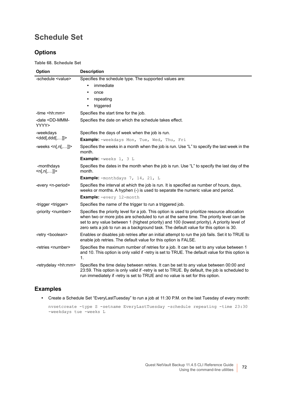#### <span id="page-71-0"></span>**Schedule Set**

#### **Options**

**Table 68. Schedule Set**

| Option                                  | <b>Description</b>                                                                                                                                                                                                                                                                                                                                                               |
|-----------------------------------------|----------------------------------------------------------------------------------------------------------------------------------------------------------------------------------------------------------------------------------------------------------------------------------------------------------------------------------------------------------------------------------|
| -schedule <value></value>               | Specifies the schedule type. The supported values are:                                                                                                                                                                                                                                                                                                                           |
|                                         | immediate<br>٠                                                                                                                                                                                                                                                                                                                                                                   |
|                                         | once<br>٠                                                                                                                                                                                                                                                                                                                                                                        |
|                                         | repeating<br>٠                                                                                                                                                                                                                                                                                                                                                                   |
|                                         | triggered<br>$\bullet$                                                                                                                                                                                                                                                                                                                                                           |
| -time <hh:mm></hh:mm>                   | Specifies the start time for the job.                                                                                                                                                                                                                                                                                                                                            |
| -date <dd-mmm-<br>YYYY&gt;</dd-mmm-<br> | Specifies the date on which the schedule takes effect.                                                                                                                                                                                                                                                                                                                           |
| -weekdays                               | Specifies the days of week when the job is run.                                                                                                                                                                                                                                                                                                                                  |
| <ddd[,ddd[,]]></ddd[,ddd[,]]>           | <b>Example:</b> -weekdays Mon, Tue, Wed, Thu, Fri                                                                                                                                                                                                                                                                                                                                |
| -weeks $\le n[, n[]]$ >                 | Specifies the weeks in a month when the job is run. Use "L" to specify the last week in the<br>month.                                                                                                                                                                                                                                                                            |
|                                         | <b>Example:</b> $-$ weeks $1, 3$ L                                                                                                                                                                                                                                                                                                                                               |
| -monthdays<br>$\le n[, n[,]$            | Specifies the dates in the month when the job is run. Use "L" to specify the last day of the<br>month.                                                                                                                                                                                                                                                                           |
|                                         | Example: - monthdays 7, 14, 21, L                                                                                                                                                                                                                                                                                                                                                |
| -every <n-period></n-period>            | Specifies the interval at which the job is run. It is specified as number of hours, days,<br>weeks or months. A hyphen (-) is used to separate the numeric value and period.                                                                                                                                                                                                     |
|                                         | Example: -every 12-month                                                                                                                                                                                                                                                                                                                                                         |
| -trigger <trigger></trigger>            | Specifies the name of the trigger to run a triggered job.                                                                                                                                                                                                                                                                                                                        |
| -priority <number></number>             | Specifies the priority level for a job. This option is used to prioritize resource allocation<br>when two or more jobs are scheduled to run at the same time. The priority level can be<br>set to any value between 1 (highest priority) and 100 (lowest priority). A priority level of<br>zero sets a job to run as a background task. The default value for this option is 30. |
| -retry <boolean></boolean>              | Enables or disables job retries after an initial attempt to run the job fails. Set it to TRUE to<br>enable job retries. The default value for this option is FALSE.                                                                                                                                                                                                              |
| -retries <number></number>              | Specifies the maximum number of retries for a job. It can be set to any value between 1<br>and 10. This option is only valid if -retry is set to TRUE. The default value for this option is<br>1.                                                                                                                                                                                |
| -retrydelay <hh:mm></hh:mm>             | Specifies the time delay between retries. It can be set to any value between 00:00 and<br>23:59. This option is only valid if -retry is set to TRUE. By default, the job is scheduled to<br>run immediately if -retry is set to TRUE and no value is set for this option.                                                                                                        |

#### **Examples**

**•** Create a Schedule Set "EveryLastTuesday" to run a job at 11:30 P.M. on the last Tuesday of every month:

```
nvsetcreate -type S -setname EveryLastTuesday -schedule repeating -time 23:30 
-weekdays tue -weeks L
```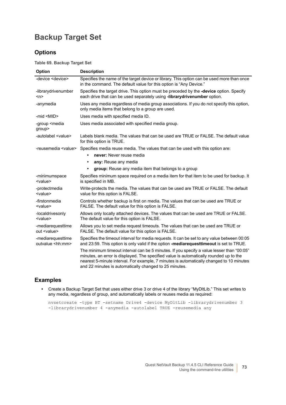### **Backup Target Set**

#### **Options**

**Table 69. Backup Target Set**

| Option                                        | <b>Description</b>                                                                                                                                                                                                                                                                                                                                                                                                                                                        |
|-----------------------------------------------|---------------------------------------------------------------------------------------------------------------------------------------------------------------------------------------------------------------------------------------------------------------------------------------------------------------------------------------------------------------------------------------------------------------------------------------------------------------------------|
| -device <device></device>                     | Specifies the name of the target device or library. This option can be used more than once<br>in the command. The default value for this option is "Any Device."                                                                                                                                                                                                                                                                                                          |
| -librarydrivenumber<br>$n$                    | Specifies the target drive. This option must be preceded by the -device option. Specify<br>each drive that can be used separately using -librarydrivenumber option.                                                                                                                                                                                                                                                                                                       |
| -anymedia                                     | Uses any media regardless of media group associations. If you do not specify this option,<br>only media items that belong to a group are used.                                                                                                                                                                                                                                                                                                                            |
| -mid <mid></mid>                              | Uses media with specified media ID.                                                                                                                                                                                                                                                                                                                                                                                                                                       |
| -group <media<br>group&gt;</media<br>         | Uses media associated with specified media group.                                                                                                                                                                                                                                                                                                                                                                                                                         |
| -autolabel <value></value>                    | Labels blank media. The values that can be used are TRUE or FALSE. The default value<br>for this option is TRUE.                                                                                                                                                                                                                                                                                                                                                          |
| -reusemedia <value></value>                   | Specifies media reuse media. The values that can be used with this option are:                                                                                                                                                                                                                                                                                                                                                                                            |
|                                               | never: Never reuse media<br>$\bullet$                                                                                                                                                                                                                                                                                                                                                                                                                                     |
|                                               | any: Reuse any media<br>$\bullet$                                                                                                                                                                                                                                                                                                                                                                                                                                         |
|                                               | group: Reuse any media item that belongs to a group<br>$\bullet$                                                                                                                                                                                                                                                                                                                                                                                                          |
| -minimumspace<br><value></value>              | Specifies minimum space required on a media item for that item to be used for backup. It<br>is specified in MB.                                                                                                                                                                                                                                                                                                                                                           |
| -protectmedia<br><value></value>              | Write-protects the media. The values that can be used are TRUE or FALSE. The default<br>value for this option is FALSE.                                                                                                                                                                                                                                                                                                                                                   |
| -firstonmedia<br><value></value>              | Controls whether backup is first on media. The values that can be used are TRUE or<br>FALSE. The default value for this option is FALSE.                                                                                                                                                                                                                                                                                                                                  |
| -localdrivesonly<br><value></value>           | Allows only locally attached devices. The values that can be used are TRUE or FALSE.<br>The default value for this option is FALSE.                                                                                                                                                                                                                                                                                                                                       |
| -mediarequesttime<br>out <value></value>      | Allows you to set media request timeouts. The values that can be used are TRUE or<br>FALSE. The default value for this option is FALSE.                                                                                                                                                                                                                                                                                                                                   |
| -mediarequesttime<br>outvalue <hh:mm></hh:mm> | Specifies the timeout interval for media requests. It can be set to any value between 00:05<br>and 23:59. This option is only valid if the option -mediarequesttimeout is set to TRUE.<br>The minimum timeout interval can be 5 minutes. If you specify a value lesser than "00:05"<br>minutes, an error is displayed. The specified value is automatically rounded up to the<br>nearest 5-minute interval. For example, 7 minutes is automatically changed to 10 minutes |
|                                               | and 22 minutes is automatically changed to 25 minutes.                                                                                                                                                                                                                                                                                                                                                                                                                    |

#### **Examples**

**•** Create a Backup Target Set that uses either drive 3 or drive 4 of the library "MyDltLib." This set writes to any media, regardless of group, and automatically labels or reuses media as required:

nvsetcreate -type BT -setname Drive4 -device MyDltLib -librarydrivenumber 3 -librarydrivenumber 4 -anymedia -autolabel TRUE -reusemedia any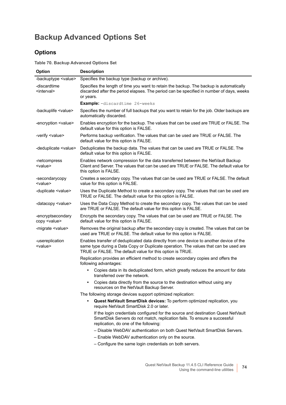## **Backup Advanced Options Set**

#### **Options**

**Table 70. Backup Advanced Options Set**

| Option                                    | <b>Description</b>                                                                                                                                                                                                                           |
|-------------------------------------------|----------------------------------------------------------------------------------------------------------------------------------------------------------------------------------------------------------------------------------------------|
| -backuptype <value></value>               | Specifies the backup type (backup or archive).                                                                                                                                                                                               |
| -discardtime<br><interval></interval>     | Specifies the length of time you want to retain the backup. The backup is automatically<br>discarded after the period elapses. The period can be specified in number of days, weeks<br>or years.                                             |
|                                           | <b>Example:</b> -discardtime 26-weeks                                                                                                                                                                                                        |
| -backuplife <value></value>               | Specifies the number of full backups that you want to retain for the job. Older backups are<br>automatically discarded.                                                                                                                      |
| -encryption <value></value>               | Enables encryption for the backup. The values that can be used are TRUE or FALSE. The<br>default value for this option is FALSE.                                                                                                             |
| -verify <value></value>                   | Performs backup verification. The values that can be used are TRUE or FALSE. The<br>default value for this option is FALSE.                                                                                                                  |
| -deduplicate <value></value>              | Deduplicates the backup data. The values that can be used are TRUE or FALSE. The<br>default value for this option is FALSE.                                                                                                                  |
| -netcompress<br><value></value>           | Enables network compression for the data transferred between the NetVault Backup<br>Client and Server. The values that can be used are TRUE or FALSE. The default value for<br>this option is FALSE.                                         |
| -secondarycopy<br><value></value>         | Creates a secondary copy. The values that can be used are TRUE or FALSE. The default<br>value for this option is FALSE.                                                                                                                      |
| -duplicate <value></value>                | Uses the Duplicate Method to create a secondary copy. The values that can be used are<br>TRUE or FALSE. The default value for this option is FALSE.                                                                                          |
| -datacopy <value></value>                 | Uses the Data Copy Method to create the secondary copy. The values that can be used<br>are TRUE or FALSE. The default value for this option is FALSE.                                                                                        |
| -encryptsecondary<br>copy <value></value> | Encrypts the secondary copy. The values that can be used are TRUE or FALSE. The<br>default value for this option is FALSE.                                                                                                                   |
| -migrate <value></value>                  | Removes the original backup after the secondary copy is created. The values that can be<br>used are TRUE or FALSE. The default value for this option is FALSE.                                                                               |
| -usereplication<br><value></value>        | Enables transfer of deduplicated data directly from one device to another device of the<br>same type during a Data Copy or Duplicate operation. The values that can be used are<br>TRUE or FALSE. The default value for this option is TRUE. |
|                                           | Replication provides an efficient method to create secondary copies and offers the<br>following advantages:                                                                                                                                  |
|                                           | Copies data in its deduplicated form, which greatly reduces the amount for data<br>٠<br>transferred over the network.                                                                                                                        |
|                                           | Copies data directly from the source to the destination without using any<br>resources on the NetVault Backup Server.                                                                                                                        |
|                                           | The following storage devices support optimized replication:                                                                                                                                                                                 |
|                                           | Quest NetVault SmartDisk devices: To perform optimized replication, you<br>require NetVault SmartDisk 2.0 or later.                                                                                                                          |
|                                           | If the login credentials configured for the source and destination Quest NetVault<br>SmartDisk Servers do not match, replication fails. To ensure a successful<br>replication, do one of the following:                                      |
|                                           | - Disable WebDAV authentication on both Quest NetVault SmartDisk Servers.                                                                                                                                                                    |
|                                           | - Enable WebDAV authentication only on the source.                                                                                                                                                                                           |
|                                           | - Configure the same login credentials on both servers.                                                                                                                                                                                      |
|                                           |                                                                                                                                                                                                                                              |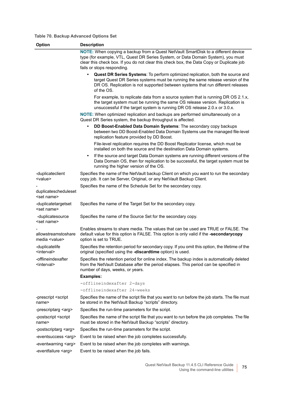#### **Table 70. Backup Advanced Options Set**

| Option                                       | <b>Description</b>                                                                                                                                                                                                                                                                              |
|----------------------------------------------|-------------------------------------------------------------------------------------------------------------------------------------------------------------------------------------------------------------------------------------------------------------------------------------------------|
|                                              | NOTE: When copying a backup from a Quest NetVault SmartDisk to a different device<br>type (for example, VTL, Quest DR Series System, or Data Domain System), you must<br>clear this check box. If you do not clear this check box, the Data Copy or Duplicate job<br>fails or stops responding. |
|                                              | Quest DR Series Systems: To perform optimized replication, both the source and<br>target Quest DR Series systems must be running the same release version of the<br>DR OS. Replication is not supported between systems that run different releases<br>of the OS.                               |
|                                              | For example, to replicate data from a source system that is running DR OS 2.1.x,<br>the target system must be running the same OS release version. Replication is<br>unsuccessful if the target system is running DR OS release 2.0.x or 3.0.x.                                                 |
|                                              | NOTE: When optimized replication and backups are performed simultaneously on a<br>Quest DR Series system, the backup throughput is affected.                                                                                                                                                    |
|                                              | DD Boost-Enabled Data Domain Systems: The secondary copy backups<br>between two DD Boost-Enabled Data Domain Systems use the managed file-level<br>replication feature provided by DD Boost.                                                                                                    |
|                                              | File-level replication requires the DD Boost Replicator license, which must be<br>installed on both the source and the destination Data Domain systems.                                                                                                                                         |
|                                              | If the source and target Data Domain systems are running different versions of the<br>Data Domain OS, then for replication to be successful, the target system must be<br>running the higher version of the OS.                                                                                 |
| -duplicateclient<br><value></value>          | Specifies the name of the NetVault backup Client on which you want to run the secondary<br>copy job. It can be Server, Original, or any NetVault Backup Client.                                                                                                                                 |
| duplicatescheduleset<br><set name=""></set>  | Specifies the name of the Schedule Set for the secondary copy.                                                                                                                                                                                                                                  |
| -duplicatetargetset<br><set name=""></set>   | Specifies the name of the Target Set for the secondary copy.                                                                                                                                                                                                                                    |
| -duplicatesource<br><set name=""></set>      | Specifies the name of the Source Set for the secondary copy.                                                                                                                                                                                                                                    |
| allowstreamstoshare<br>media <value></value> | Enables streams to share media. The values that can be used are TRUE or FALSE. The<br>default value for this option is FALSE. This option is only valid if the -secondarycopy<br>option is set to TRUE.                                                                                         |
| -duplicatelife<br><interval></interval>      | Specifies the retention period for secondary copy. If you omit this option, the lifetime of the<br>original (specified using the -discardtime option) is used.                                                                                                                                  |
| -offlineindexafter<br><interval></interval>  | Specifies the retention period for online index. The backup index is automatically deleted<br>from the NetVault Database after the period elapses. This period can be specified in<br>number of days, weeks, or years.                                                                          |
|                                              | <b>Examples:</b>                                                                                                                                                                                                                                                                                |
|                                              | -offlineindexafter 2-days                                                                                                                                                                                                                                                                       |
|                                              | -offlineindexafter 24-weeks                                                                                                                                                                                                                                                                     |
| -prescript <script<br>name&gt;</script<br>   | Specifies the name of the script file that you want to run before the job starts. The file must<br>be stored in the NetVault Backup "scripts" directory.                                                                                                                                        |
| -prescriptarg <arg></arg>                    | Specifies the run-time parameters for the script.                                                                                                                                                                                                                                               |
| -postscript <script<br>name&gt;</script<br>  | Specifies the name of the script file that you want to run before the job completes. The file<br>must be stored in the NetVault Backup "scripts" directory.                                                                                                                                     |
| -postscriptarg <arg></arg>                   | Specifies the run-time parameters for the script.                                                                                                                                                                                                                                               |
| -eventsuccess <arg></arg>                    | Event to be raised when the job completes successfully.                                                                                                                                                                                                                                         |
| -eventwarning <arg></arg>                    | Event to be raised when the job completes with warnings.                                                                                                                                                                                                                                        |
| -eventfailure <arg></arg>                    | Event to be raised when the job fails.                                                                                                                                                                                                                                                          |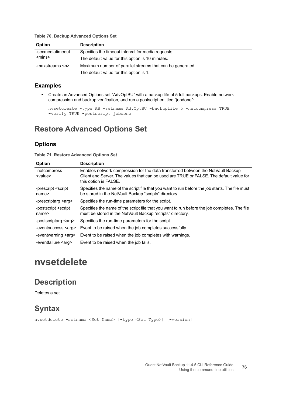**Table 70. Backup Advanced Options Set**

| <b>Option</b>       | <b>Description</b>                                        |
|---------------------|-----------------------------------------------------------|
| -secmediatimeout    | Specifies the timeout interval for media requests.        |
| $<$ mins $>$        | The default value for this option is 10 minutes.          |
| -maxstreams <n></n> | Maximum number of parallel streams that can be generated. |
|                     | The default value for this option is 1.                   |

#### **Examples**

**•** Create an Advanced Options set "AdvOptBU" with a backup life of 5 full backups. Enable network compression and backup verification, and run a postscript entitled "jobdone":

```
nvsetcreate -type AB -setname AdvOptBU -backuplife 5 -netcompress TRUE 
-verify TRUE -postscript jobdone
```
#### **Restore Advanced Options Set**

#### **Options**

**Table 71. Restore Advanced Options Set**

| <b>Option</b>                               | <b>Description</b>                                                                                                                                                                                   |
|---------------------------------------------|------------------------------------------------------------------------------------------------------------------------------------------------------------------------------------------------------|
| -netcompress<br><value></value>             | Enables network compression for the data transferred between the NetVault Backup<br>Client and Server. The values that can be used are TRUE or FALSE. The default value for<br>this option is FALSE. |
| -prescript <script<br>name&gt;</script<br>  | Specifies the name of the script file that you want to run before the job starts. The file must<br>be stored in the NetVault Backup "scripts" directory.                                             |
| -prescriptarg <arg></arg>                   | Specifies the run-time parameters for the script.                                                                                                                                                    |
| -postscript <script<br>name&gt;</script<br> | Specifies the name of the script file that you want to run before the job completes. The file<br>must be stored in the NetVault Backup "scripts" directory.                                          |
| -postscriptarg <arg></arg>                  | Specifies the run-time parameters for the script.                                                                                                                                                    |
| -eventsuccess <arg></arg>                   | Event to be raised when the job completes successfully.                                                                                                                                              |
| -eventwarning <arg></arg>                   | Event to be raised when the job completes with warnings.                                                                                                                                             |
| -eventfailure <arg></arg>                   | Event to be raised when the job fails.                                                                                                                                                               |

## **nvsetdelete**

#### **Description**

Deletes a set.

#### **Syntax**

nvsetdelete -setname <Set Name> [-type <Set Type>] [-version]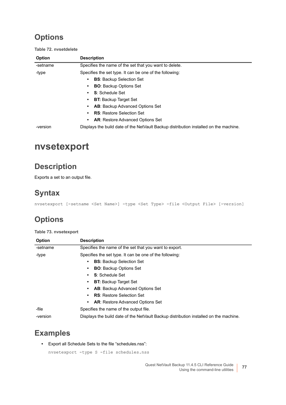## **Options**

**Table 72. nvsetdelete**

| Option   | <b>Description</b>                                                                    |
|----------|---------------------------------------------------------------------------------------|
| -setname | Specifies the name of the set that you want to delete.                                |
| -type    | Specifies the set type. It can be one of the following:                               |
|          | <b>BS:</b> Backup Selection Set<br>٠                                                  |
|          | <b>BO:</b> Backup Options Set<br>٠                                                    |
|          | <b>S:</b> Schedule Set<br>$\bullet$                                                   |
|          | <b>BT:</b> Backup Target Set<br>٠                                                     |
|          | <b>AB:</b> Backup Advanced Options Set<br>٠                                           |
|          | <b>RS: Restore Selection Set</b><br>$\bullet$                                         |
|          | <b>AR:</b> Restore Advanced Options Set<br>٠                                          |
| -version | Displays the build date of the NetVault Backup distribution installed on the machine. |

## **nvsetexport**

### **Description**

Exports a set to an output file.

### **Syntax**

nvsetexport [-setname <Set Name>] -type <Set Type> -file <Output File> [-version]

## **Options**

#### **Table 73. nvsetexport**

| <b>Option</b> | <b>Description</b>                                                                    |
|---------------|---------------------------------------------------------------------------------------|
| -setname      | Specifies the name of the set that you want to export.                                |
| -type         | Specifies the set type. It can be one of the following:                               |
|               | <b>BS:</b> Backup Selection Set<br>٠                                                  |
|               | <b>BO:</b> Backup Options Set<br>٠                                                    |
|               | S: Schedule Set<br>٠                                                                  |
|               | <b>BT: Backup Target Set</b><br>٠                                                     |
|               | AB: Backup Advanced Options Set<br>٠                                                  |
|               | <b>RS:</b> Restore Selection Set<br>٠                                                 |
|               | AR: Restore Advanced Options Set<br>٠                                                 |
| -file         | Specifies the name of the output file.                                                |
| -version      | Displays the build date of the NetVault Backup distribution installed on the machine. |

### **Examples**

**•** Export all Schedule Sets to the file "schedules.nss":

```
nvsetexport -type S -file schedules.nss
```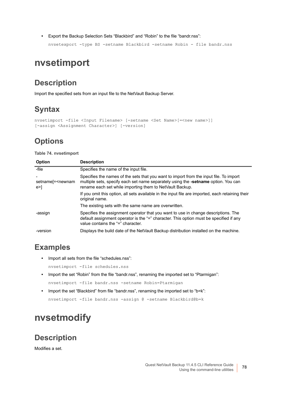**•** Export the Backup Selection Sets "Blackbird" and "Robin" to the file "bandr.nss":

nvsetexport -type BS -setname Blackbird -setname Robin - file bandr.nss

## **nvsetimport**

### **Description**

Import the specified sets from an input file to the NetVault Backup Server.

## **Syntax**

```
nvsetimport -file <Input Filename> [-setname <Set Name>[=<new name>]] 
[-assign <Assignment Character>] [-version]
```
## **Options**

#### **Table 74. nvsetimport**

| Option                                                                  | <b>Description</b>                                                                                                                                                                                                                       |
|-------------------------------------------------------------------------|------------------------------------------------------------------------------------------------------------------------------------------------------------------------------------------------------------------------------------------|
| -file                                                                   | Specifies the name of the input file.                                                                                                                                                                                                    |
| $\qquad \qquad \blacksquare$<br>setname[= <newnam<br>e &gt;</newnam<br> | Specifies the names of the sets that you want to import from the input file. To import<br>multiple sets, specify each set name separately using the -setname option. You can<br>rename each set while importing them to NetVault Backup. |
|                                                                         | If you omit this option, all sets available in the input file are imported, each retaining their<br>original name.                                                                                                                       |
|                                                                         | The existing sets with the same name are overwritten.                                                                                                                                                                                    |
| -assign                                                                 | Specifies the assignment operator that you want to use in change descriptions. The<br>default assignment operator is the "=" character. This option must be specified if any<br>value contains the "=" character.                        |
| -version                                                                | Displays the build date of the NetVault Backup distribution installed on the machine.                                                                                                                                                    |

### **Examples**

**•** Import all sets from the file "schedules.nss":

nvsetimport -file schedules.nss

- **•** Import the set "Robin" from the file "bandr.nss", renaming the imported set to "Ptarmigan": nvsetimport -file bandr.nss -setname Robin=Ptarmigan
- **•** Import the set "Blackbird" from file "bandr.nss", renaming the imported set to "b=k":

nvsetimport -file bandr.nss -assign @ -setname Blackbird@b=k

## **nvsetmodify**

#### **Description**

Modifies a set.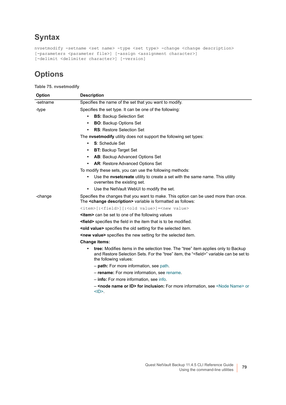## **Syntax**

```
nvsetmodify -setname <set name> -type <set type> -change <change description>
[-parameters <parameter file>] [-assign <assignment character>]
[-delimit <delimiter character>] [-version]
```
## **Options**

#### **Table 75. nvsetmodify**

| <b>Option</b> | <b>Description</b>                                                                                                                                                                                             |
|---------------|----------------------------------------------------------------------------------------------------------------------------------------------------------------------------------------------------------------|
| -setname      | Specifies the name of the set that you want to modify.                                                                                                                                                         |
| -type         | Specifies the set type. It can be one of the following:                                                                                                                                                        |
|               | <b>BS:</b> Backup Selection Set<br>$\bullet$                                                                                                                                                                   |
|               | <b>BO:</b> Backup Options Set<br>$\bullet$                                                                                                                                                                     |
|               | <b>RS: Restore Selection Set</b><br>$\bullet$                                                                                                                                                                  |
|               | The <b>nvsetmodify</b> utility does not support the following set types:                                                                                                                                       |
|               | S: Schedule Set<br>$\bullet$                                                                                                                                                                                   |
|               | <b>BT: Backup Target Set</b>                                                                                                                                                                                   |
|               | AB: Backup Advanced Options Set                                                                                                                                                                                |
|               | AR: Restore Advanced Options Set<br>$\bullet$                                                                                                                                                                  |
|               | To modify these sets, you can use the following methods:                                                                                                                                                       |
|               | Use the <b>nysetcreate</b> utility to create a set with the same name. This utility<br>overwrites the existing set.                                                                                            |
|               | Use the NetVault WebUI to modify the set.<br>$\bullet$                                                                                                                                                         |
| -change       | Specifies the changes that you want to make. This option can be used more than once.<br>The <change description=""> variable is formatted as follows:</change>                                                 |
|               | <item>[:<field>][:<old value="">]=<new value=""></new></old></field></item>                                                                                                                                    |
|               | <b><item></item></b> can be set to one of the following values                                                                                                                                                 |
|               | <b><field></field></b> specifies the field in the item that is to be modified.                                                                                                                                 |
|               | <old value=""> specifies the old setting for the selected item.</old>                                                                                                                                          |
|               | <b><new value=""></new></b> specifies the new setting for the selected item.                                                                                                                                   |
|               | <b>Change items:</b>                                                                                                                                                                                           |
|               | tree: Modifies items in the selection tree. The "tree" item applies only to Backup<br>and Restore Selection Sets. For the "tree" item, the " <field>" variable can be set to<br/>the following values:</field> |
|               | - path: For more information, see path.                                                                                                                                                                        |
|               | - rename: For more information, see rename.                                                                                                                                                                    |
|               | - info: For more information, see info.                                                                                                                                                                        |
|               | - <node id="" name="" or=""> for inclusion: For more information, see <node name=""> or<br/><math>&lt;</math>ID<math>&gt;</math>.</node></node>                                                                |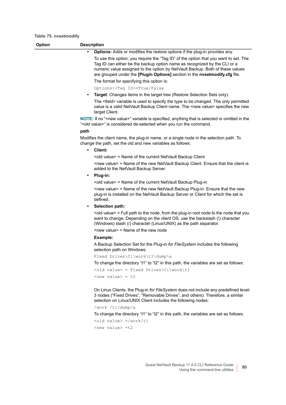<span id="page-79-0"></span>

| <b>Option</b> | <b>Description</b>                                                                                                                                                                                                                                                                                                                |
|---------------|-----------------------------------------------------------------------------------------------------------------------------------------------------------------------------------------------------------------------------------------------------------------------------------------------------------------------------------|
|               | <b>Options:</b> Adds or modifies the restore options if the plug-in provides any.                                                                                                                                                                                                                                                 |
|               | To use this option, you require the "Tag ID" of the option that you want to set. The<br>Tag ID can either be the backup option name as recognized by the CLI or a<br>numeric value assigned to the option by NetVault Backup. Both of these values<br>are grouped under the [Plugin Options] section in the nvsetmodify.cfg file. |
|               | The format for specifying this option is:                                                                                                                                                                                                                                                                                         |
|               | Options: <tag id="">=True/False</tag>                                                                                                                                                                                                                                                                                             |
|               | <b>Target:</b> Changes items in the target tree (Restore Selection Sets only).<br>$\bullet$                                                                                                                                                                                                                                       |
|               | The <field> variable is used to specify the type to be changed. The only permitted<br/>value is a valid NetVault Backup Client name. The <new value=""> specifies the new<br/>target Client.</new></field>                                                                                                                        |
|               | NOTE: If no " <new value="">" variable is specified, anything that is selected or omitted in the<br/>"<old value="">" is considered de-selected when you run the command.</old></new>                                                                                                                                             |
|               | path                                                                                                                                                                                                                                                                                                                              |
|               | Modifies the client name, the plug-in name, or a single node in the selection path. To<br>change the path, set the old and new variables as follows:                                                                                                                                                                              |
|               | Client:<br>$\bullet$                                                                                                                                                                                                                                                                                                              |
|               | <old value=""> = Name of the current NetVault Backup Client</old>                                                                                                                                                                                                                                                                 |
|               | <new value=""> = Name of the new NetVault Backup Client. Ensure that the client is<br/>added to the NetVault Backup Server.</new>                                                                                                                                                                                                 |
|               | Plug-in:<br>$\bullet$                                                                                                                                                                                                                                                                                                             |
|               | <old value=""> = Name of the current NetVault Backup Plug-in</old>                                                                                                                                                                                                                                                                |
|               | <new value=""> = Name of the new NetVault Backup Plug-in. Ensure that the new<br/>plug-in is installed on the NetVault Backup Server or Client for which the set is<br/>defined.</new>                                                                                                                                            |
|               | Selection path:                                                                                                                                                                                                                                                                                                                   |
|               | <old value=""> = Full path to the node, from the plug-in root node to the node that you<br/>want to change. Depending on the client OS, use the backslash (\) character<br/>(Windows) slash (/) character (Linux/UNIX) as the path separator.</old>                                                                               |
|               | $\le$ new value> = Name of the new node                                                                                                                                                                                                                                                                                           |
|               | Example:                                                                                                                                                                                                                                                                                                                          |
|               | A Backup Selection Set for the Plug-in for FileSystem includes the following<br>selection path on Windows:                                                                                                                                                                                                                        |
|               | Fixed Drives\C:\work\t1\dump\a                                                                                                                                                                                                                                                                                                    |
|               | To change the directory "t1" to "t2" in this path, the variables are set as follows:                                                                                                                                                                                                                                              |
|               | <old value=""> = Fixed Drives\C:\work\t1</old>                                                                                                                                                                                                                                                                                    |
|               | $\langle$ new value> = t2                                                                                                                                                                                                                                                                                                         |
|               | On Linux Clients, the Plug-in for FileSystem does not include any predefined level-<br>3 nodes ("Fixed Drives", "Removable Drives", and others). Therefore, a similar<br>selection on Linux/UNIX Client includes the following nodes:                                                                                             |
|               | /work /t1/dump/a                                                                                                                                                                                                                                                                                                                  |
|               | To change the directory "t1" to "t2" in this path, the variables are set as follows:                                                                                                                                                                                                                                              |
|               | $\left\langle \text{old value} \right\rangle$ =/work/t1                                                                                                                                                                                                                                                                           |
|               | <new value=""> =t2</new>                                                                                                                                                                                                                                                                                                          |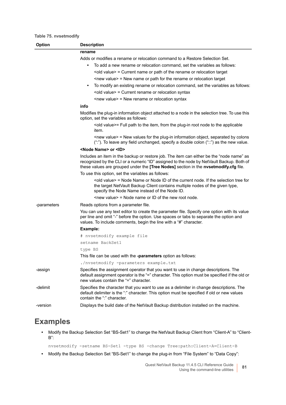#### **Table 75. nvsetmodify**

<span id="page-80-2"></span><span id="page-80-1"></span><span id="page-80-0"></span>

| Option      | <b>Description</b>                                                                                                                                                                                                                                                           |
|-------------|------------------------------------------------------------------------------------------------------------------------------------------------------------------------------------------------------------------------------------------------------------------------------|
|             | rename                                                                                                                                                                                                                                                                       |
|             | Adds or modifies a rename or relocation command to a Restore Selection Set.                                                                                                                                                                                                  |
|             | To add a new rename or relocation command, set the variables as follows:                                                                                                                                                                                                     |
|             | <old value=""> = Current name or path of the rename or relocation target</old>                                                                                                                                                                                               |
|             | $\le$ new value> = New name or path for the rename or relocation target                                                                                                                                                                                                      |
|             | To modify an existing rename or relocation command, set the variables as follows:                                                                                                                                                                                            |
|             | <old value=""> = Current rename or relocation syntax</old>                                                                                                                                                                                                                   |
|             | <new value=""> = New rename or relocation syntax</new>                                                                                                                                                                                                                       |
|             | info                                                                                                                                                                                                                                                                         |
|             | Modifies the plug-in information object attached to a node in the selection tree. To use this<br>option, set the variables as follows:                                                                                                                                       |
|             | <old value="">= Full path to the item, from the plug-in root node to the applicable<br/>item.</old>                                                                                                                                                                          |
|             | <new value=""> = New values for the plug-in information object, separated by colons<br/>(":"). To leave any field unchanged, specify a double colon ("::") as the new value.</new>                                                                                           |
|             | <node name=""> or <id></id></node>                                                                                                                                                                                                                                           |
|             | Includes an item in the backup or restore job. The item can either be the "node name" as<br>recognized by the CLI or a numeric "ID" assigned to the node by NetVault Backup. Both of<br>these values are grouped under the [Tree Nodes] section in the nvsetmodify.cfg file. |
|             | To use this option, set the variables as follows:                                                                                                                                                                                                                            |
|             | <old value=""> = Node Name or Node ID of the current node. If the selection tree for<br/>the target NetVault Backup Client contains multiple nodes of the given type,<br/>specify the Node Name instead of the Node ID.</old>                                                |
|             | $\le$ new value> = Node name or ID of the new root node.                                                                                                                                                                                                                     |
| -parameters | Reads options from a parameter file.                                                                                                                                                                                                                                         |
|             | You can use any text editor to create the parameter file. Specify one option with its value<br>per line and omit "-" before the option. Use spaces or tabs to separate the option and<br>values. To include comments, begin the line with a "#" character.                   |
|             | Example:                                                                                                                                                                                                                                                                     |
|             | # nvsetmodify example file                                                                                                                                                                                                                                                   |
|             | setname BackSet1                                                                                                                                                                                                                                                             |
|             | type BS                                                                                                                                                                                                                                                                      |
|             | This file can be used with the -parameters option as follows:                                                                                                                                                                                                                |
|             | ./nvsetmodify -parameters example.txt                                                                                                                                                                                                                                        |
| -assign     | Specifies the assignment operator that you want to use in change descriptions. The<br>default assignment operator is the "=" character. This option must be specified if the old or<br>new values contain the "=" character.                                                 |
| -delimit    | Specifies the character that you want to use as a delimiter in change descriptions. The<br>default delimiter is the ":" character. This option must be specified if old or new values<br>contain the ":" character.                                                          |
| -version    | Displays the build date of the NetVault Backup distribution installed on the machine.                                                                                                                                                                                        |

### **Examples**

**•** Modify the Backup Selection Set "BS-Set1" to change the NetVault Backup Client from "Client-A" to "Client-B":

nvsetmodify -setname BS-Set1 -type BS -change Tree:path:Client-A=Client-B

**•** Modify the Backup Selection Set "BS-Set1" to change the plug-in from "File System" to "Data Copy":

Quest NetVault Backup 11.4.5 CLI Reference Guide Using the command-line utilities **<sup>81</sup>**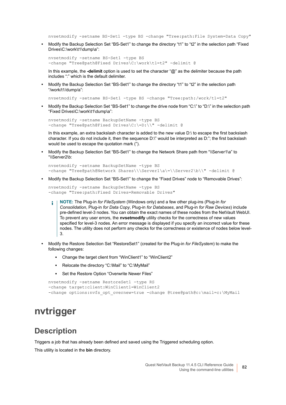nvsetmodify -setname BS-Set1 -type BS -change "Tree:path:File System=Data Copy"

**•** Modify the Backup Selection Set "BS-Set1" to change the directory "t1" to "t2" in the selection path "Fixed Drives\C:\work\t1\dump\a":

```
nvsetmodify -setname BS-Set1 -type BS 
-change "Tree@path@Fixed Drives\C:\work\t1=t2" -delimit @
```
In this example, the **-delimit** option is used to set the character "@" as the delimiter because the path includes ":" which is the default delimiter.

**•** Modify the Backup Selection Set "BS-Set1" to change the directory "t1" to "t2" in the selection path "/work/t1/dump/a":

nvsetmodify -setname BS-Set1 -type BS -change "Tree:path:/work/t1=t2"

**•** Modify the Backup Selection Set "BS-Set1" to change the drive node from "C:\" to "D:\" in the selection path "Fixed Drives\C:\work\t1\dump\a":

```
nvsetmodify -setname BackupSetName -type BS 
-change "Tree@path@Fixed Drives\C:\=D:\\" -delimit @
```
In this example, an extra backslash character is added to the new value D:\ to escape the first backslash character. If you do not include it, then the sequence D:\" would be interpreted as D:"; the first backslash would be used to escape the quotation mark (").

**•** Modify the Backup Selection Set "BS-Set1" to change the Network Share path from "\\Server1\a" to "\\Server2\b:

```
nvsetmodify -setname BackupSetName -type BS 
-change "Tree@path@Network Shares\\\Server1\a\=\\Server2\b\\" -delimit @
```
**•** Modify the Backup Selection Set "BS-Set1" to change the "Fixed Drives" node to "Removable Drives":

```
nvsetmodify -setname BackupSetName -type BS 
-change "Tree:path:Fixed Drives=Removable Drives"
```
- **NOTE:** The Plug-in *for FileSystem* (Windows only) and a few other plug-ins (Plug-in *for*  ÷ *Consolidation*, Plug-in *for Data Copy*, Plug-in *for Databases*, and Plug-in *for Raw Devices*) include pre-defined level-3 nodes. You can obtain the exact names of these nodes from the NetVault WebUI. To prevent any user errors, the **nvsetmodify** utility checks for the correctness of new values specified for level-3 nodes. An error message is displayed if you specify an incorrect value for these nodes. The utility does not perform any checks for the correctness or existence of nodes below level-3.
- **•** Modify the Restore Selection Set "RestoreSet1" (created for the Plug-in *for FileSystem*) to make the following changes:
	- **▪** Change the target client from "WinClient1" to "WinClient2"
	- **▪** Relocate the directory "C:\Mail" to "C:\MyMail"
	- **▪** Set the Restore Option "Overwrite Newer Files"

```
nvsetmodify -setname RestoreSet1 -type RS 
-change target:client:WinClient1=WinClient2 
-change options:nvfs opt overnew=true -change @tree@path@c:\mail=c:\MyMail
```
### **nvtrigger**

#### **Description**

Triggers a job that has already been defined and saved using the Triggered scheduling option.

This utility is located in the **bin** directory.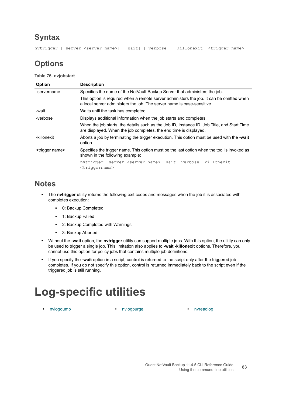### **Syntax**

nvtrigger [-server <server name>] [-wait] [-verbose] [-killonexit] <trigger name>

## **Options**

**Table 76. nvjobstart**

| <b>Option</b>               | <b>Description</b>                                                                                                                                                 |
|-----------------------------|--------------------------------------------------------------------------------------------------------------------------------------------------------------------|
| -servername                 | Specifies the name of the NetVault Backup Server that administers the job.                                                                                         |
|                             | This option is required when a remote server administers the job. It can be omitted when<br>a local server administers the job. The server name is case-sensitive. |
| -wait                       | Waits until the task has completed.                                                                                                                                |
| -verbose                    | Displays additional information when the job starts and completes.                                                                                                 |
|                             | When the job starts, the details such as the Job ID, Instance ID, Job Title, and Start Time<br>are displayed. When the job completes, the end time is displayed.   |
| -killonexit                 | Aborts a job by terminating the trigger execution. This option must be used with the -wait<br>option.                                                              |
| <trigger name=""></trigger> | Specifies the trigger name. This option must be the last option when the tool is invoked as<br>shown in the following example:                                     |
|                             | nvtrigger -server <server name=""> -wait -verbose -killonexit<br/><math>\langle \texttt{triangle} \rangle</math></server>                                          |

### **Notes**

- **•** The **nvtrigger** utility returns the following exit codes and messages when the job it is associated with completes execution:
	- **▪** 0: Backup Completed
	- **▪** 1: Backup Failed
	- **▪** 2: Backup Completed with Warnings
	- **▪** 3: Backup Aborted
- **•** Without the **-wait** option, the **nvtrigger** utility can support multiple jobs. With this option, the utility can only be used to trigger a single job. This limitation also applies to **-wait -killonexit** options. Therefore, you cannot use this option for policy jobs that contains multiple job definitions.
- **•** If you specify the **-wait** option in a script, control is returned to the script only after the triggered job completes. If you do not specify this option, control is returned immediately back to the script even if the triggered job is still running.

# **Log-specific utilities**

**•** [nvlogdump](#page-83-0) **•** [nvlogpurge](#page-83-1) **•** [nvreadlog](#page-84-0)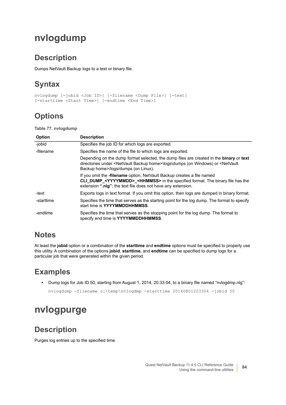## <span id="page-83-0"></span>**nvlogdump**

### **Description**

Dumps NetVault Backup logs to a text or binary file.

## **Syntax**

```
nvlogdump [-jobid <Job ID>] [-filename <Dump File>] [-text] 
[-starttime <Start Time>] [-endtime <End Time>]
```
## **Options**

**Table 77. nvlogdump**

| <b>Option</b> | <b>Description</b>                                                                                                                                                                                                                                        |
|---------------|-----------------------------------------------------------------------------------------------------------------------------------------------------------------------------------------------------------------------------------------------------------|
| -jobid        | Specifies the job ID for which logs are exported.                                                                                                                                                                                                         |
| -filename     | Specifies the name of the file to which logs are exported.                                                                                                                                                                                                |
|               | Depending on the dump format selected, the dump files are created in the <b>binary</b> or text<br>directories under <netvault backup="" home="">\logs\dumps (on Windows) or <netvault<br>Backup home&gt;/logs/dumps (on Linux).</netvault<br></netvault>  |
|               | If you omit the <b>-filename</b> option, NetVault Backup creates a file named<br><b>CLI DUMP <yyyymmdd> <hhmmss></hhmmss></yyyymmdd></b> in the specified format. The binary file has the<br>extension ".nlg"; the text file does not have any extension. |
| -text         | Exports logs in text format. If you omit this option, then logs are dumped in binary format.                                                                                                                                                              |
| -starttime    | Specifies the time that serves as the starting point for the log dump. The format to specify<br>start time is YYYYMMDDHHMMSS.                                                                                                                             |
| -endtime      | Specifies the time that serves as the stopping point for the log dump. The format to<br>specify end time is YYYYMMDDHHMMSS.                                                                                                                               |

### **Notes**

At least the **jobid** option or a combination of the **starttime** and **endtime** options must be specified to properly use this utility. A combination of the options **jobid**, **starttime**, and **endtime** can be specified to dump logs for a particular job that were generated within the given period.

## **Examples**

**•** Dump logs for Job ID 50, starting from August 1, 2014, 20:33:04, to a binary file named "nvlogdmp.nlg":

```
nvlogdump -filename c:\temp\nvlogdmp -starttime 20140801203304 -jobid 50
```
## <span id="page-83-1"></span>**nvlogpurge**

### **Description**

Purges log entries up to the specified time.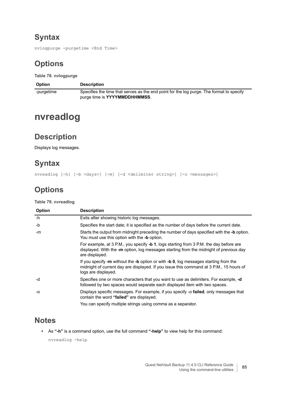## **Syntax**

nvlogpurge -purgetime <End Time>

## **Options**

**Table 78. nvlogpurge**

| <b>Option</b> | <b>Description</b>                                                                       |
|---------------|------------------------------------------------------------------------------------------|
| -purgetime    | Specifies the time that serves as the end point for the log purge. The format to specify |
|               | purge time is YYYYMMDDHHMMSS.                                                            |

## <span id="page-84-0"></span>**nvreadlog**

### **Description**

Displays log messages.

### **Syntax**

nvreadlog [-h] [-b <days>] [-m] [-d <delimiter string>] [-o <messages>]

## **Options**

**Table 79. nvreadlog**

| Option | <b>Description</b>                                                                                                                                                                                     |
|--------|--------------------------------------------------------------------------------------------------------------------------------------------------------------------------------------------------------|
| -h     | Exits after showing historic log messages.                                                                                                                                                             |
| -b     | Specifies the start date; it is specified as the number of days before the current date.                                                                                                               |
| -m     | Starts the output from midnight preceding the number of days specified with the - <b>b</b> option.<br>You must use this option with the -b option.                                                     |
|        | For example, at 3 P.M., you specify -b 1, logs starting from 3 P.M. the day before are<br>displayed. With the -m option, log messages starting from the midnight of previous day<br>are displayed.     |
|        | If you specify -m without the -b option or with -b 0, log messages starting from the<br>midnight of current day are displayed. If you issue this command at 3 P.M., 15 hours of<br>logs are displayed. |
| -d     | Specifies one or more characters that you want to use as delimiters. For example, -d<br>followed by two spaces would separate each displayed item with two spaces.                                     |
| -0     | Displays specific messages. For example, if you specify -o failed, only messages that<br>contain the word "failed" are displayed.                                                                      |
|        | You can specify multiple strings using comma as a separator.                                                                                                                                           |

### **Notes**

**•** As **"-h"** is a command option, use the full command **"-help"** to view help for this command:

nvreadlog -help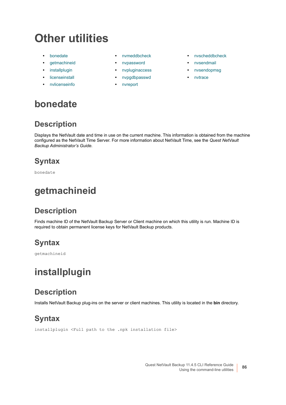# **Other utilities**

- 
- 
- 
- 
- **•** [nvlicenseinfo](#page-86-1) **•** [nvreport](#page-89-0)
- 
- **•** [getmachineid](#page-85-1) **•** [nvpassword](#page-87-0) **•** [nvsendmail](#page-90-0)
	- **•** [installplugin](#page-85-2) **•** [nvpluginaccess](#page-88-0) **•** [nvsendopmsg](#page-91-0)
- **•** [licenseinstall](#page-86-0) **•** [nvpgdbpasswd](#page-88-1) **•** [nvtrace](#page-91-1)
	-
- **• •** [nvmeddbcheck](#page-86-2) **• •** [nvscheddbcheck](#page-89-1)
	-
	-
	-

## <span id="page-85-0"></span>**bonedate**

## **Description**

Displays the NetVault date and time in use on the current machine. This information is obtained from the machine configured as the NetVault Time Server. For more information about NetVault Time, see the *Quest NetVault Backup Administrator's Guide*.

## **Syntax**

bonedate

## <span id="page-85-1"></span>**getmachineid**

## **Description**

Finds machine ID of the NetVault Backup Server or Client machine on which this utility is run. Machine ID is required to obtain permanent license keys for NetVault Backup products.

## **Syntax**

getmachineid

## <span id="page-85-2"></span>**installplugin**

## **Description**

Installs NetVault Backup plug-ins on the server or client machines. This utility is located in the **bin** directory.

## **Syntax**

installplugin <Full path to the .npk installation file>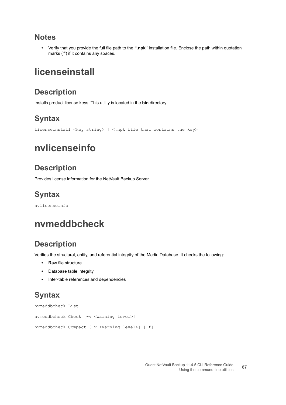#### **Notes**

**•** Verify that you provide the full file path to the **".npk"** installation file. Enclose the path within quotation marks ("") if it contains any spaces.

## <span id="page-86-0"></span>**licenseinstall**

### **Description**

Installs product license keys. This utility is located in the **bin** directory.

## **Syntax**

```
licenseinstall <key string> | <.npk file that contains the key>
```
## <span id="page-86-1"></span>**nvlicenseinfo**

## **Description**

Provides license information for the NetVault Backup Server.

## **Syntax**

nvlicenseinfo

## <span id="page-86-2"></span>**nvmeddbcheck**

## **Description**

Verifies the structural, entity, and referential integrity of the Media Database. It checks the following:

- **•** Raw file structure
- **•** Database table integrity
- **•** Inter-table references and dependencies

## **Syntax**

```
nvmeddbcheck List
nvmeddbcheck Check [-v <warning level>]
nvmeddbcheck Compact [-v <warning level>] [-f]
```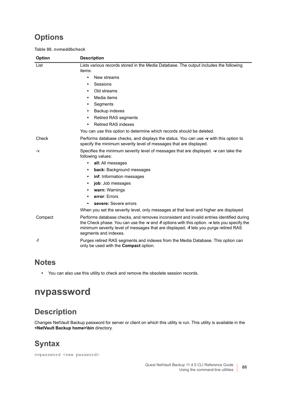## **Options**

**Table 80. nvmeddbcheck**

| <b>Option</b> | <b>Description</b>                                                                                                                                                                                                                                                                                        |
|---------------|-----------------------------------------------------------------------------------------------------------------------------------------------------------------------------------------------------------------------------------------------------------------------------------------------------------|
| List          | Lists various records stored in the Media Database. The output includes the following<br>items:                                                                                                                                                                                                           |
|               | New streams<br>$\bullet$                                                                                                                                                                                                                                                                                  |
|               | Sessions                                                                                                                                                                                                                                                                                                  |
|               | Old streams<br>$\bullet$                                                                                                                                                                                                                                                                                  |
|               | Media items<br>$\bullet$                                                                                                                                                                                                                                                                                  |
|               | Segments                                                                                                                                                                                                                                                                                                  |
|               | Backup indexes<br>$\bullet$                                                                                                                                                                                                                                                                               |
|               | <b>Retired RAS segments</b><br>٠                                                                                                                                                                                                                                                                          |
|               | <b>Retired RAS indexes</b><br>$\bullet$                                                                                                                                                                                                                                                                   |
|               | You can use this option to determine which records should be deleted.                                                                                                                                                                                                                                     |
| Check         | Performs database checks, and displays the status. You can use -v with this option to<br>specify the minimum severity level of messages that are displayed.                                                                                                                                               |
| -v            | Specifies the minimum severity level of messages that are displayed. -v can take the<br>following values:                                                                                                                                                                                                 |
|               | all: All messages<br>$\bullet$                                                                                                                                                                                                                                                                            |
|               | back: Background messages<br>$\bullet$                                                                                                                                                                                                                                                                    |
|               | inf: Information messages                                                                                                                                                                                                                                                                                 |
|               | job: Job messages                                                                                                                                                                                                                                                                                         |
|               | warn: Warnings<br>٠                                                                                                                                                                                                                                                                                       |
|               | error: Errors                                                                                                                                                                                                                                                                                             |
|               | severe: Severe errors                                                                                                                                                                                                                                                                                     |
|               | When you set the severity level, only messages at that level and higher are displayed.                                                                                                                                                                                                                    |
| Compact       | Performs database checks, and removes inconsistent and invalid entries identified during<br>the Check phase. You can use the -v and -f options with this option. -v lets you specify the<br>minimum severity level of messages that are displayed; -f lets you purge retired RAS<br>segments and indexes. |
| -f            | Purges retired RAS segments and indexes from the Media Database. This option can<br>only be used with the <b>Compact</b> option.                                                                                                                                                                          |

#### **Notes**

**•** You can also use this utility to check and remove the obsolete session records.

## <span id="page-87-0"></span>**nvpassword**

## **Description**

Changes NetVault Backup password for server or client on which this utility is run. This utility is available in the **<NetVault Backup home>\bin** directory.

## **Syntax**

nvpassword <new password>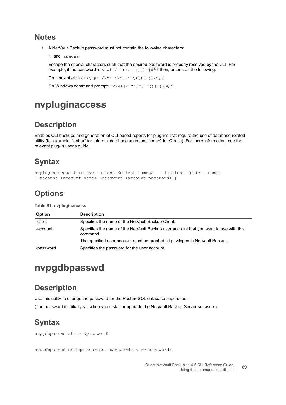#### **Notes**

**•** A NetVault Backup password must not contain the following characters:

```
\ and spaces
```
Escape the special characters such that the desired password is properly received by the CLI. For example, if the password is <> $\&$ #|/"':\*.-`()[]{}\$@? then, enter it as the following:

```
On Linux shell: \langle \langle \rangle \rangle \& \# \langle \rangle / \langle \cdot \rangle \& \; + \langle \cdot \rangle \& \; - \langle \cdot \rangle \& \; \langle \cdot \rangle [] { } \$@?
```
On Windows command prompt: "<> $\frac{1}{2}$  /""': \*.-`()[]{}\$@?".

## <span id="page-88-0"></span>**nvpluginaccess**

### **Description**

Enables CLI backups and generation of CLI-based reports for plug-ins that require the use of database-related utility (for example, "onbar" for Informix database users and "rman" for Oracle). For more information, see the relevant plug-in user's guide.

## **Syntax**

```
nvpluginaccess [-remove -client <client names>] | [-client <client name> 
[-account <account name> -password <account password>]]
```
## **Options**

**Table 81. nvpluginaccess**

| <b>Option</b> | <b>Description</b>                                                                                |
|---------------|---------------------------------------------------------------------------------------------------|
| -client       | Specifies the name of the NetVault Backup Client.                                                 |
| -account      | Specifies the name of the NetVault Backup user account that you want to use with this<br>command. |
|               | The specified user account must be granted all privileges in NetVault Backup.                     |
| -password     | Specifies the password for the user account.                                                      |

## <span id="page-88-1"></span>**nvpgdbpasswd**

### **Description**

Use this utility to change the password for the PostgreSQL database superuser.

(The password is initially set when you install or upgrade the NetVault Backup Server software.)

## **Syntax**

nvpgdbpasswd store <password>

nvpgdbpasswd change <current password> <new password>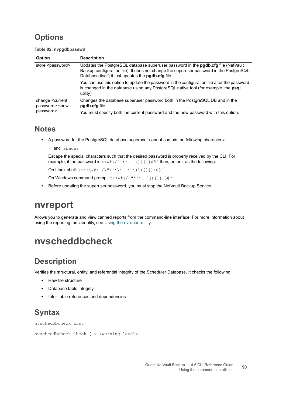## **Options**

**Table 82. nvpgdbpasswd**

| <b>Option</b>                                                              | <b>Description</b>                                                                                                                                                                                                                         |
|----------------------------------------------------------------------------|--------------------------------------------------------------------------------------------------------------------------------------------------------------------------------------------------------------------------------------------|
| store <password></password>                                                | Updates the PostgreSQL database superuser password in the <b>pgdb.cfg</b> file (NetVault<br>Backup configuration file). It does not change the superuser password in the PostgreSQL<br>Database itself; it just updates the pgdb.cfg file. |
|                                                                            | You can use this option to update the password in the configuration file after the password<br>is changed in the database using any PostgreSQL native tool (for example, the psql<br>utility).                                             |
| change <current<br>password&gt; <new<br>password&gt;</new<br></current<br> | Changes the database superuser password both in the PostgreSQL DB and in the<br>padb.cfg file.                                                                                                                                             |
|                                                                            | You must specify both the current password and the new password with this option.                                                                                                                                                          |

#### **Notes**

- **•** A password for the PostgreSQL database superuser cannot contain the following characters:
	- \ and spaces

Escape the special characters such that the desired password is properly received by the CLI. For example, if the password is  $\langle \rangle_{\&\#}$  | / "':\*.-`()[]{}\$@? then, enter it as the following:

```
On Linux shell: \langle \langle \rangle \rangle \& \# \setminus | / \setminus " \setminus ' : \setminus * \_ - \setminus \setminus (\setminus) [] { \} \
```
On Windows command prompt: "<> $\frac{1}{2}$  | / ""':\*.-`() [] { } \$@?".

**•** Before updating the superuser password, you must stop the NetVault Backup Service.

## <span id="page-89-0"></span>**nvreport**

Allows you to generate and view canned reports from the command-line interface. For more information about using the reporting functionality, see [Using the nvreport utility](#page-93-0).

## <span id="page-89-1"></span>**nvscheddbcheck**

### **Description**

Verifies the structural, entity, and referential integrity of the Scheduler Database. It checks the following:

- **•** Raw file structure
- **•** Database table integrity
- **•** Inter-table references and dependencies

## **Syntax**

```
nvscheddbcheck List
```

```
nvscheddbcheck Check [-v <warning level>
```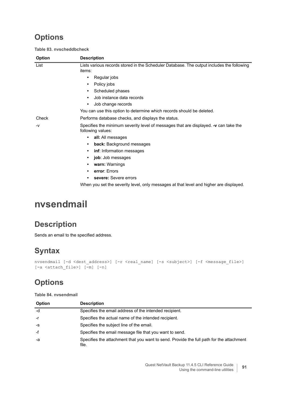## **Options**

**Table 83. nvscheddbcheck**

| Option | <b>Description</b>                                                                                        |
|--------|-----------------------------------------------------------------------------------------------------------|
| List   | Lists various records stored in the Scheduler Database. The output includes the following<br>items:       |
|        | Regular jobs<br>$\bullet$                                                                                 |
|        | Policy jobs<br>٠                                                                                          |
|        | Scheduled phases<br>٠                                                                                     |
|        | Job instance data records<br>٠                                                                            |
|        | Job change records<br>$\bullet$                                                                           |
|        | You can use this option to determine which records should be deleted.                                     |
| Check  | Performs database checks, and displays the status.                                                        |
| $-V$   | Specifies the minimum severity level of messages that are displayed. -v can take the<br>following values: |
|        | all: All messages<br>٠                                                                                    |
|        | back: Background messages<br>٠                                                                            |
|        | inf: Information messages<br>٠                                                                            |
|        | job: Job messages<br>٠                                                                                    |
|        | warn: Warnings<br>٠                                                                                       |
|        | error: Errors<br>٠                                                                                        |
|        | severe: Severe errors<br>$\bullet$                                                                        |
|        | When you set the severity level, only messages at that level and higher are displayed.                    |

## <span id="page-90-0"></span>**nvsendmail**

## **Description**

Sends an email to the specified address.

## **Syntax**

```
nvsendmail [-d <dest_address>] [-r <real_name] [-s <subject>] [-f <message_file>] 
[-a <attach_file>] [-m] [-n]
```
## **Options**

**Table 84. nvsendmail**

| Option | <b>Description</b>                                                                                |
|--------|---------------------------------------------------------------------------------------------------|
| -d     | Specifies the email address of the intended recipient.                                            |
| -r     | Specifies the actual name of the intended recipient.                                              |
| $-S$   | Specifies the subject line of the email.                                                          |
| -f     | Specifies the email message file that you want to send.                                           |
| -а     | Specifies the attachment that you want to send. Provide the full path for the attachment<br>file. |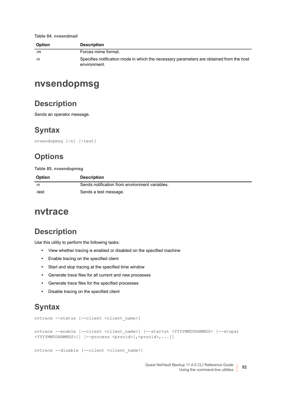**Table 84. nvsendmail**

| <b>Option</b> | <b>Description</b>                                                                                       |
|---------------|----------------------------------------------------------------------------------------------------------|
| -m            | Forces mime format.                                                                                      |
| -n            | Specifies notification mode in which the necessary parameters are obtained from the host<br>environment. |

## <span id="page-91-0"></span>**nvsendopmsg**

#### **Description**

Sends an operator message.

### **Syntax**

nvsendopmsg [-n] [-test]

### **Options**

**Table 85. nvsendopmsg**

| <b>Option</b> | <b>Description</b>                             |
|---------------|------------------------------------------------|
| -n            | Sends notification from environment variables. |
| -test         | Sends a test message.                          |

### <span id="page-91-1"></span>**nvtrace**

### **Description**

Use this utility to perform the following tasks:

- **•** View whether tracing is enabled or disabled on the specified machine
- **•** Enable tracing on the specified client
- **•** Start and stop tracing at the specified time window
- **•** Generate trace files for all current and new processes
- **•** Generate trace files for the specified processes
- **•** Disable tracing on the specified client

#### **Syntax**

```
nvtrace --status [--client <client_name>]
```

```
nvtrace --enable [--client <client_name>] [--startat <YYYYMMDDHHMMSS> [--stopat 
<YYYYMMDDHHMMSS>]] [--process <procid>[,<procid>,...]]
```

```
nvtrace --disable [--client <client name>]
```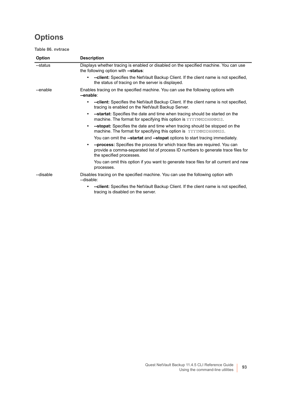## **Options**

**Table 86. nvtrace**

| Option    | <b>Description</b>                                                                                                                                                                                |
|-----------|---------------------------------------------------------------------------------------------------------------------------------------------------------------------------------------------------|
| --status  | Displays whether tracing is enabled or disabled on the specified machine. You can use<br>the following option with --status:                                                                      |
|           | --client: Specifies the NetVault Backup Client. If the client name is not specified,<br>the status of tracing on the server is displayed.                                                         |
| --enable  | Enables tracing on the specified machine. You can use the following options with<br>--enable:                                                                                                     |
|           | -- client: Specifies the NetVault Backup Client. If the client name is not specified,<br>tracing is enabled on the NetVault Backup Server.                                                        |
|           | <b>--startat:</b> Specifies the date and time when tracing should be started on the<br>$\bullet$<br>machine. The format for specifying this option is YYYYMMDDHHMMSS.                             |
|           | -- stopat: Specifies the date and time when tracing should be stopped on the<br>٠<br>machine. The format for specifying this option is YYYYMMDDHHMMSS.                                            |
|           | You can omit the --startat and --stopat options to start tracing immediately.                                                                                                                     |
|           | --process: Specifies the process for which trace files are required. You can<br>٠<br>provide a comma-separated list of process ID numbers to generate trace files for<br>the specified processes. |
|           | You can omit this option if you want to generate trace files for all current and new<br>processes.                                                                                                |
| --disable | Disables tracing on the specified machine. You can use the following option with<br>--disable:                                                                                                    |
|           | -- client: Specifies the NetVault Backup Client. If the client name is not specified,<br>tracing is disabled on the server.                                                                       |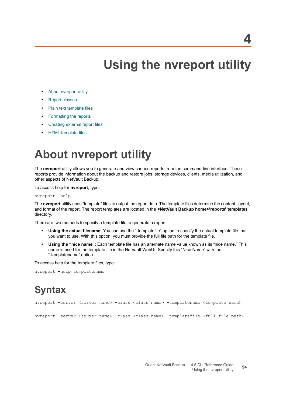# <span id="page-93-0"></span>**Using the nvreport utility**

- **•** [About nvreport utility](#page-93-1)
- **•** [Report classes](#page-94-0)
- **•** [Plain text template files](#page-99-0)
- **•** [Formatting the reports](#page-100-0)
- **•** [Creating external report files](#page-105-0)
- **•** [HTML template files](#page-107-0)

# <span id="page-93-1"></span>**About nvreport utility**

The **nvreport** utility allows you to generate and view canned reports from the command-line interface. These reports provide information about the backup and restore jobs, storage devices, clients, media utilization, and other aspects of NetVault Backup.

To access help for **nvreport**, type:

```
nvreport -help
```
The **nvreport** utility uses "template" files to output the report data. The template files determine the content, layout, and format of the report. The report templates are located in the **<NetVault Backup home>\reports\ templates** directory.

There are two methods to specify a template file to generate a report:

- **Using the actual filename:** You can use the "-templatefile" option to specify the actual template file that you want to use. With this option, you must provide the full file path for the template file.
- **Using the "nice name":** Each template file has an alternate name value known as its "nice name." This name is used for the template file in the NetVault WebUI. Specify this "Nice Name" with the "-templatename" option.

To access help for the template files, type:

nvreport -help templatename

# **Syntax**

nvreport -server <server name> -class <class name> -templatename <template name>

nvreport -server <server name> -class <class name> -templatefile <full file path>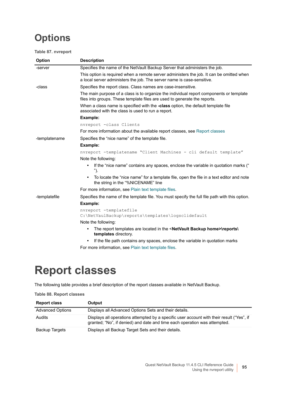## **Options**

#### **Table 87. nvreport**

| <b>Option</b> | <b>Description</b>                                                                                                                                                   |
|---------------|----------------------------------------------------------------------------------------------------------------------------------------------------------------------|
| -server       | Specifies the name of the NetVault Backup Server that administers the job.                                                                                           |
|               | This option is required when a remote server administers the job. It can be omitted when<br>a local server administers the job. The server name is case-sensitive.   |
| -class        | Specifies the report class. Class names are case-insensitive.                                                                                                        |
|               | The main purpose of a class is to organize the individual report components or template<br>files into groups. These template files are used to generate the reports. |
|               | When a class name is specified with the -class option, the default template file<br>associated with the class is used to run a report.                               |
|               | Example:                                                                                                                                                             |
|               | nvreport -class Clients                                                                                                                                              |
|               | For more information about the available report classes, see Report classes                                                                                          |
| -templatename | Specifies the "nice name" of the template file.                                                                                                                      |
|               | Example:                                                                                                                                                             |
|               | nvreport -templatename "Client Machines - cli default template"                                                                                                      |
|               | Note the following:                                                                                                                                                  |
|               | If the "nice name" contains any spaces, enclose the variable in quotation marks ("<br>$\bullet$<br>").                                                               |
|               | To locate the "nice name" for a template file, open the file in a text editor and note<br>$\bullet$<br>the string in the "%NICENAME" line                            |
|               | For more information, see Plain text template files.                                                                                                                 |
| -templatefile | Specifies the name of the template file. You must specify the full file path with this option.                                                                       |
|               | Example:                                                                                                                                                             |
|               | nvreport -templatefile                                                                                                                                               |
|               | C:\NetVaulBackup\reports\templates\logsclidefault                                                                                                                    |
|               | Note the following:                                                                                                                                                  |
|               | The report templates are located in the <netvault backup="" home="">\reports\<br/><math display="inline">\bullet</math><br/>templates directory.</netvault>          |
|               | If the file path contains any spaces, enclose the variable in quotation marks<br>٠                                                                                   |

For more information, see [Plain text template files.](#page-99-0)

# <span id="page-94-0"></span>**Report classes**

The following table provides a brief description of the report classes available in NetVault Backup.

| <b>Report class</b>     | Output                                                                                                                                                                 |
|-------------------------|------------------------------------------------------------------------------------------------------------------------------------------------------------------------|
| <b>Advanced Options</b> | Displays all Advanced Options Sets and their details.                                                                                                                  |
| Audits                  | Displays all operations attempted by a specific user account with their result ("Yes", if<br>granted; "No", if denied) and date and time each operation was attempted. |
| <b>Backup Targets</b>   | Displays all Backup Target Sets and their details.                                                                                                                     |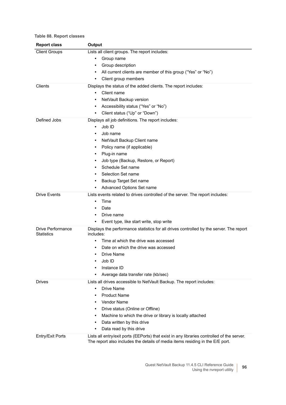| <b>Report class</b>                    | Output                                                                                                                                                                      |
|----------------------------------------|-----------------------------------------------------------------------------------------------------------------------------------------------------------------------------|
| <b>Client Groups</b>                   | Lists all client groups. The report includes:                                                                                                                               |
|                                        | Group name                                                                                                                                                                  |
|                                        | Group description<br>٠                                                                                                                                                      |
|                                        | All current clients are member of this group ("Yes" or "No")                                                                                                                |
|                                        | Client group members<br>٠                                                                                                                                                   |
| Clients                                | Displays the status of the added clients. The report includes:                                                                                                              |
|                                        | Client name<br>٠                                                                                                                                                            |
|                                        | NetVault Backup version                                                                                                                                                     |
|                                        | Accessibility status ("Yes" or "No")<br>٠                                                                                                                                   |
|                                        | Client status ("Up" or "Down")<br>٠                                                                                                                                         |
| Defined Jobs                           | Displays all job definitions. The report includes:                                                                                                                          |
|                                        | Job ID<br>$\bullet$                                                                                                                                                         |
|                                        | Job name                                                                                                                                                                    |
|                                        | NetVault Backup Client name<br>٠                                                                                                                                            |
|                                        | Policy name (if applicable)                                                                                                                                                 |
|                                        | Plug-in name                                                                                                                                                                |
|                                        | Job type (Backup, Restore, or Report)                                                                                                                                       |
|                                        | Schedule Set name                                                                                                                                                           |
|                                        | Selection Set name                                                                                                                                                          |
|                                        | Backup Target Set name<br>٠                                                                                                                                                 |
|                                        | Advanced Options Set name                                                                                                                                                   |
| <b>Drive Events</b>                    | Lists events related to drives controlled of the server. The report includes:                                                                                               |
|                                        | Time<br>$\bullet$                                                                                                                                                           |
|                                        | Date<br>٠                                                                                                                                                                   |
|                                        | Drive name                                                                                                                                                                  |
|                                        | Event type, like start write, stop write                                                                                                                                    |
| Drive Performance<br><b>Statistics</b> | Displays the performance statistics for all drives controlled by the server. The report<br>includes:                                                                        |
|                                        | Time at which the drive was accessed                                                                                                                                        |
|                                        | Date on which the drive was accessed                                                                                                                                        |
|                                        | Drive Name<br>٠                                                                                                                                                             |
|                                        | Job ID                                                                                                                                                                      |
|                                        | Instance ID                                                                                                                                                                 |
|                                        | Average data transfer rate (kb/sec)                                                                                                                                         |
| <b>Drives</b>                          | Lists all drives accessible to NetVault Backup. The report includes:                                                                                                        |
|                                        | <b>Drive Name</b><br>$\bullet$                                                                                                                                              |
|                                        | <b>Product Name</b>                                                                                                                                                         |
|                                        | <b>Vendor Name</b>                                                                                                                                                          |
|                                        | Drive status (Online or Offline)<br>٠                                                                                                                                       |
|                                        | Machine to which the drive or library is locally attached<br>$\bullet$                                                                                                      |
|                                        | Data written by this drive<br>٠                                                                                                                                             |
|                                        | Data read by this drive<br>٠                                                                                                                                                |
| Entry/Exit Ports                       | Lists all entry/exit ports (EEPorts) that exist in any libraries controlled of the server.<br>The report also includes the details of media items residing in the E/E port. |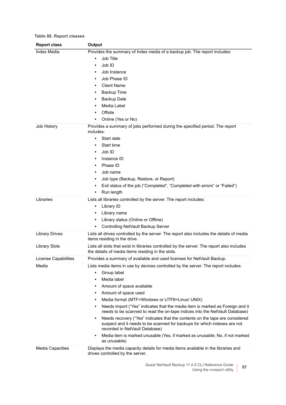| <b>Report class</b>     | Output                                                                                                                                                                                     |  |
|-------------------------|--------------------------------------------------------------------------------------------------------------------------------------------------------------------------------------------|--|
| Index Media             | Provides the summary of Index media of a backup job. The report includes:                                                                                                                  |  |
|                         | Job Title                                                                                                                                                                                  |  |
|                         | Job ID                                                                                                                                                                                     |  |
|                         | Job Instance                                                                                                                                                                               |  |
|                         | Job Phase ID                                                                                                                                                                               |  |
|                         | <b>Client Name</b>                                                                                                                                                                         |  |
|                         | <b>Backup Time</b>                                                                                                                                                                         |  |
|                         | <b>Backup Date</b>                                                                                                                                                                         |  |
|                         | Media Label                                                                                                                                                                                |  |
|                         | Offsite                                                                                                                                                                                    |  |
|                         | Online (Yes or No)                                                                                                                                                                         |  |
| Job History             | Provides a summary of jobs performed during the specified period. The report<br>includes:                                                                                                  |  |
|                         | Start date<br>$\bullet$                                                                                                                                                                    |  |
|                         | Start time                                                                                                                                                                                 |  |
|                         | Job ID                                                                                                                                                                                     |  |
|                         | Instance ID                                                                                                                                                                                |  |
|                         | Phase ID                                                                                                                                                                                   |  |
|                         | Job name                                                                                                                                                                                   |  |
|                         | Job type (Backup, Restore, or Report)                                                                                                                                                      |  |
|                         | Exit status of the job ("Completed", "Completed with errors" or "Failed")                                                                                                                  |  |
|                         | Run length                                                                                                                                                                                 |  |
| Libraries               | Lists all libraries controlled by the server. The report includes:                                                                                                                         |  |
|                         | Library ID<br>٠                                                                                                                                                                            |  |
|                         | Library name                                                                                                                                                                               |  |
|                         | Library status (Online or Offline)                                                                                                                                                         |  |
|                         | Controlling NetVault Backup Server                                                                                                                                                         |  |
| <b>Library Drives</b>   | Lists all drives controlled by the server. The report also includes the details of media<br>items residing in the drive.                                                                   |  |
| <b>Library Slots</b>    | Lists all slots that exist in libraries controlled by the server. The report also includes<br>the details of media items residing in the slots.                                            |  |
| License Capabilities    | Provides a summary of available and used licenses for NetVault Backup.                                                                                                                     |  |
| Media                   | Lists media items in use by devices controlled by the server. The report includes:                                                                                                         |  |
|                         | Group label<br>$\bullet$                                                                                                                                                                   |  |
|                         | Media label                                                                                                                                                                                |  |
|                         | Amount of space available<br>$\bullet$                                                                                                                                                     |  |
|                         | Amount of space used<br>$\bullet$                                                                                                                                                          |  |
|                         | Media format (MTF=Windows or UTF8=Linux/ UNIX)<br>$\bullet$                                                                                                                                |  |
|                         | Needs import ("Yes" indicates that the media item is marked as Foreign and it<br>٠<br>needs to be scanned to read the on-tape indices into the NetVault Database)                          |  |
|                         | Needs recovery ("Yes" indicates that the contents on the tape are considered<br>suspect and it needs to be scanned for backups for which indexes are not<br>recorded in NetVault Database) |  |
|                         | Media item is marked unusable (Yes, if marked as unusable; No, if not marked<br>as unusable)                                                                                               |  |
| <b>Media Capacities</b> | Displays the media capacity details for media items available in the libraries and<br>drives controlled by the server.                                                                     |  |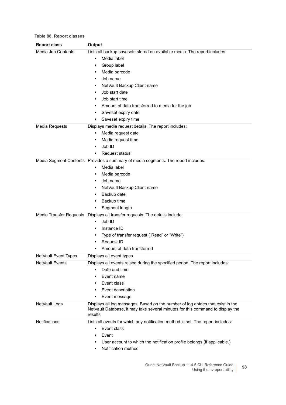| <b>Report class</b>    | Output                                                                                                                                                                        |
|------------------------|-------------------------------------------------------------------------------------------------------------------------------------------------------------------------------|
| Media Job Contents     | Lists all backup savesets stored on available media. The report includes:                                                                                                     |
|                        | Media label                                                                                                                                                                   |
|                        | Group label<br>٠                                                                                                                                                              |
|                        | Media barcode                                                                                                                                                                 |
|                        | Job name                                                                                                                                                                      |
|                        | NetVault Backup Client name                                                                                                                                                   |
|                        | Job start date                                                                                                                                                                |
|                        | Job start time                                                                                                                                                                |
|                        | Amount of data transferred to media for the job<br>٠                                                                                                                          |
|                        | Saveset expiry date                                                                                                                                                           |
|                        | Saveset expiry time<br>٠                                                                                                                                                      |
| Media Requests         | Displays media request details. The report includes:                                                                                                                          |
|                        | Media request date<br>٠                                                                                                                                                       |
|                        | Media request time<br>٠                                                                                                                                                       |
|                        | Job ID<br>٠                                                                                                                                                                   |
|                        | Request status<br>٠                                                                                                                                                           |
|                        | Media Segment Contents Provides a summary of media segments. The report includes:                                                                                             |
|                        | Media label<br>$\bullet$                                                                                                                                                      |
|                        | Media barcode<br>٠                                                                                                                                                            |
|                        | Job name<br>٠                                                                                                                                                                 |
|                        | NetVault Backup Client name                                                                                                                                                   |
|                        | Backup date                                                                                                                                                                   |
|                        | Backup time                                                                                                                                                                   |
|                        | Segment length                                                                                                                                                                |
|                        | Media Transfer Requests  Displays all transfer requests. The details include:                                                                                                 |
|                        | Job ID<br>$\bullet$                                                                                                                                                           |
|                        | Instance ID<br>٠                                                                                                                                                              |
|                        | Type of transfer request ("Read" or "Write")<br>٠                                                                                                                             |
|                        | Request ID<br>٠                                                                                                                                                               |
|                        | Amount of data transferred                                                                                                                                                    |
| NetVault Event Types   | Displays all event types.                                                                                                                                                     |
| <b>NetVault Events</b> | Displays all events raised during the specified period. The report includes:                                                                                                  |
|                        | Date and time                                                                                                                                                                 |
|                        | Event name<br>٠                                                                                                                                                               |
|                        | Event class<br>٠                                                                                                                                                              |
|                        | Event description                                                                                                                                                             |
|                        | Event message                                                                                                                                                                 |
| NetVault Logs          | Displays all log messages. Based on the number of log entries that exist in the<br>NetVault Database, it may take several minutes for this command to display the<br>results. |
| Notifications          | Lists all events for which any notification method is set. The report includes:                                                                                               |
|                        | Event class<br>$\bullet$                                                                                                                                                      |
|                        | Event<br>٠                                                                                                                                                                    |
|                        | User account to which the notification profile belongs (if applicable.)                                                                                                       |
|                        | Notification method                                                                                                                                                           |
|                        |                                                                                                                                                                               |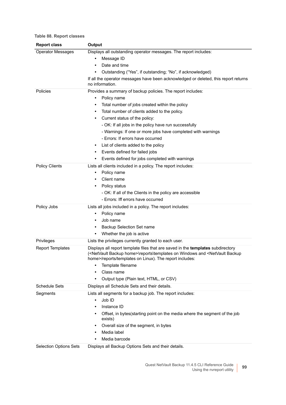| <b>Report class</b>           | Output                                                                                                                                                                                                                                                     |  |
|-------------------------------|------------------------------------------------------------------------------------------------------------------------------------------------------------------------------------------------------------------------------------------------------------|--|
| <b>Operator Messages</b>      | Displays all outstanding operator messages. The report includes:                                                                                                                                                                                           |  |
|                               | Message ID                                                                                                                                                                                                                                                 |  |
|                               | Date and time<br>$\bullet$                                                                                                                                                                                                                                 |  |
|                               | Outstanding ("Yes", if outstanding; "No", if acknowledged)                                                                                                                                                                                                 |  |
|                               | If all the operator messages have been acknowledged or deleted, this report returns<br>no information.                                                                                                                                                     |  |
| Policies                      | Provides a summary of backup policies. The report includes:                                                                                                                                                                                                |  |
|                               | Policy name<br>٠                                                                                                                                                                                                                                           |  |
|                               | Total number of jobs created within the policy<br>$\bullet$                                                                                                                                                                                                |  |
|                               | Total number of clients added to the policy.<br>٠                                                                                                                                                                                                          |  |
|                               | Current status of the policy:                                                                                                                                                                                                                              |  |
|                               | - OK: If all jobs in the policy have run successfully                                                                                                                                                                                                      |  |
|                               | - Warnings: If one or more jobs have completed with warnings                                                                                                                                                                                               |  |
|                               | - Errors: If errors have occurred                                                                                                                                                                                                                          |  |
|                               | List of clients added to the policy<br>$\bullet$                                                                                                                                                                                                           |  |
|                               | Events defined for failed jobs<br>٠                                                                                                                                                                                                                        |  |
|                               | Events defined for jobs completed with warnings                                                                                                                                                                                                            |  |
| <b>Policy Clients</b>         | Lists all clients included in a policy. The report includes:                                                                                                                                                                                               |  |
|                               | Policy name                                                                                                                                                                                                                                                |  |
|                               | Client name                                                                                                                                                                                                                                                |  |
|                               | Policy status                                                                                                                                                                                                                                              |  |
|                               | - OK: If all of the Clients in the policy are accessible                                                                                                                                                                                                   |  |
|                               | - Errors: Iff errors have occurred                                                                                                                                                                                                                         |  |
| Policy Jobs                   | Lists all jobs included in a policy. The report includes:                                                                                                                                                                                                  |  |
|                               | Policy name<br>٠                                                                                                                                                                                                                                           |  |
|                               | Job name<br>$\bullet$                                                                                                                                                                                                                                      |  |
|                               | Backup Selection Set name<br>٠                                                                                                                                                                                                                             |  |
|                               | Whether the job is active<br>٠                                                                                                                                                                                                                             |  |
| Privileges                    | Lists the privileges currently granted to each user.                                                                                                                                                                                                       |  |
| <b>Report Templates</b>       | Displays all report template files that are saved in the templates subdirectory<br>( <netvault backup="" home="">\reports\templates on Windows and <netvault backup<br="">home&gt;/reports/templates on Linux). The report includes:</netvault></netvault> |  |
|                               | Template filename<br>٠                                                                                                                                                                                                                                     |  |
|                               | Class name                                                                                                                                                                                                                                                 |  |
|                               | Output type (Plain text, HTML, or CSV)<br>٠                                                                                                                                                                                                                |  |
| <b>Schedule Sets</b>          | Displays all Schedule Sets and their details.                                                                                                                                                                                                              |  |
| Segments                      | Lists all segments for a backup job. The report includes:                                                                                                                                                                                                  |  |
|                               | Job ID<br>$\bullet$                                                                                                                                                                                                                                        |  |
|                               | Instance ID                                                                                                                                                                                                                                                |  |
|                               | Offset, in bytes(starting point on the media where the segment of the job<br>exists)                                                                                                                                                                       |  |
|                               | Overall size of the segment, in bytes<br>$\bullet$                                                                                                                                                                                                         |  |
|                               | Media label<br>٠                                                                                                                                                                                                                                           |  |
|                               | Media barcode                                                                                                                                                                                                                                              |  |
| <b>Selection Options Sets</b> | Displays all Backup Options Sets and their details.                                                                                                                                                                                                        |  |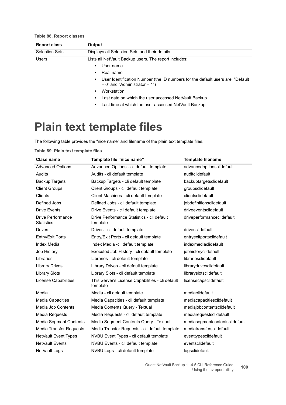| <b>Report class</b>   | Output                                                                                                                              |
|-----------------------|-------------------------------------------------------------------------------------------------------------------------------------|
| <b>Selection Sets</b> | Displays all Selection Sets and their details                                                                                       |
| <b>Users</b>          | Lists all NetVault Backup users. The report includes:                                                                               |
|                       | User name<br>$\bullet$                                                                                                              |
|                       | Real name                                                                                                                           |
|                       | User Identification Number (the ID numbers for the default users are: "Default"<br>$\bullet$<br>$= 0$ " and "Administrator $= 1$ ") |
|                       | Workstation                                                                                                                         |
|                       | Last date on which the user accessed NetVault Backup                                                                                |
|                       | Last time at which the user accessed NetVault Backup                                                                                |

# <span id="page-99-0"></span>**Plain text template files**

The following table provides the "nice name" and filename of the plain text template files.

**Table 89. Plain text template files**

| <b>Class name</b>                      | Template file "nice name"                                    | <b>Template filename</b>       |
|----------------------------------------|--------------------------------------------------------------|--------------------------------|
| <b>Advanced Options</b>                | Advanced Options - cli default template                      | advancedoptionsclidefault      |
| Audits                                 | Audits - cli default template                                | auditclidefault                |
| <b>Backup Targets</b>                  | Backup Targets - cli default template                        | backuptargetsclidefault        |
| <b>Client Groups</b>                   | Client Groups - cli default template                         | groupsclidefault               |
| Clients                                | Client Machines - cli default template                       | clientsclidefault              |
| Defined Jobs                           | Defined Jobs - cli default template                          | jobdefinitionsclidefault       |
| <b>Drive Events</b>                    | Drive Events - cli default template                          | driveeventsclidefault          |
| Drive Performance<br><b>Statistics</b> | Drive Performance Statistics - cli default<br>template       | driveperformanceclidefault     |
| <b>Drives</b>                          | Drives - cli default template                                | drivesclidefault               |
| Entry/Exit Ports                       | Entry/Exit Ports - cli default template                      | entryexitportsclidefault       |
| <b>Index Media</b>                     | Index Media -cli default template                            | indexmediaclidefault           |
| Job History                            | Executed Job History - cli default template                  | jobhistoryclidefault           |
| Libraries                              | Libraries - cli default template                             | librariesclidefault            |
| <b>Library Drives</b>                  | Library Drives - cli default template                        | librarydrivesclidefault        |
| <b>Library Slots</b>                   | Library Slots - cli default template                         | libraryslotsclidefault         |
| License Capabilities                   | This Server's License Capabilities - cli default<br>template | licensecapsclidefault          |
| Media                                  | Media - cli default template                                 | mediaclidefault                |
| <b>Media Capacities</b>                | Media Capacities - cli default template                      | mediacapacitiesclidefault      |
| Media Job Contents                     | Media Contents Query - Textual                               | mediajobcontentsclidefault     |
| Media Requests                         | Media Requests - cli default template                        | mediarequestsclidefault        |
| Media Segment Contents                 | Media Segment Contents Query - Textual                       | mediasegmentcontentsclidefault |
| Media Transfer Requests                | Media Transfer Requests - cli default template               | mediatransfersclidefault       |
| NetVault Event Types                   | NVBU Event Types - cli default template                      | eventtypesclidefault           |
| <b>NetVault Events</b>                 | NVBU Events - cli default template                           | eventsclidefault               |
| NetVault Logs                          | NVBU Logs - cli default template                             | logsclidefault                 |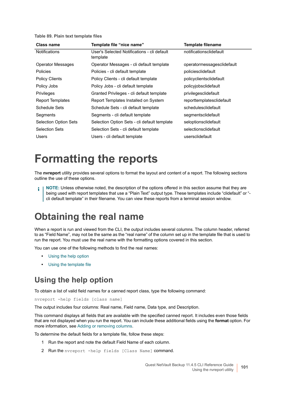**Table 89. Plain text template files**

| <b>Class name</b>            | Template file "nice name"                               | <b>Template filename</b>   |
|------------------------------|---------------------------------------------------------|----------------------------|
| <b>Notifications</b>         | User's Selected Notifications - cli default<br>template | notificationsclidefault    |
| <b>Operator Messages</b>     | Operator Messages - cli default template                | operatormessagesclidefault |
| <b>Policies</b>              | Policies - cli default template                         | policiesclidefault         |
| <b>Policy Clients</b>        | Policy Clients - cli default template                   | policyclientsclidefault    |
| Policy Jobs                  | Policy Jobs - cli default template                      | policyjobsclidefault       |
| <b>Privileges</b>            | Granted Privileges - cli default template               | privilegesclidefault       |
| <b>Report Templates</b>      | Report Templates Installed on System                    | reporttemplatesclidefault  |
| Schedule Sets                | Schedule Sets - cli default template                    | schedulesclidefault        |
| Segments                     | Segments - cli default template                         | segmentsclidefault         |
| <b>Selection Option Sets</b> | Selection Option Sets - cli default template            | seloptionsclidefault       |
| <b>Selection Sets</b>        | Selection Sets - cli default template                   | selectionsclidefault       |
| <b>Users</b>                 | Users - cli default template                            | usersclidefault            |

# <span id="page-100-0"></span>**Formatting the reports**

The **nvreport** utility provides several options to format the layout and content of a report. The following sections outline the use of these options.

**NOTE:** Unless otherwise noted, the description of the options offered in this section assume that they are being used with report templates that use a "Plain Text" output type. These templates include "clidefault" or " cli default template" in their filename. You can view these reports from a terminal session window.

## **Obtaining the real name**

When a report is run and viewed from the CLI, the output includes several columns. The column header, referred to as "Field Name", may not be the same as the "real name" of the column set up in the template file that is used to run the report. You must use the real name with the formatting options covered in this section.

You can use one of the following methods to find the real names:

- **•** [Using the help option](#page-100-1)
- **•** [Using the template file](#page-101-0)

### <span id="page-100-1"></span>**Using the help option**

To obtain a list of valid field names for a canned report class, type the following command:

nvreport -help fields [class name]

The output includes four columns: Real name, Field name, Data type, and Description.

This command displays all fields that are available with the specified canned report. It includes even those fields that are not displayed when you run the report. You can include these additional fields using the **format** option. For more information, see [Adding or removing columns](#page-102-0).

To determine the default fields for a template file, follow these steps:

- 1 Run the report and note the default Field Name of each column.
- 2 Run the nvreport -help fields [Class Name] command.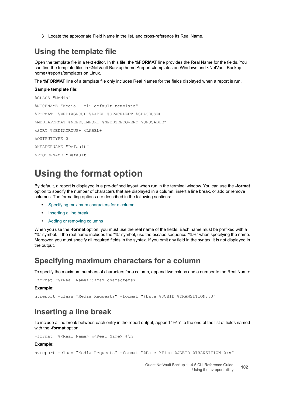3 Locate the appropriate Field Name in the list, and cross-reference its Real Name.

#### <span id="page-101-0"></span>**Using the template file**

Open the template file in a text editor. In this file, the **%FORMAT** line provides the Real Name for the fields. You can find the template files in <NetVault Backup home>\reports\templates on Windows and <NetVault Backup home>/reports/templates on Linux.

The **%FORMAT** line of a template file only includes Real Names for the fields displayed when a report is run.

#### **Sample template file:**

```
%CLASS "Media"
%NICENAME "Media - cli default template"
%FORMAT "%MEDIAGROUP %LABEL %SPACELEFT %SPACEUSED
%MEDIAFORMAT %NEEDSIMPORT %NEEDSRECOVERY %UNUSABLE"
%SORT %MEDIAGROUP+ %LABEL+
%OUTPUTTYPE 0
%HEADERNAME "Default"
%FOOTERNAME "Default"
```
## **Using the format option**

By default, a report is displayed in a pre-defined layout when run in the terminal window. You can use the **-format** option to specify the number of characters that are displayed in a column, insert a line break, or add or remove columns. The formatting options are described in the following sections:

- **•** [Specifying maximum characters for a column](#page-101-1)
- **•** [Inserting a line break](#page-101-2)
- **•** [Adding or removing columns](#page-102-0)

When you use the **-format** option, you must use the real name of the fields. Each name must be prefixed with a "%" symbol. If the real name includes the "%" symbol, use the escape sequence "%%" when specifying the name. Moreover, you must specify all required fields in the syntax. If you omit any field in the syntax, it is not displayed in the output.

#### <span id="page-101-1"></span>**Specifying maximum characters for a column**

To specify the maximum numbers of characters for a column, append two colons and a number to the Real Name:

```
-format "%<Real Name>::<Max characters>
```
#### **Example:**

nvreport -class "Media Requests" -format "%Date %JOBID %TRANSITION::3"

#### <span id="page-101-2"></span>**Inserting a line break**

To include a line break between each entry in the report output, append "%\n" to the end of the list of fields named with the **-format** option:

-format "%<Real Name> %<Real Name> %\n

#### **Example:**

nvreport -class "Media Requests" -format "%Date %Time %JOBID %TRANSITION %\n"

Quest NetVault Backup 11.4.5 CLI Reference Guide Using the nvreport utility **<sup>102</sup>**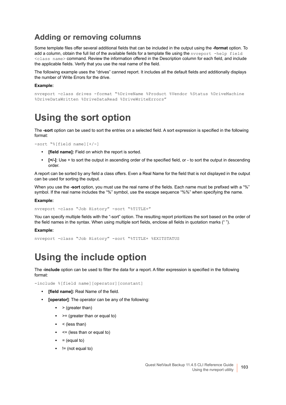### <span id="page-102-0"></span>**Adding or removing columns**

Some template files offer several additional fields that can be included in the output using the **-format** option. To add a column, obtain the full list of the available fields for a template file using the nvreport -help field <class name> command. Review the information offered in the Description column for each field, and include the applicable fields. Verify that you use the real name of the field.

The following example uses the "drives" canned report. It includes all the default fields and additionally displays the number of Write Errors for the drive.

#### **Example:**

```
nvreport -class drives -format "%DriveName %Product %Vendor %Status %DriveMachine 
%DriveDataWritten %DriveDataRead %DriveWriteErrors"
```
## **Using the sort option**

The **-sort** option can be used to sort the entries on a selected field. A sort expression is specified in the following format:

-sort "%[field name][+/-]

- **[field name]:** Field on which the report is sorted.
- **[+/-]**: Use + to sort the output in ascending order of the specified field, or to sort the output in descending order.

A report can be sorted by any field a class offers. Even a Real Name for the field that is not displayed in the output can be used for sorting the output.

When you use the **-sort** option, you must use the real name of the fields. Each name must be prefixed with a "%" symbol. If the real name includes the "%" symbol, use the escape sequence "%%" when specifying the name.

#### **Example:**

```
nvreport -class "Job History" -sort "%TITLE+"
```
You can specify multiple fields with the "-sort" option. The resulting report prioritizes the sort based on the order of the field names in the syntax. When using multiple sort fields, enclose all fields in quotation marks (" ").

#### **Example:**

nvreport -class "Job History" -sort "%TITLE+ %EXITSTATUS

## **Using the include option**

The **-include** option can be used to filter the data for a report. A filter expression is specified in the following format:

-include %[field name][operator][constant]

- **[field name]:** Real Name of the field.
- **[operator]**: The operator can be any of the following:
	- **▪** > (greater than)
	- **▪** >= (greater than or equal to)
	- **▪** < (less than)
	- **▪** <= (less than or equal to)
	- $\bullet$  = (equal to)
	- **▪** != (not equal to)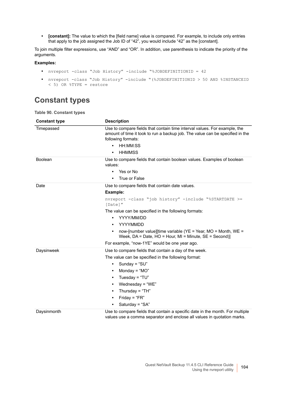**• [constant]:** The value to which the [field name] value is compared. For example, to include only entries that apply to the job assigned the Job ID of "42", you would include "42" as the [constant].

To join multiple filter expressions, use "AND" and "OR". In addition, use parenthesis to indicate the priority of the arguments.

#### **Examples:**

- **•** nvreport -class "Job History" -include "%JOBDEFINITIONID = 42
- **•** nvreport -class "Job History" -include "(%JOBDEFINITIONID > 50 AND %INSTANCEID < 5) OR %TYPE = restore

#### **Constant types**

**Table 90. Constant types**

| <b>Constant type</b> | <b>Description</b>                                                                                                                                                               |
|----------------------|----------------------------------------------------------------------------------------------------------------------------------------------------------------------------------|
| Timepassed           | Use to compare fields that contain time interval values. For example, the<br>amount of time it took to run a backup job. The value can be specified in the<br>following formats: |
|                      | HH:MM:SS<br>$\bullet$                                                                                                                                                            |
|                      | <b>HHMMSS</b><br>$\bullet$                                                                                                                                                       |
| <b>Boolean</b>       | Use to compare fields that contain boolean values. Examples of boolean<br>values:                                                                                                |
|                      | Yes or No<br>$\bullet$                                                                                                                                                           |
|                      | True or False                                                                                                                                                                    |
| Date                 | Use to compare fields that contain date values.                                                                                                                                  |
|                      | Example:                                                                                                                                                                         |
|                      | nvreport -class "job history" -include "%STARTDATE >=<br>[Date]"                                                                                                                 |
|                      | The value can be specified in the following formats:                                                                                                                             |
|                      | YYYY/MM/DD<br>$\bullet$                                                                                                                                                          |
|                      | YYYYMMDD                                                                                                                                                                         |
|                      | now-[number value][time variable ( $YE$ = Year, MO = Month, WE =<br>$\bullet$<br>Week, $DA = Date$ , $HO = Hour$ , $MI = Minute$ , $SE = Second$ )]                              |
|                      | For example, "now-1YE" would be one year ago.                                                                                                                                    |
| Daysinweek           | Use to compare fields that contain a day of the week.                                                                                                                            |
|                      | The value can be specified in the following format:                                                                                                                              |
|                      | Sunday = " $SU$ "<br>$\bullet$                                                                                                                                                   |
|                      | Monday = " $MO$ "<br>٠                                                                                                                                                           |
|                      | Tuesday = " $TU$ "<br>٠                                                                                                                                                          |
|                      | Wednesday = "WE"<br>$\bullet$                                                                                                                                                    |
|                      | Thursday = " $TH$ "<br>٠                                                                                                                                                         |
|                      | Friday = " $FR$ "<br>٠                                                                                                                                                           |
|                      | Saturday = "SA"<br>$\bullet$                                                                                                                                                     |
| Daysinmonth          | Use to compare fields that contain a specific date in the month. For multiple<br>values use a comma separator and enclose all values in quotation marks.                         |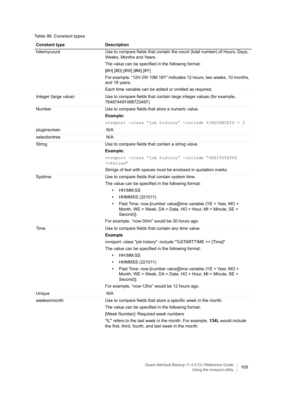#### **Table 90. Constant types**

| <b>Constant type</b>  | <b>Description</b>                                                                                                                                                |
|-----------------------|-------------------------------------------------------------------------------------------------------------------------------------------------------------------|
| hdwmycount            | Use to compare fields that contain the count (total number) of Hours, Days,<br>Weeks, Months and Years.                                                           |
|                       | The value can be specified in the following format:                                                                                                               |
|                       | [#H] [#D] [#W] [#M] [#Y]                                                                                                                                          |
|                       | For example, "12H 2W 10M 18Y" indicates 12 hours, two weeks, 10 months,<br>and 18 years.                                                                          |
|                       | Each time variable can be added or omitted as required.                                                                                                           |
| Integer (large value) | Use to compare fields that contain large integer values (for example,<br>764874497498723497)                                                                      |
| Number                | Use to compare fields that store a numeric value.                                                                                                                 |
|                       | Example:                                                                                                                                                          |
|                       | nvreport -class "job history" -include %INSTANCEID = 2                                                                                                            |
| pluginscreen          | N/A                                                                                                                                                               |
| selectiontree         | N/A                                                                                                                                                               |
| String                | Use to compare fields that contain a string value.                                                                                                                |
|                       | Example:                                                                                                                                                          |
|                       | nvreport -class "job history" -include "%EXITSTATUS<br>!=Failed"                                                                                                  |
|                       | Strings of text with spaces must be enclosed in quotation marks.                                                                                                  |
| Systime               | Use to compare fields that contain system time.                                                                                                                   |
|                       | The value can be specified in the following format:                                                                                                               |
|                       | HH:MM:SS<br>$\bullet$                                                                                                                                             |
|                       | <b>HHMMSS (221011)</b><br>$\bullet$                                                                                                                               |
|                       | Past Time: now-[number value][time variable (YE = Year, MO =<br>$\bullet$<br>Month, WE = Week, DA = Date, HO = Hour, MI = Minute, SE =<br>Second)].               |
|                       | For example, "now-30mi" would be 30 hours ago.                                                                                                                    |
| Time                  | Use to compare fields that contain any time value.                                                                                                                |
|                       | <b>Example</b>                                                                                                                                                    |
|                       | nvreport -class "job history" -include "%STARTTIME >= [Time]"                                                                                                     |
|                       | The value can be specified in the following format:                                                                                                               |
|                       | HH:MM:SS<br>$\bullet$                                                                                                                                             |
|                       | <b>HHMMSS (221011)</b><br>$\bullet$                                                                                                                               |
|                       | Past Time: now-[number value][time variable (YE = Year, MO =<br>$\bullet$<br>Month, $WE = Week$ , $DA = Date$ , $HO = Hour$ , $MI = Minute$ , $SE =$<br>Second)]. |
|                       | For example, "now-12ho" would be 12 hours ago.                                                                                                                    |
| Unique                | N/A                                                                                                                                                               |
| weeksinmonth          | Use to compare fields that store a specific week in the month.                                                                                                    |
|                       | The value can be specified in the following format:                                                                                                               |
|                       | [Week Number]: Required week numbers                                                                                                                              |
|                       | "L" refers to the last week in the month. For example, 134L would include<br>the first, third, fourth, and last week in the month.                                |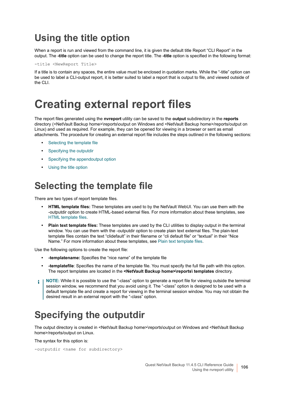## **Using the title option**

When a report is run and viewed from the command line, it is given the default title Report "CLI Report" in the output. The **-title** option can be used to change the report title. The **-title** option is specified in the following format:

-title <NewReport Title>

If a title is to contain any spaces, the entire value must be enclosed in quotation marks. While the "-title" option can be used to label a CLI-output report, it is better suited to label a report that is output to file, and viewed outside of the CLI.

# <span id="page-105-0"></span>**Creating external report files**

The report files generated using the **nvreport** utility can be saved to the **output** subdirectory in the **reports** directory (<NetVault Backup home>\reports\output on Windows and <NetVault Backup home>/reports/output on Linux) and used as required. For example, they can be opened for viewing in a browser or sent as email attachments. The procedure for creating an external report file includes the steps outlined in the following sections:

- **•** [Selecting the template file](#page-105-1)
- **•** [Specifying the outputdir](#page-105-2)
- **•** [Specifying the appendoutput option](#page-107-1)
- **•** [Using the title option](#page-107-2)

## <span id="page-105-1"></span>**Selecting the template file**

There are two types of report template files.

- **HTML template files:** These templates are used to by the NetVault WebUI. You can use them with the -outputdir option to create HTML-based external files. For more information about these templates, see [HTML template files](#page-107-0).
- **Plain text template files:** These templates are used by the CLI utilities to display output in the terminal window. You can use them with the -outputdir option to create plain text external files. The plain-text template files contain the text "clidefault" in their filename or "cli default file" or "textual" in their "Nice Name." For more information about these templates, see [Plain text template files](#page-99-0).

Use the following options to create the report file:

- **-templatename:** Specifies the "nice name" of the template file
- **-templatefile**: Specifies the name of the template file. You must specify the full file path with this option. The report templates are located in the **<NetVault Backup home>\reports\ templates** directory.
- **NOTE:** While it is possible to use the "-class" option to generate a report file for viewing outside the terminal session window, we recommend that you avoid using it. The "-class" option is designed to be used with a default template file and create a report for viewing in the terminal session window. You may not obtain the desired result in an external report with the "-class" option.

## <span id="page-105-2"></span>**Specifying the outputdir**

The output directory is created in <NetVault Backup home>\reports\output on Windows and <NetVault Backup home>/reports/output on Linux.

The syntax for this option is:

```
-outputdir <name for subdirectory>
```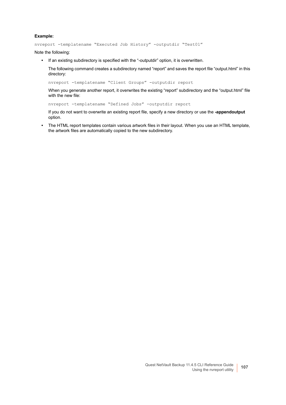#### **Example:**

nvreport -templatename "Executed Job History" -outputdir "Test01"

Note the following:

**•** If an existing subdirectory is specified with the "-outputdir" option, it is overwritten.

The following command creates a subdirectory named "report" and saves the report file "output.html" in this directory:

nvreport -templatename "Client Groups" -outputdir report

When you generate another report, it overwrites the existing "report" subdirectory and the "output.html" file with the new file:

nvreport -templatename "Defined Jobs" -outputdir report

If you do not want to overwrite an existing report file, specify a new directory or use the **-appendoutput** option.

**•** The HTML report templates contain various artwork files in their layout. When you use an HTML template, the artwork files are automatically copied to the new subdirectory.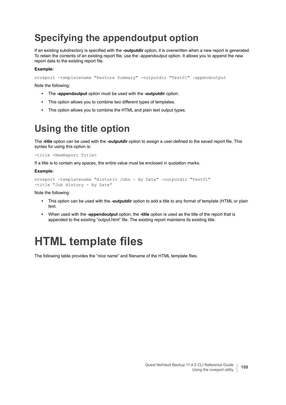## <span id="page-107-1"></span>**Specifying the appendoutput option**

If an existing subdirectory is specified with the **-outputdir** option, it is overwritten when a new report is generated. To retain the contents of an existing report file, use the -appendoutput option. It allows you to append the new report data to the existing report file.

#### **Example:**

```
nvreport -templatename "Restore Summary" -outputdir "Test01" -appendoutput
```
Note the following:

- **•** The **-appendoutput** option must be used with the **-outputdir** option.
- **•** This option allows you to combine two different types of templates.
- **•** This option allows you to combine the HTML and plain text output types.

## <span id="page-107-2"></span>**Using the title option**

The **-title** option can be used with the **-outputdir** option to assign a user-defined to the saved report file. This syntax for using this option is:

-title <NewReport Title>

If a title is to contain any spaces, the entire value must be enclosed in quotation marks.

#### **Example:**

```
nvreport -templatename "Historic Jobs - By Date" -outputdir "Test01" 
-title "Job History - By Date"
```
Note the following:

- **•** This option can be used with the **-outputdir** option to add a title to any format of template (HTML or plain text.
- **•** When used with the **-appendoutput** option, the **-title** option is used as the title of the report that is appended to the existing "output.html" file. The existing report maintains its existing title.

# <span id="page-107-0"></span>**HTML template files**

The following table provides the "nice name" and filename of the HTML template files.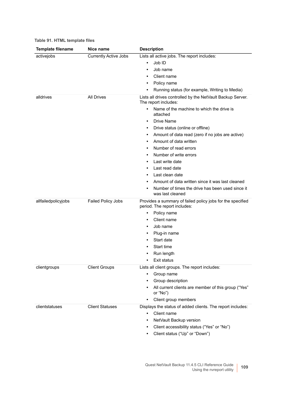| <b>Template filename</b> | Nice name                    | <b>Description</b>                                                                         |
|--------------------------|------------------------------|--------------------------------------------------------------------------------------------|
| activejobs               | <b>Currently Active Jobs</b> | Lists all active jobs. The report includes:                                                |
|                          |                              | Job ID<br>$\bullet$                                                                        |
|                          |                              | Job name<br>$\bullet$                                                                      |
|                          |                              | Client name<br>$\bullet$                                                                   |
|                          |                              | Policy name<br>٠                                                                           |
|                          |                              | Running status (for example, Writing to Media)<br>$\bullet$                                |
| alldrives                | <b>All Drives</b>            | Lists all drives controlled by the NetVault Backup Server.<br>The report includes:         |
|                          |                              | Name of the machine to which the drive is<br>$\bullet$<br>attached                         |
|                          |                              | Drive Name<br>$\bullet$                                                                    |
|                          |                              | Drive status (online or offline)<br>٠                                                      |
|                          |                              | Amount of data read (zero if no jobs are active)<br>٠                                      |
|                          |                              | Amount of data written<br>٠                                                                |
|                          |                              | Number of read errors<br>٠                                                                 |
|                          |                              | Number of write errors<br>$\bullet$                                                        |
|                          |                              | Last write date<br>٠                                                                       |
|                          |                              | Last read date<br>٠                                                                        |
|                          |                              | Last clean date<br>٠                                                                       |
|                          |                              | Amount of data written since it was last cleaned                                           |
|                          |                              | Number of times the drive has been used since it<br>$\bullet$<br>was last cleaned          |
| allfailedpolicyjobs      | <b>Failed Policy Jobs</b>    | Provides a summary of failed policy jobs for the specified<br>period. The report includes: |
|                          |                              | Policy name<br>$\bullet$                                                                   |
|                          |                              | Client name<br>$\bullet$                                                                   |
|                          |                              | Job name<br>٠                                                                              |
|                          |                              | Plug-in name                                                                               |
|                          |                              | Start date<br>٠                                                                            |
|                          |                              | Start time<br>٠                                                                            |
|                          |                              | Run length                                                                                 |
|                          |                              | Exit status<br>٠                                                                           |
| clientgroups             | <b>Client Groups</b>         | Lists all client groups. The report includes:                                              |
|                          |                              | Group name<br>٠                                                                            |
|                          |                              | Group description<br>٠                                                                     |
|                          |                              | All current clients are member of this group ("Yes"<br>or "No")                            |
|                          |                              | Client group members<br>$\bullet$                                                          |
| clientstatuses           | <b>Client Statuses</b>       | Displays the status of added clients. The report includes:                                 |
|                          |                              | Client name<br>$\bullet$                                                                   |
|                          |                              | NetVault Backup version<br>٠                                                               |
|                          |                              | Client accessibility status ("Yes" or "No")<br>٠                                           |
|                          |                              | Client status ("Up" or "Down")<br>٠                                                        |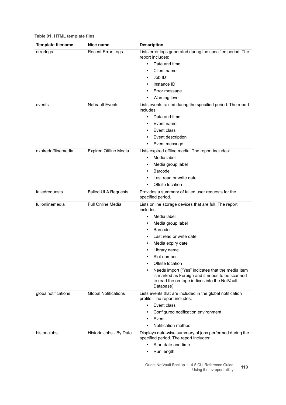| <b>Template filename</b> | Nice name                    | <b>Description</b>                                                                                                                                                 |
|--------------------------|------------------------------|--------------------------------------------------------------------------------------------------------------------------------------------------------------------|
| errorlogs                | <b>Recent Error Logs</b>     | Lists error logs generated during the specified period. The<br>report includes:                                                                                    |
|                          |                              | Date and time<br>$\bullet$                                                                                                                                         |
|                          |                              | Client name<br>$\bullet$                                                                                                                                           |
|                          |                              | Job ID<br>٠                                                                                                                                                        |
|                          |                              | Instance ID                                                                                                                                                        |
|                          |                              | Error message<br>٠                                                                                                                                                 |
|                          |                              | Warning level<br>٠                                                                                                                                                 |
| events                   | NetVault Events              | Lists events raised during the specified period. The report<br>includes:                                                                                           |
|                          |                              | Date and time<br>$\bullet$                                                                                                                                         |
|                          |                              | Event name<br>٠                                                                                                                                                    |
|                          |                              | Event class                                                                                                                                                        |
|                          |                              | Event description<br>٠                                                                                                                                             |
|                          |                              | Event message<br>٠                                                                                                                                                 |
| expiredofflinemedia      | <b>Expired Offline Media</b> | Lists expired offline media. The report includes:                                                                                                                  |
|                          |                              | Media label<br>$\bullet$                                                                                                                                           |
|                          |                              | Media group label<br>٠                                                                                                                                             |
|                          |                              | Barcode<br>٠                                                                                                                                                       |
|                          |                              | Last read or write date                                                                                                                                            |
|                          |                              | Offsite location                                                                                                                                                   |
| failedrequests           | <b>Failed ULA Requests</b>   | Provides a summary of failed user requests for the<br>specified period.                                                                                            |
| fullonlinemedia          | Full Online Media            | Lists online storage devices that are full. The report<br>includes:                                                                                                |
|                          |                              | Media label<br>$\bullet$                                                                                                                                           |
|                          |                              | Media group label                                                                                                                                                  |
|                          |                              | <b>Barcode</b>                                                                                                                                                     |
|                          |                              | Last read or write date                                                                                                                                            |
|                          |                              | Media expiry date                                                                                                                                                  |
|                          |                              | Library name                                                                                                                                                       |
|                          |                              | Slot number                                                                                                                                                        |
|                          |                              | Offsite location                                                                                                                                                   |
|                          |                              | Needs import ("Yes" indicates that the media item<br>is marked as Foreign and it needs to be scanned<br>to read the on-tape indices into the NetVault<br>Database) |
| globalnotifications      | <b>Global Notifications</b>  | Lists events that are included in the global notification<br>profile. The report includes:                                                                         |
|                          |                              | Event class<br>$\bullet$                                                                                                                                           |
|                          |                              | Configured notification environment                                                                                                                                |
|                          |                              | Event<br>$\bullet$                                                                                                                                                 |
|                          |                              | Notification method                                                                                                                                                |
| historicjobs             | Historic Jobs - By Date      | Displays date-wise summary of jobs performed during the<br>specified period. The report includes:                                                                  |
|                          |                              | Start date and time<br>$\bullet$                                                                                                                                   |
|                          |                              | Run length<br>٠                                                                                                                                                    |
|                          |                              | Quest NetVault Backup 11.4.5 CLI Reference Guide<br>110<br>Using the nvreport utility                                                                              |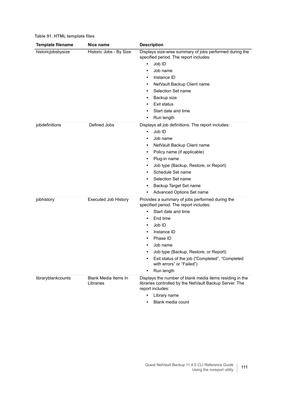| Table 91. FITTIME Template mest |                         |  |
|---------------------------------|-------------------------|--|
| <b>Template filename</b>        | Nice name               |  |
| historiciobsbysize              | Historic Jobs - By Size |  |

| <b>Template filename</b> | Nice name                         | <b>Description</b>                                                                                                                                                                                                                                                                                                                                                                                     |
|--------------------------|-----------------------------------|--------------------------------------------------------------------------------------------------------------------------------------------------------------------------------------------------------------------------------------------------------------------------------------------------------------------------------------------------------------------------------------------------------|
| historicjobsbysize       | Historic Jobs - By Size           | Displays size-wise summary of jobs performed during the<br>specified period. The report includes:<br>Job ID<br>$\bullet$<br>Job name<br>$\bullet$<br>Instance ID<br>$\bullet$<br>NetVault Backup Client name<br>$\bullet$<br>Selection Set name<br>٠<br>Backup size<br>$\bullet$<br>Exit status<br>$\bullet$<br>Start date and time<br>$\bullet$<br>Run length<br>$\bullet$                            |
| jobdefinitions           | Defined Jobs                      | Displays all job definitions. The report includes:<br>Job ID<br>$\bullet$<br>Job name<br>$\bullet$<br>NetVault Backup Client name<br>$\bullet$<br>Policy name (if applicable)<br>$\bullet$<br>Plug-in name<br>$\bullet$<br>Job type (Backup, Restore, or Report)<br>Schedule Set name<br>$\bullet$<br>Selection Set name<br>٠<br>Backup Target Set name<br>$\bullet$<br>Advanced Options Set name<br>٠ |
| jobhistory               | <b>Executed Job History</b>       | Provides a summary of jobs performed during the<br>specified period. The report includes:<br>Start date and time<br>End time<br>$\bullet$<br>Job ID<br>٠<br>Instance ID<br>٠<br>Phase ID<br>$\bullet$<br>Job name<br>Job type (Backup, Restore, or Report)<br>Exit status of the job ("Completed", "Completed<br>with errors" or "Failed")<br>Run length<br>$\bullet$                                  |
| libraryblankcounts       | Blank Media Items In<br>Libraries | Displays the number of blank media items residing in the<br>libraries controlled by the NetVault Backup Server. The<br>report includes:<br>Library name                                                                                                                                                                                                                                                |

**•** Blank media count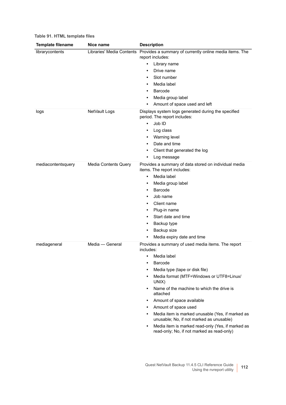| Table 91. HTML template files |  |  |  |
|-------------------------------|--|--|--|
|-------------------------------|--|--|--|

| <b>Template filename</b> | Nice name                   | <b>Description</b>                                                                                           |
|--------------------------|-----------------------------|--------------------------------------------------------------------------------------------------------------|
| librarycontents          |                             | Libraries' Media Contents Provides a summary of currently online media items. The<br>report includes:        |
|                          |                             | Library name<br>٠                                                                                            |
|                          |                             | Drive name<br>$\bullet$                                                                                      |
|                          |                             | Slot number<br>٠                                                                                             |
|                          |                             | Media label                                                                                                  |
|                          |                             | Barcode<br>٠                                                                                                 |
|                          |                             | Media group label<br>٠                                                                                       |
|                          |                             | Amount of space used and left<br>٠                                                                           |
| logs                     | NetVault Logs               | Displays system logs generated during the specified<br>period. The report includes:                          |
|                          |                             | Job ID<br>$\bullet$                                                                                          |
|                          |                             | Log class                                                                                                    |
|                          |                             | Warning level<br>٠                                                                                           |
|                          |                             | Date and time<br>٠                                                                                           |
|                          |                             | Client that generated the log<br>٠                                                                           |
|                          |                             | Log message<br>٠                                                                                             |
| mediacontentsquery       | <b>Media Contents Query</b> | Provides a summary of data stored on individual media<br>items. The report includes:                         |
|                          |                             | Media label<br>$\bullet$                                                                                     |
|                          |                             | Media group label<br>٠                                                                                       |
|                          |                             | Barcode<br>٠                                                                                                 |
|                          |                             | Job name                                                                                                     |
|                          |                             | Client name<br>٠                                                                                             |
|                          |                             | Plug-in name<br>٠                                                                                            |
|                          |                             | Start date and time                                                                                          |
|                          |                             | Backup type<br>٠                                                                                             |
|                          |                             | Backup size<br>٠                                                                                             |
|                          |                             | Media expiry date and time<br>٠                                                                              |
| mediageneral             | Media - General             | Provides a summary of used media items. The report<br>includes:                                              |
|                          |                             | Media label                                                                                                  |
|                          |                             | Barcode<br>٠                                                                                                 |
|                          |                             | Media type (tape or disk file)<br>$\bullet$                                                                  |
|                          |                             | Media format (MTF=Windows or UTF8=Linux/<br>٠<br>UNIX)                                                       |
|                          |                             | Name of the machine to which the drive is<br>$\bullet$<br>attached                                           |
|                          |                             | Amount of space available<br>$\bullet$                                                                       |
|                          |                             | Amount of space used<br>$\bullet$                                                                            |
|                          |                             | Media item is marked unusable (Yes, if marked as<br>$\bullet$<br>unusable; No, if not marked as unusable)    |
|                          |                             | Media item is marked read-only (Yes, if marked as<br>$\bullet$<br>read-only; No, if not marked as read-only) |
|                          |                             |                                                                                                              |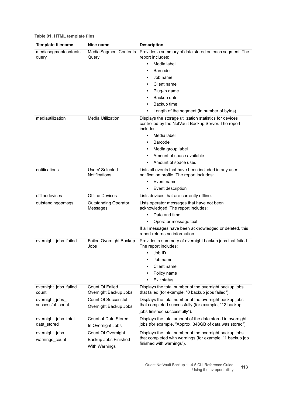| <b>Template filename</b>             | Nice name                                                   | <b>Description</b>                                                                                                                                                                                                                                                           |
|--------------------------------------|-------------------------------------------------------------|------------------------------------------------------------------------------------------------------------------------------------------------------------------------------------------------------------------------------------------------------------------------------|
| mediasegmentcontents<br>query        | <b>Media Segment Contents</b><br>Query                      | Provides a summary of data stored on each segment. The<br>report includes:<br>Media label<br>Barcode<br>٠<br>Job name<br>٠<br>Client name<br>Plug-in name<br>Backup date<br>$\bullet$<br>Backup time<br>$\bullet$<br>Length of the segment (in number of bytes)              |
| mediautilization                     | <b>Media Utilization</b>                                    | Displays the storage utilization statistics for devices<br>controlled by the NetVault Backup Server. The report<br>includes:<br>Media label<br>$\bullet$<br>Barcode<br>٠<br>Media group label<br>$\bullet$<br>Amount of space available<br>Amount of space used<br>$\bullet$ |
| notifications                        | Users' Selected<br>Notifications                            | Lists all events that have been included in any user<br>notification profile. The report includes:<br>Event name<br>$\bullet$<br>Event description                                                                                                                           |
| offlinedevices                       | <b>Offline Devices</b>                                      | Lists devices that are currently offline.                                                                                                                                                                                                                                    |
| outstandingopmsgs                    | <b>Outstanding Operator</b><br>Messages                     | Lists operator messages that have not been<br>acknowledged. The report includes:<br>Date and time<br>$\bullet$<br>Operator message text<br>$\bullet$<br>If all messages have been acknowledged or deleted, this<br>report returns no information                             |
| overnight_jobs_failed                | <b>Failed Overnight Backup</b><br>Jobs                      | Provides a summary of overnight backup jobs that failed.<br>The report includes:<br>Job ID<br>$\bullet$<br>Job name<br>$\bullet$<br>Client name<br>Policy name<br>Exit status                                                                                                |
| overnight_jobs_failed_<br>count      | <b>Count Of Failed</b><br>Overnight Backup Jobs             | Displays the total number of the overnight backup jobs<br>that failed (for example, "0 backup jobs failed").                                                                                                                                                                 |
| overnight_jobs<br>successful_count   | Count Of Successful<br>Overnight Backup Jobs                | Displays the total number of the overnight backup jobs<br>that completed successfully (for example, "12 backup<br>jobs finished successfully").                                                                                                                              |
| overnight_jobs_total_<br>data_stored | Count of Data Stored<br>In Overnight Jobs                   | Displays the total amount of the data stored in overnight<br>jobs (for example, "Approx. 348GB of data was stored").                                                                                                                                                         |
| overnight_jobs_<br>warnings_count    | Count Of Overnight<br>Backup Jobs Finished<br>With Warnings | Displays the total number of the overnight backup jobs<br>that completed with warnings (for example, "1 backup job<br>finished with warnings").                                                                                                                              |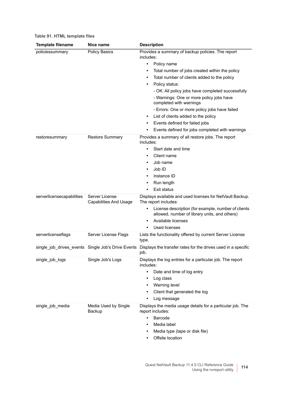| Table 91. HTML template files |  |  |  |
|-------------------------------|--|--|--|
|-------------------------------|--|--|--|

| <b>Template filename</b>  | Nice name                                          | <b>Description</b>                                                                                        |
|---------------------------|----------------------------------------------------|-----------------------------------------------------------------------------------------------------------|
| policiessummary           | <b>Policy Basics</b>                               | Provides a summary of backup policies. The report<br>includes:                                            |
|                           |                                                    | Policy name<br>$\bullet$                                                                                  |
|                           |                                                    | Total number of jobs created within the policy<br>٠                                                       |
|                           |                                                    | Total number of clients added to the policy<br>$\bullet$                                                  |
|                           |                                                    | Policy status:<br>٠                                                                                       |
|                           |                                                    | - OK: All policy jobs have completed successfully                                                         |
|                           |                                                    | - Warnings: One or more policy jobs have<br>completed with warnings                                       |
|                           |                                                    | - Errors: One or more policy jobs have failed                                                             |
|                           |                                                    | List of clients added to the policy<br>$\bullet$                                                          |
|                           |                                                    | Events defined for failed jobs<br>٠                                                                       |
|                           |                                                    | Events defined for jobs completed with warnings<br>٠                                                      |
| restoresummary            | <b>Restore Summary</b>                             | Provides a summary of all restore jobs. The report<br>includes:                                           |
|                           |                                                    | Start date and time<br>$\bullet$                                                                          |
|                           |                                                    | Client name<br>٠                                                                                          |
|                           |                                                    | Job name<br>$\bullet$                                                                                     |
|                           |                                                    | Job ID<br>٠                                                                                               |
|                           |                                                    | Instance ID<br>٠                                                                                          |
|                           |                                                    | Run length<br>٠                                                                                           |
|                           |                                                    | Exit status                                                                                               |
| serverlicensecapabilities | Server License<br><b>Capabilities And Usage</b>    | Displays available and used licenses for NetVault Backup.<br>The report includes:                         |
|                           |                                                    | License description (for example, number of clients<br>٠<br>allowed, number of library units, and others) |
|                           |                                                    | Available licenses<br>$\bullet$                                                                           |
|                           |                                                    | Used licenses                                                                                             |
| serverlicenseflags        | Server License Flags                               | Lists the functionality offered by current Server License<br>type.                                        |
|                           | single job drives events Single Job's Drive Events | Displays the transfer rates for the drives used in a specific<br>job.                                     |
| single_job_logs           | Single Job's Logs                                  | Displays the log entries for a particular job. The report<br>includes:                                    |
|                           |                                                    | Date and time of log entry<br>$\bullet$                                                                   |
|                           |                                                    | Log class<br>$\bullet$                                                                                    |
|                           |                                                    | Warning level<br>$\bullet$                                                                                |
|                           |                                                    | Client that generated the log<br>٠                                                                        |
|                           |                                                    | Log message                                                                                               |
| single job media          | Media Used by Single<br>Backup                     | Displays the media usage details for a particular job. The<br>report includes:                            |
|                           |                                                    | Barcode<br>$\bullet$                                                                                      |
|                           |                                                    | Media label                                                                                               |
|                           |                                                    | Media type (tape or disk file)<br>$\bullet$                                                               |
|                           |                                                    | Offsite location<br>٠                                                                                     |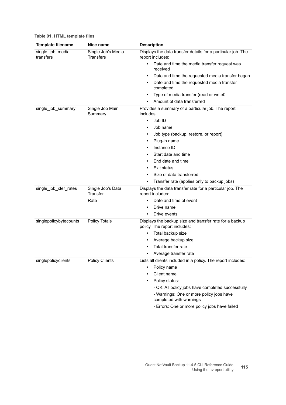| <b>Template filename</b>       | Nice name                       | <b>Description</b>                                                                                                                                                                                                         |
|--------------------------------|---------------------------------|----------------------------------------------------------------------------------------------------------------------------------------------------------------------------------------------------------------------------|
| single_job_media_<br>transfers | Single Job's Media<br>Transfers | Displays the data transfer details for a particular job. The<br>report includes:<br>Date and time the media transfer request was<br>$\bullet$<br>received<br>Date and time the requested media transfer began<br>$\bullet$ |
|                                |                                 | Date and time the requested media transfer<br>completed                                                                                                                                                                    |
|                                |                                 | Type of media transfer (read or write0<br>$\bullet$                                                                                                                                                                        |
|                                |                                 | Amount of data transferred                                                                                                                                                                                                 |
| single_job_summary             | Single Job Main<br>Summary      | Provides a summary of a particular job. The report<br>includes:<br>Job ID<br>$\bullet$<br>Job name<br>٠                                                                                                                    |
|                                |                                 | Job type (backup, restore, or report)<br>Plug-in name<br>٠                                                                                                                                                                 |
|                                |                                 | Instance ID                                                                                                                                                                                                                |
|                                |                                 | Start date and time                                                                                                                                                                                                        |
|                                |                                 | End date and time<br>٠                                                                                                                                                                                                     |
|                                |                                 | Exit status<br>٠                                                                                                                                                                                                           |
|                                |                                 | Size of data transferred                                                                                                                                                                                                   |
|                                |                                 | Transfer rate (applies only to backup jobs)                                                                                                                                                                                |
| single_job_xfer_rates          | Single Job's Data<br>Transfer   | Displays the data transfer rate for a particular job. The<br>report includes:                                                                                                                                              |
|                                | Rate                            | Date and time of event                                                                                                                                                                                                     |
|                                |                                 | Drive name<br>$\bullet$                                                                                                                                                                                                    |
|                                |                                 | Drive events                                                                                                                                                                                                               |
| singlepolicybytecounts         | <b>Policy Totals</b>            | Displays the backup size and transfer rate for a backup<br>policy. The report includes:                                                                                                                                    |
|                                |                                 | Total backup size<br>$\bullet$                                                                                                                                                                                             |
|                                |                                 | Average backup size<br>٠                                                                                                                                                                                                   |
|                                |                                 | Total transfer rate                                                                                                                                                                                                        |
| singlepolicyclients            | <b>Policy Clients</b>           | Average transfer rate<br>Lists all clients included in a policy. The report includes:                                                                                                                                      |
|                                |                                 | Policy name                                                                                                                                                                                                                |
|                                |                                 | Client name                                                                                                                                                                                                                |
|                                |                                 | Policy status:                                                                                                                                                                                                             |
|                                |                                 | - OK: All policy jobs have completed successfully                                                                                                                                                                          |
|                                |                                 | - Warnings: One or more policy jobs have<br>completed with warnings                                                                                                                                                        |
|                                |                                 | - Errors: One or more policy jobs have failed                                                                                                                                                                              |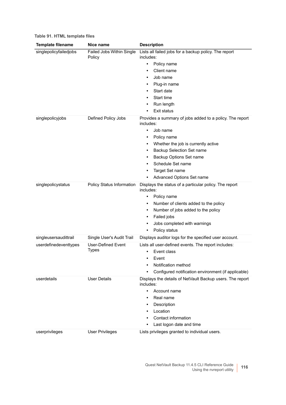| <b>Template filename</b>      | Nice name                                     | <b>Description</b>                                                                                                                                                                                                                                                                                            |
|-------------------------------|-----------------------------------------------|---------------------------------------------------------------------------------------------------------------------------------------------------------------------------------------------------------------------------------------------------------------------------------------------------------------|
| singlepolicyfailedjobs        | Failed Jobs Within Single<br>Policy           | Lists all failed jobs for a backup policy. The report<br>includes:<br>Policy name<br>$\bullet$<br>Client name<br>Job name<br>$\bullet$<br>Plug-in name<br>٠<br>Start date<br>٠<br>Start time<br>٠<br>Run length<br>Exit status<br>٠                                                                           |
| singlepolicyjobs              | Defined Policy Jobs                           | Provides a summary of jobs added to a policy. The report<br>includes:<br>Job name<br>$\bullet$<br>Policy name<br>٠<br>Whether the job is currently active<br>٠<br>Backup Selection Set name<br>Backup Options Set name<br>Schedule Set name<br>$\bullet$<br>Target Set name<br>Advanced Options Set name<br>٠ |
| singlepolicystatus            | Policy Status Information                     | Displays the status of a particular policy. The report<br>includes:<br>Policy name<br>$\bullet$<br>Number of clients added to the policy<br>Number of jobs added to the policy<br>$\bullet$<br>Failed jobs<br>٠<br>Jobs completed with warnings<br>٠<br>Policy status<br>٠                                    |
| singleusersaudittrail         | Single User's Audit Trail                     | Displays auditor logs for the specified user account.                                                                                                                                                                                                                                                         |
| userdefinedeventtypes         | <b>User-Defined Event</b><br><b>Types</b>     | Lists all user-defined events. The report includes:<br>Event class<br>$\bullet$<br>Event<br>Notification method<br>Configured notification environment (if applicable)                                                                                                                                        |
| userdetails<br>userprivileges | <b>User Details</b><br><b>User Privileges</b> | Displays the details of NetVault Backup users. The report<br>includes:<br>Account name<br>$\bullet$<br>Real name<br>Description<br>Location<br>Contact information<br>Last logon date and time<br>Lists privileges granted to individual users.                                                               |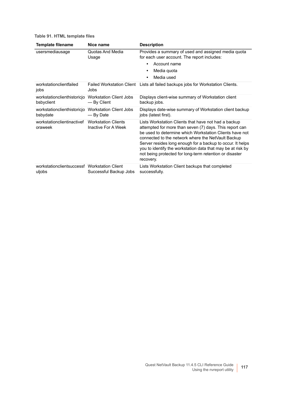| <b>Template filename</b>                               | Nice name                                         | <b>Description</b>                                                                                                                                                                                                                                                                                                                                                                                                                    |
|--------------------------------------------------------|---------------------------------------------------|---------------------------------------------------------------------------------------------------------------------------------------------------------------------------------------------------------------------------------------------------------------------------------------------------------------------------------------------------------------------------------------------------------------------------------------|
| usersmediausage                                        | Quotas And Media<br>Usage                         | Provides a summary of used and assigned media quota<br>for each user account. The report includes:<br>Account name<br>$\bullet$<br>Media quota<br>٠<br>Media used<br>$\bullet$                                                                                                                                                                                                                                                        |
| workstationclientfailed<br>jobs                        | Jobs                                              | Failed Workstation Client Lists all failed backups jobs for Workstation Clients.                                                                                                                                                                                                                                                                                                                                                      |
| workstationclienthistoricjo<br>bsbyclient              | <b>Workstation Client Jobs</b><br>- By Client     | Displays client-wise summary of Workstation client<br>backup jobs.                                                                                                                                                                                                                                                                                                                                                                    |
| workstationclienthistoricjo<br>bsbydate                | <b>Workstation Client Jobs</b><br>— By Date       | Displays date-wise summary of Workstation client backup<br>jobs (latest first).                                                                                                                                                                                                                                                                                                                                                       |
| workstationclientinactivef<br>oraweek                  | <b>Workstation Clients</b><br>Inactive For A Week | Lists Workstation Clients that have not had a backup<br>attempted for more than seven (7) days. This report can<br>be used to determine which Workstation Clients have not<br>connected to the network where the NetVault Backup<br>Server resides long enough for a backup to occur. It helps<br>you to identify the workstation data that may be at risk by<br>not being protected for long-term retention or disaster<br>recovery. |
| workstationclientsuccessf Workstation Client<br>uljobs | Successful Backup Jobs                            | Lists Workstation Client backups that completed<br>successfully.                                                                                                                                                                                                                                                                                                                                                                      |